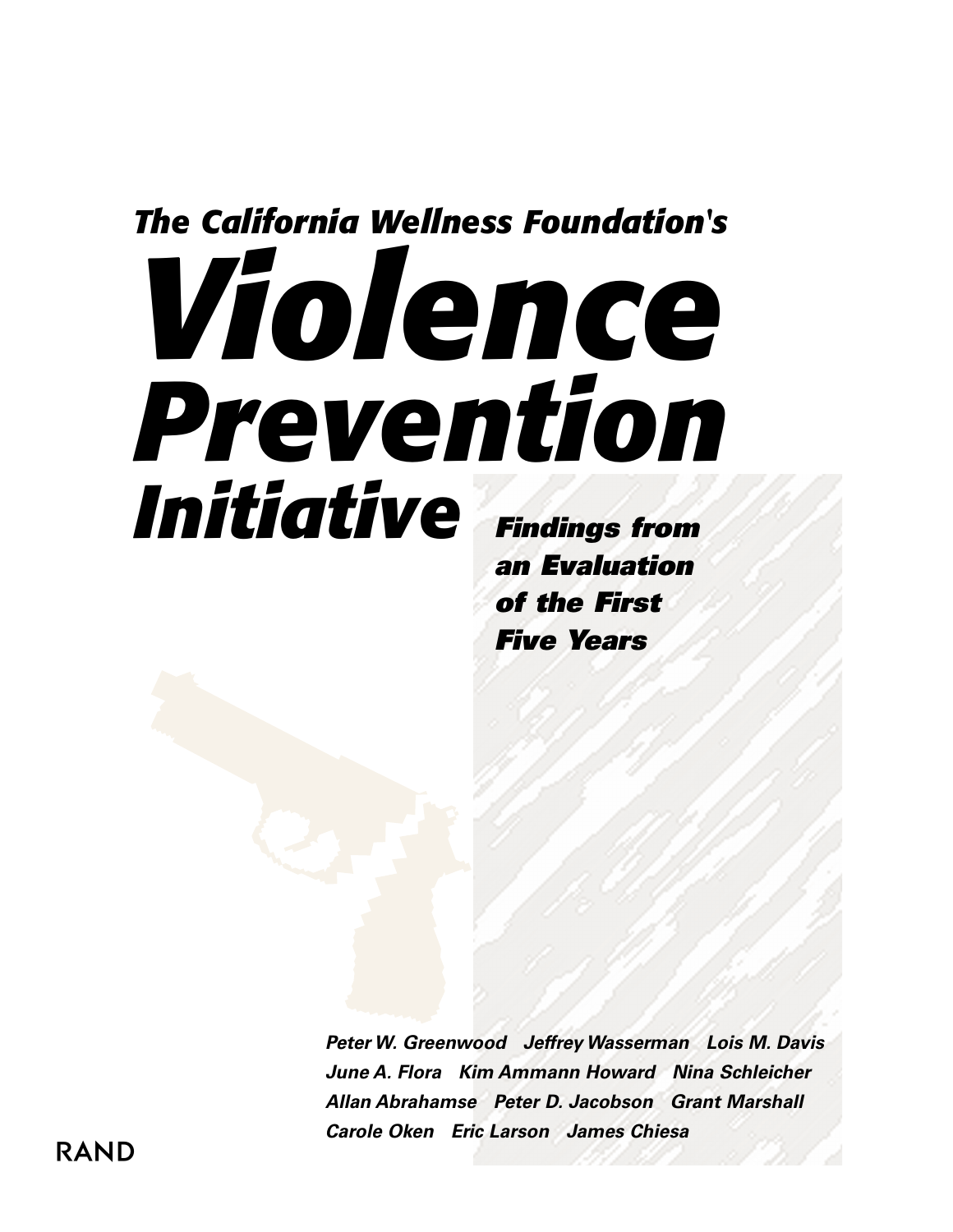# *The California Wellness Foundation's Violence Prevention Initiative Findings from*

*an Evaluation of the First Five Years*

*Peter W. Greenwood Jeffrey Wasserman Lois M. Davis June A. Flora Kim Ammann Howard Nina Schleicher Allan Abrahamse Peter D. Jacobson Grant Marshall Carole Oken Eric Larson James Chiesa*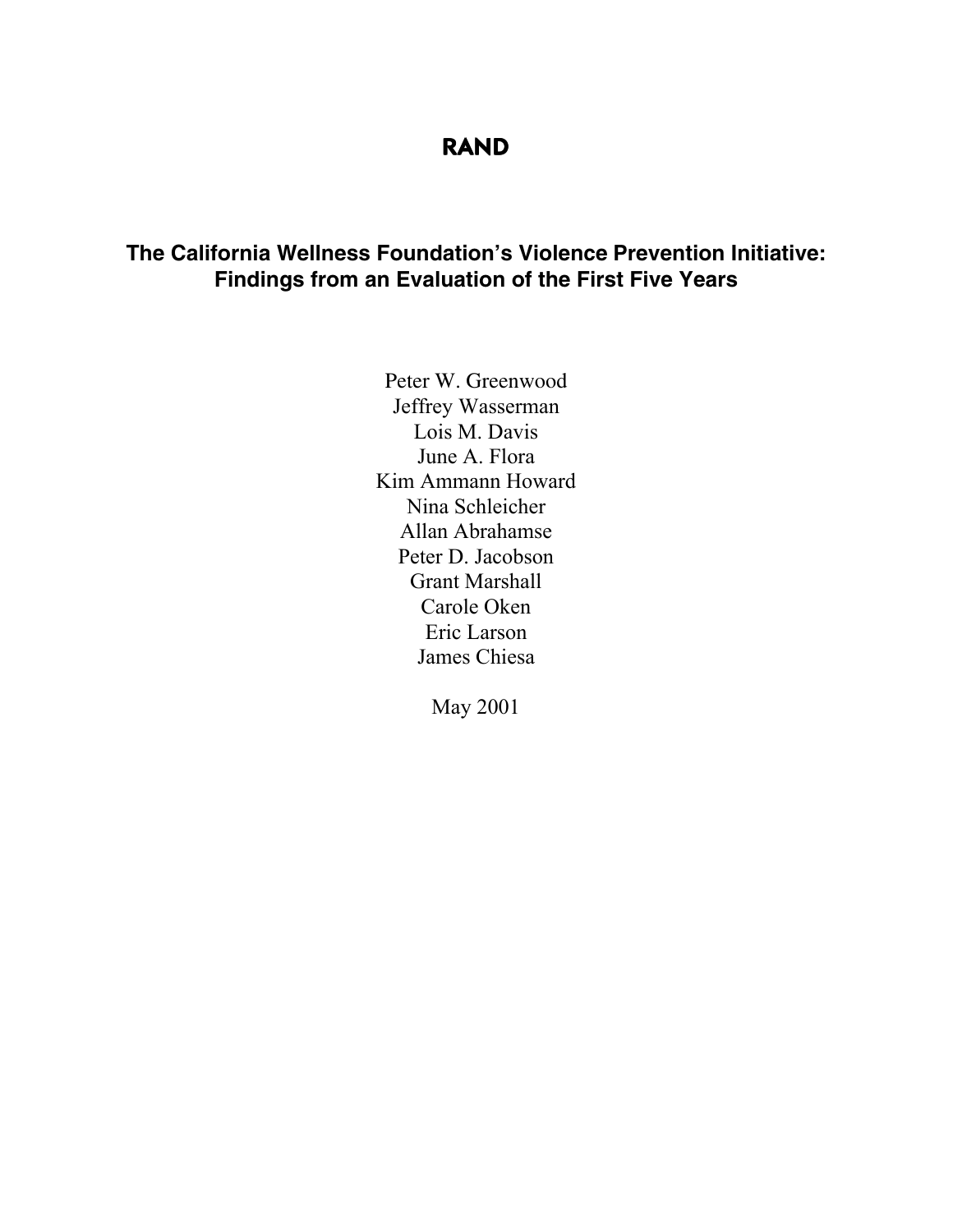## **RAND**

### **The California Wellness Foundation's Violence Prevention Initiative: Findings from an Evaluation of the First Five Years**

Peter W. Greenwood Jeffrey Wasserman Lois M. Davis June A. Flora Kim Ammann Howard Nina Schleicher Allan Abrahamse Peter D. Jacobson Grant Marshall Carole Oken Eric Larson James Chiesa

May 2001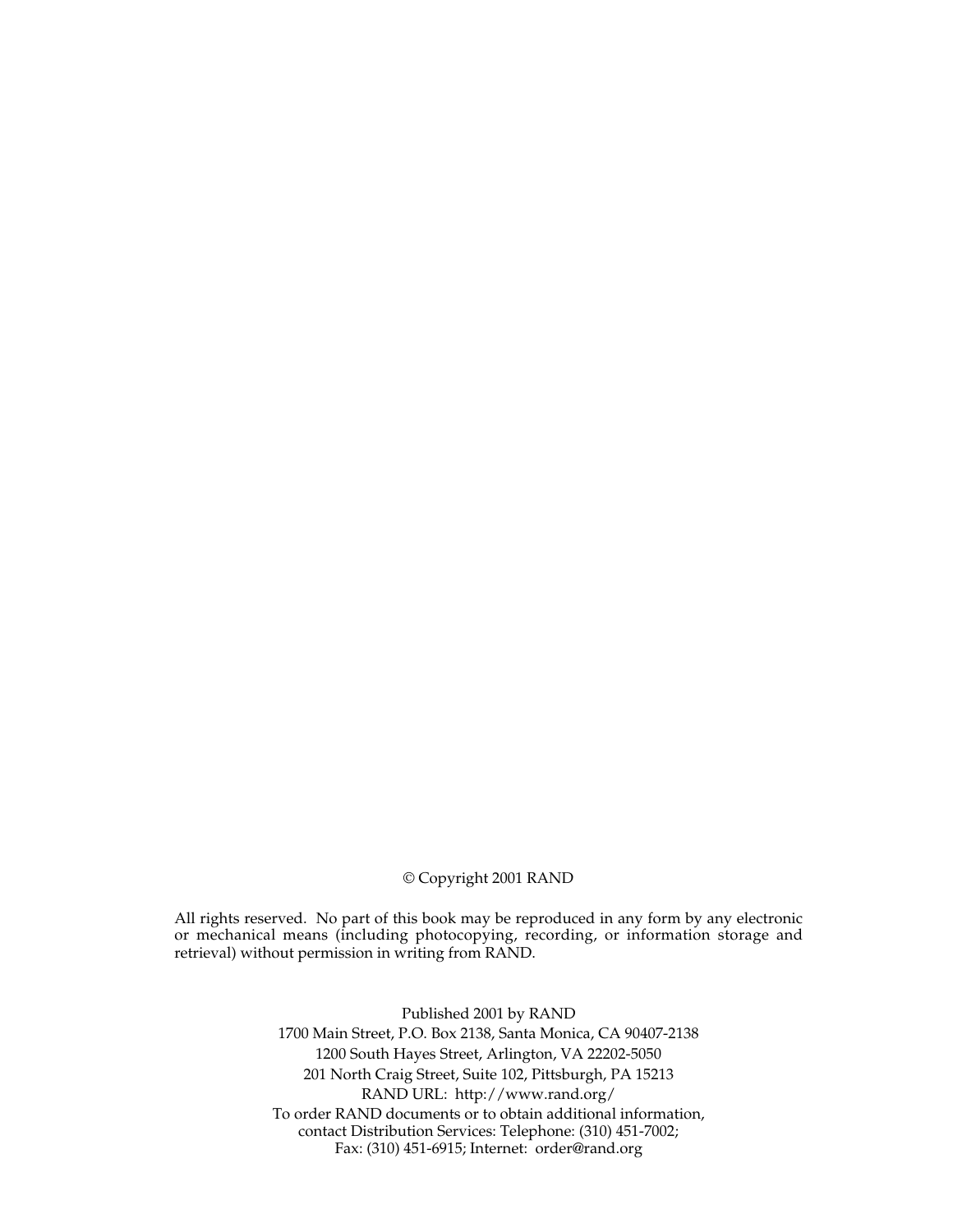#### © Copyright 2001 RAND

All rights reserved. No part of this book may be reproduced in any form by any electronic or mechanical means (including photocopying, recording, or information storage and retrieval) without permission in writing from RAND.

> Published 2001 by RAND 1700 Main Street, P.O. Box 2138, Santa Monica, CA 90407-2138 1200 South Hayes Street, Arlington, VA 22202-5050 201 North Craig Street, Suite 102, Pittsburgh, PA 15213 RAND URL: http://www.rand.org/ To order RAND documents or to obtain additional information, contact Distribution Services: Telephone: (310) 451-7002; Fax: (310) 451-6915; Internet: order@rand.org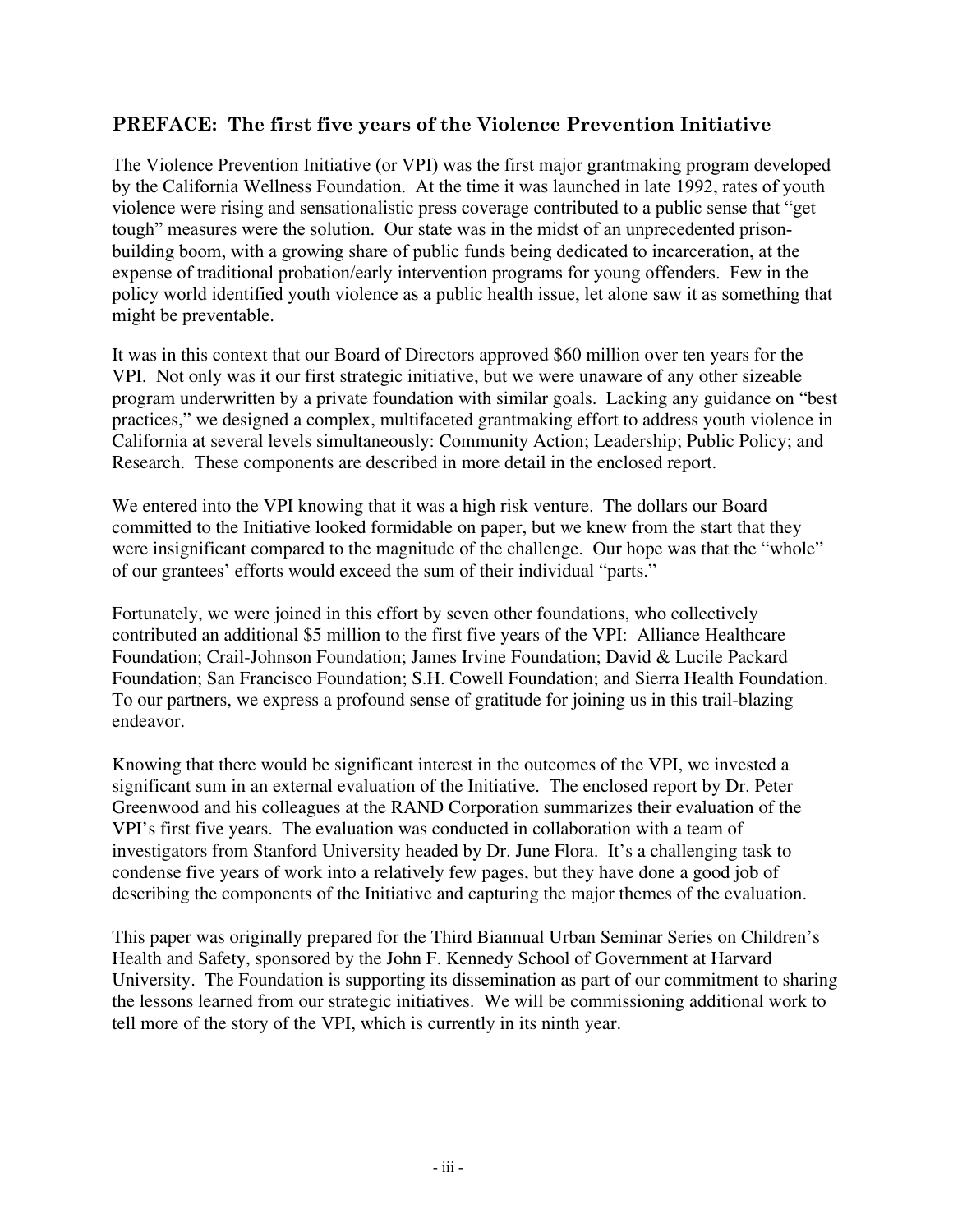#### **PREFACE: The first five years of the Violence Prevention Initiative**

The Violence Prevention Initiative (or VPI) was the first major grantmaking program developed by the California Wellness Foundation. At the time it was launched in late 1992, rates of youth violence were rising and sensationalistic press coverage contributed to a public sense that "get tough" measures were the solution. Our state was in the midst of an unprecedented prisonbuilding boom, with a growing share of public funds being dedicated to incarceration, at the expense of traditional probation/early intervention programs for young offenders. Few in the policy world identified youth violence as a public health issue, let alone saw it as something that might be preventable.

It was in this context that our Board of Directors approved \$60 million over ten years for the VPI. Not only was it our first strategic initiative, but we were unaware of any other sizeable program underwritten by a private foundation with similar goals. Lacking any guidance on "best practices," we designed a complex, multifaceted grantmaking effort to address youth violence in California at several levels simultaneously: Community Action; Leadership; Public Policy; and Research. These components are described in more detail in the enclosed report.

We entered into the VPI knowing that it was a high risk venture. The dollars our Board committed to the Initiative looked formidable on paper, but we knew from the start that they were insignificant compared to the magnitude of the challenge. Our hope was that the "whole" of our grantees' efforts would exceed the sum of their individual "parts."

Fortunately, we were joined in this effort by seven other foundations, who collectively contributed an additional \$5 million to the first five years of the VPI: Alliance Healthcare Foundation; Crail-Johnson Foundation; James Irvine Foundation; David & Lucile Packard Foundation; San Francisco Foundation; S.H. Cowell Foundation; and Sierra Health Foundation. To our partners, we express a profound sense of gratitude for joining us in this trail-blazing endeavor.

Knowing that there would be significant interest in the outcomes of the VPI, we invested a significant sum in an external evaluation of the Initiative. The enclosed report by Dr. Peter Greenwood and his colleagues at the RAND Corporation summarizes their evaluation of the VPI's first five years. The evaluation was conducted in collaboration with a team of investigators from Stanford University headed by Dr. June Flora. It's a challenging task to condense five years of work into a relatively few pages, but they have done a good job of describing the components of the Initiative and capturing the major themes of the evaluation.

This paper was originally prepared for the Third Biannual Urban Seminar Series on Children's Health and Safety, sponsored by the John F. Kennedy School of Government at Harvard University. The Foundation is supporting its dissemination as part of our commitment to sharing the lessons learned from our strategic initiatives. We will be commissioning additional work to tell more of the story of the VPI, which is currently in its ninth year.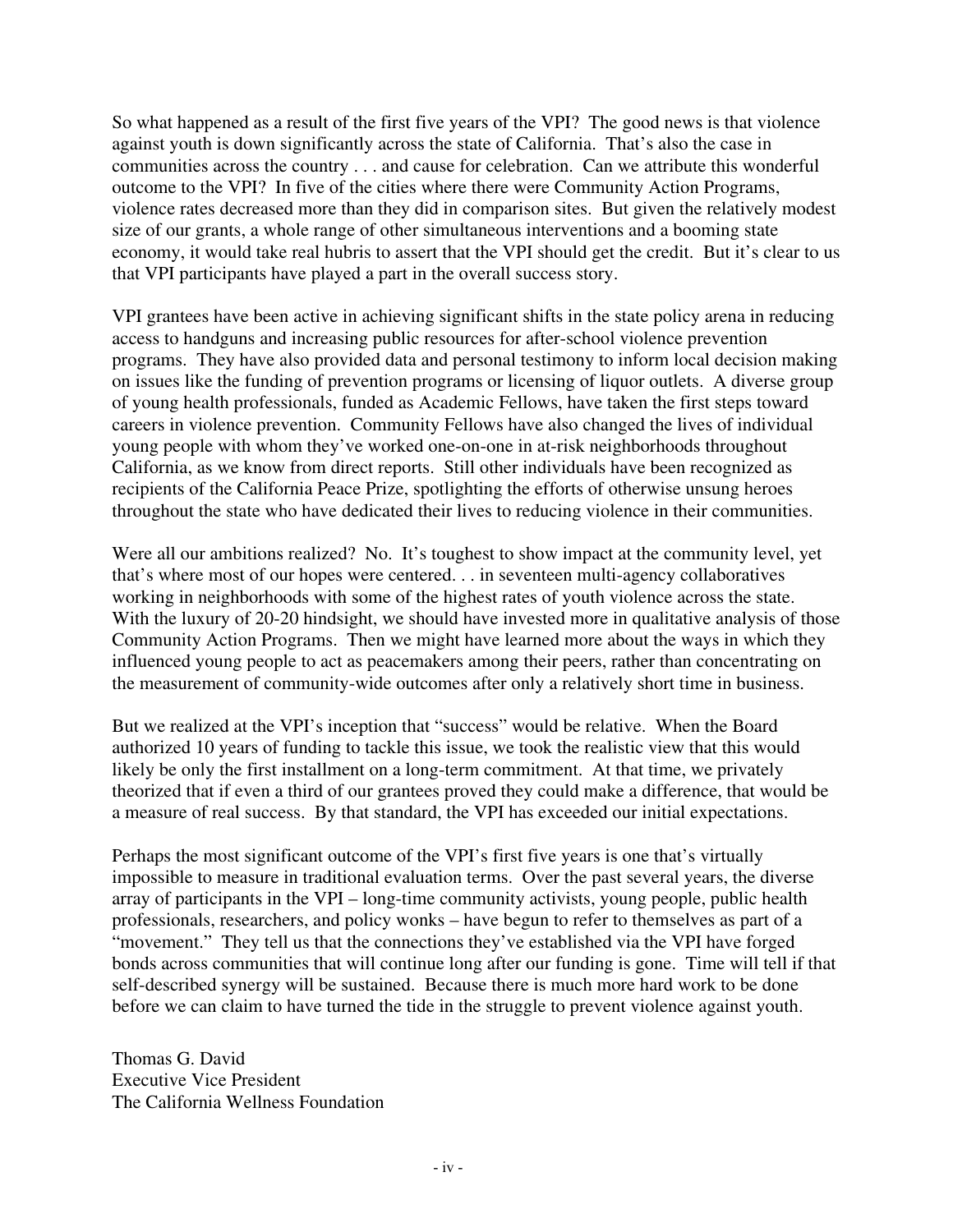So what happened as a result of the first five years of the VPI? The good news is that violence against youth is down significantly across the state of California. That's also the case in communities across the country . . . and cause for celebration. Can we attribute this wonderful outcome to the VPI? In five of the cities where there were Community Action Programs, violence rates decreased more than they did in comparison sites. But given the relatively modest size of our grants, a whole range of other simultaneous interventions and a booming state economy, it would take real hubris to assert that the VPI should get the credit. But it's clear to us that VPI participants have played a part in the overall success story.

VPI grantees have been active in achieving significant shifts in the state policy arena in reducing access to handguns and increasing public resources for after-school violence prevention programs. They have also provided data and personal testimony to inform local decision making on issues like the funding of prevention programs or licensing of liquor outlets. A diverse group of young health professionals, funded as Academic Fellows, have taken the first steps toward careers in violence prevention. Community Fellows have also changed the lives of individual young people with whom they've worked one-on-one in at-risk neighborhoods throughout California, as we know from direct reports. Still other individuals have been recognized as recipients of the California Peace Prize, spotlighting the efforts of otherwise unsung heroes throughout the state who have dedicated their lives to reducing violence in their communities.

Were all our ambitions realized? No. It's toughest to show impact at the community level, yet that's where most of our hopes were centered. . . in seventeen multi-agency collaboratives working in neighborhoods with some of the highest rates of youth violence across the state. With the luxury of 20-20 hindsight, we should have invested more in qualitative analysis of those Community Action Programs. Then we might have learned more about the ways in which they influenced young people to act as peacemakers among their peers, rather than concentrating on the measurement of community-wide outcomes after only a relatively short time in business.

But we realized at the VPI's inception that "success" would be relative. When the Board authorized 10 years of funding to tackle this issue, we took the realistic view that this would likely be only the first installment on a long-term commitment. At that time, we privately theorized that if even a third of our grantees proved they could make a difference, that would be a measure of real success. By that standard, the VPI has exceeded our initial expectations.

Perhaps the most significant outcome of the VPI's first five years is one that's virtually impossible to measure in traditional evaluation terms. Over the past several years, the diverse array of participants in the VPI – long-time community activists, young people, public health professionals, researchers, and policy wonks – have begun to refer to themselves as part of a "movement." They tell us that the connections they've established via the VPI have forged bonds across communities that will continue long after our funding is gone. Time will tell if that self-described synergy will be sustained. Because there is much more hard work to be done before we can claim to have turned the tide in the struggle to prevent violence against youth.

Thomas G. David Executive Vice President The California Wellness Foundation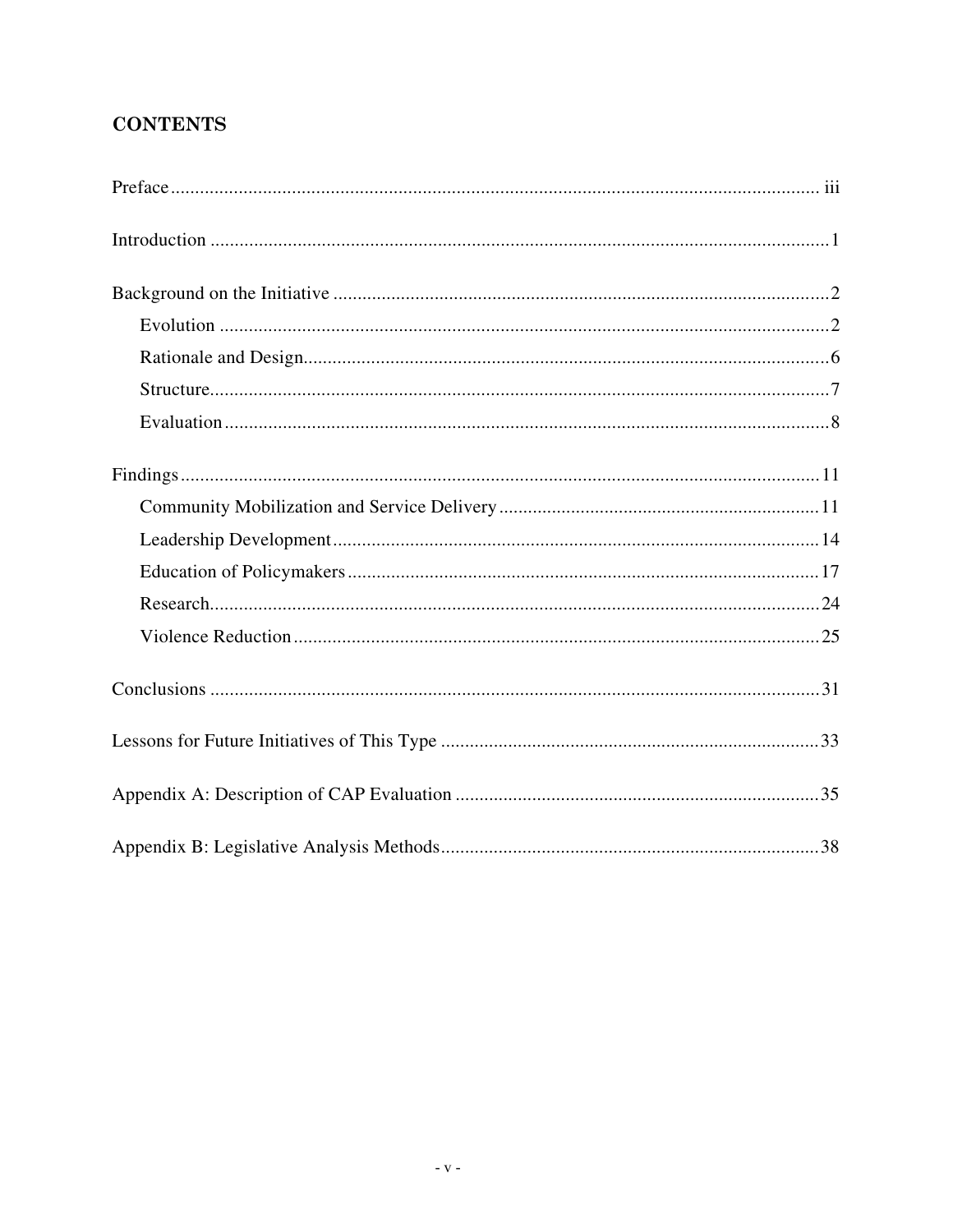## **CONTENTS**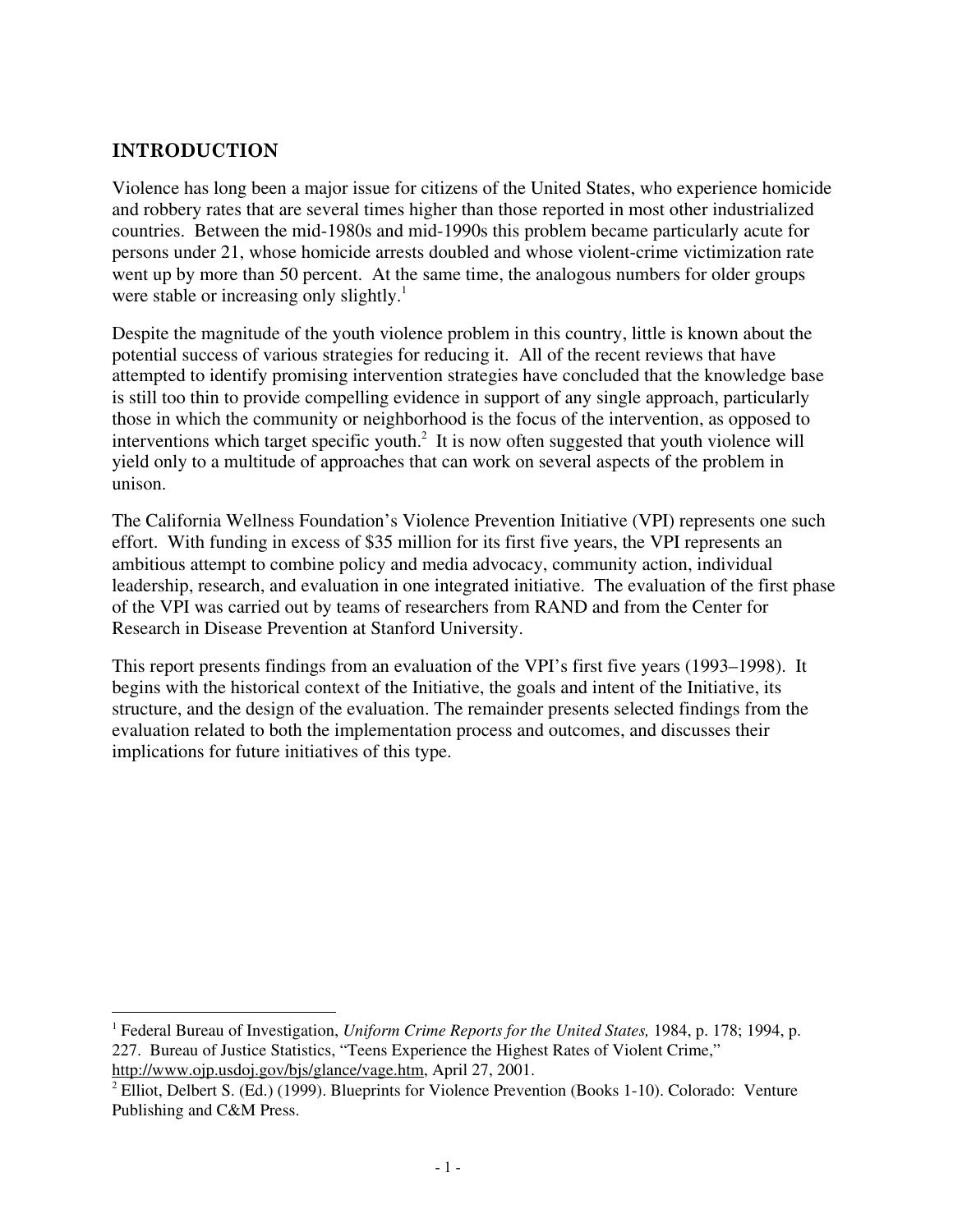#### **INTRODUCTION**

Violence has long been a major issue for citizens of the United States, who experience homicide and robbery rates that are several times higher than those reported in most other industrialized countries. Between the mid-1980s and mid-1990s this problem became particularly acute for persons under 21, whose homicide arrests doubled and whose violent-crime victimization rate went up by more than 50 percent. At the same time, the analogous numbers for older groups were stable or increasing only slightly.<sup>1</sup>

Despite the magnitude of the youth violence problem in this country, little is known about the potential success of various strategies for reducing it. All of the recent reviews that have attempted to identify promising intervention strategies have concluded that the knowledge base is still too thin to provide compelling evidence in support of any single approach, particularly those in which the community or neighborhood is the focus of the intervention, as opposed to interventions which target specific youth. $2$  It is now often suggested that youth violence will yield only to a multitude of approaches that can work on several aspects of the problem in unison.

The California Wellness Foundation's Violence Prevention Initiative (VPI) represents one such effort. With funding in excess of \$35 million for its first five years, the VPI represents an ambitious attempt to combine policy and media advocacy, community action, individual leadership, research, and evaluation in one integrated initiative. The evaluation of the first phase of the VPI was carried out by teams of researchers from RAND and from the Center for Research in Disease Prevention at Stanford University.

This report presents findings from an evaluation of the VPI's first five years (1993–1998). It begins with the historical context of the Initiative, the goals and intent of the Initiative, its structure, and the design of the evaluation. The remainder presents selected findings from the evaluation related to both the implementation process and outcomes, and discusses their implications for future initiatives of this type.

 $\frac{1}{1}$  Federal Bureau of Investigation, *Uniform Crime Reports for the United States,* 1984, p. 178; 1994, p. 227. Bureau of Justice Statistics, "Teens Experience the Highest Rates of Violent Crime," http://www.ojp.usdoj.gov/bjs/glance/vage.htm, April 27, 2001.

<sup>&</sup>lt;sup>2</sup> Elliot, Delbert S. (Ed.) (1999). Blueprints for Violence Prevention (Books 1-10). Colorado: Venture Publishing and C&M Press.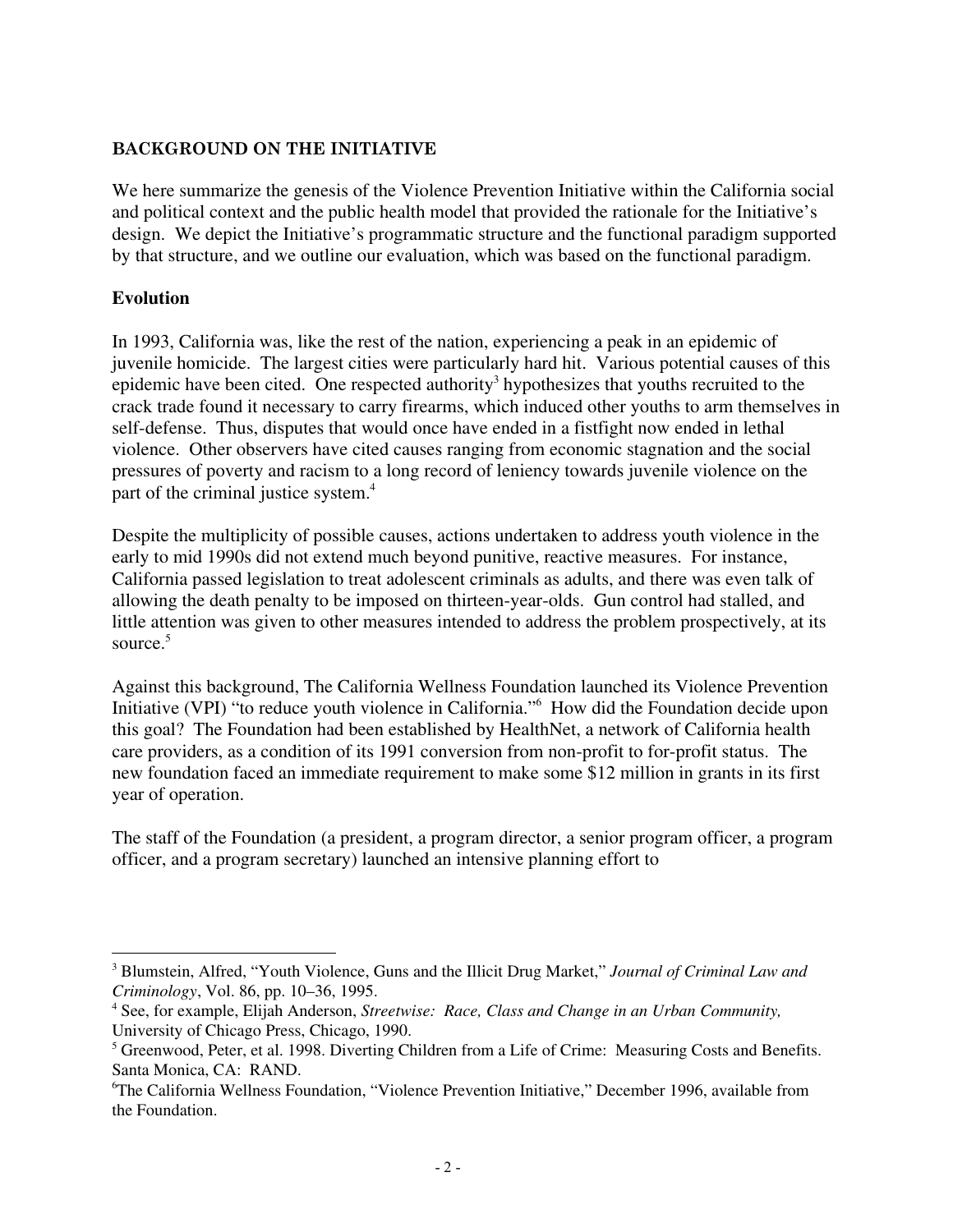#### **BACKGROUND ON THE INITIATIVE**

We here summarize the genesis of the Violence Prevention Initiative within the California social and political context and the public health model that provided the rationale for the Initiative's design. We depict the Initiative's programmatic structure and the functional paradigm supported by that structure, and we outline our evaluation, which was based on the functional paradigm.

#### **Evolution**

In 1993, California was, like the rest of the nation, experiencing a peak in an epidemic of juvenile homicide. The largest cities were particularly hard hit. Various potential causes of this epidemic have been cited. One respected authority<sup>3</sup> hypothesizes that youths recruited to the crack trade found it necessary to carry firearms, which induced other youths to arm themselves in self-defense. Thus, disputes that would once have ended in a fistfight now ended in lethal violence. Other observers have cited causes ranging from economic stagnation and the social pressures of poverty and racism to a long record of leniency towards juvenile violence on the part of the criminal justice system.<sup>4</sup>

Despite the multiplicity of possible causes, actions undertaken to address youth violence in the early to mid 1990s did not extend much beyond punitive, reactive measures. For instance, California passed legislation to treat adolescent criminals as adults, and there was even talk of allowing the death penalty to be imposed on thirteen-year-olds. Gun control had stalled, and little attention was given to other measures intended to address the problem prospectively, at its source.<sup>5</sup>

Against this background, The California Wellness Foundation launched its Violence Prevention Initiative (VPI) "to reduce youth violence in California."6 How did the Foundation decide upon this goal? The Foundation had been established by HealthNet, a network of California health care providers, as a condition of its 1991 conversion from non-profit to for-profit status. The new foundation faced an immediate requirement to make some \$12 million in grants in its first year of operation.

The staff of the Foundation (a president, a program director, a senior program officer, a program officer, and a program secretary) launched an intensive planning effort to

 $\frac{1}{3}$  Blumstein, Alfred, "Youth Violence, Guns and the Illicit Drug Market," *Journal of Criminal Law and Criminology*, Vol. 86, pp. 10–36, 1995.

<sup>4</sup> See, for example, Elijah Anderson, *Streetwise: Race, Class and Change in an Urban Community,* University of Chicago Press, Chicago, 1990.

<sup>&</sup>lt;sup>5</sup> Greenwood, Peter, et al. 1998. Diverting Children from a Life of Crime: Measuring Costs and Benefits. Santa Monica, CA: RAND.

<sup>6</sup> The California Wellness Foundation, "Violence Prevention Initiative," December 1996, available from the Foundation.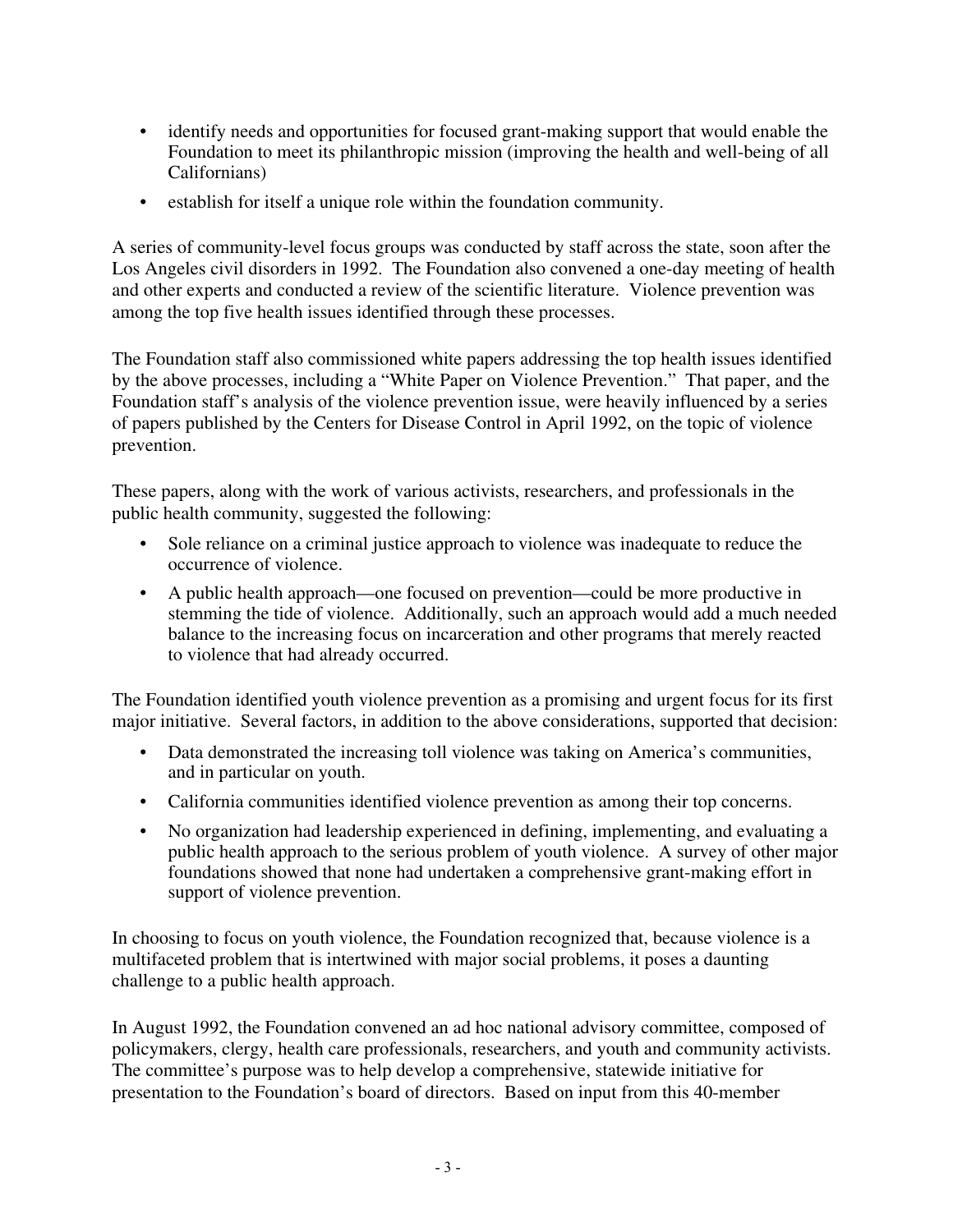- identify needs and opportunities for focused grant-making support that would enable the Foundation to meet its philanthropic mission (improving the health and well-being of all Californians)
- establish for itself a unique role within the foundation community.

A series of community-level focus groups was conducted by staff across the state, soon after the Los Angeles civil disorders in 1992. The Foundation also convened a one-day meeting of health and other experts and conducted a review of the scientific literature. Violence prevention was among the top five health issues identified through these processes.

The Foundation staff also commissioned white papers addressing the top health issues identified by the above processes, including a "White Paper on Violence Prevention." That paper, and the Foundation staff's analysis of the violence prevention issue, were heavily influenced by a series of papers published by the Centers for Disease Control in April 1992, on the topic of violence prevention.

These papers, along with the work of various activists, researchers, and professionals in the public health community, suggested the following:

- Sole reliance on a criminal justice approach to violence was inadequate to reduce the occurrence of violence.
- A public health approach—one focused on prevention—could be more productive in stemming the tide of violence. Additionally, such an approach would add a much needed balance to the increasing focus on incarceration and other programs that merely reacted to violence that had already occurred.

The Foundation identified youth violence prevention as a promising and urgent focus for its first major initiative. Several factors, in addition to the above considerations, supported that decision:

- Data demonstrated the increasing toll violence was taking on America's communities, and in particular on youth.
- California communities identified violence prevention as among their top concerns.
- No organization had leadership experienced in defining, implementing, and evaluating a public health approach to the serious problem of youth violence. A survey of other major foundations showed that none had undertaken a comprehensive grant-making effort in support of violence prevention.

In choosing to focus on youth violence, the Foundation recognized that, because violence is a multifaceted problem that is intertwined with major social problems, it poses a daunting challenge to a public health approach.

In August 1992, the Foundation convened an ad hoc national advisory committee, composed of policymakers, clergy, health care professionals, researchers, and youth and community activists. The committee's purpose was to help develop a comprehensive, statewide initiative for presentation to the Foundation's board of directors. Based on input from this 40-member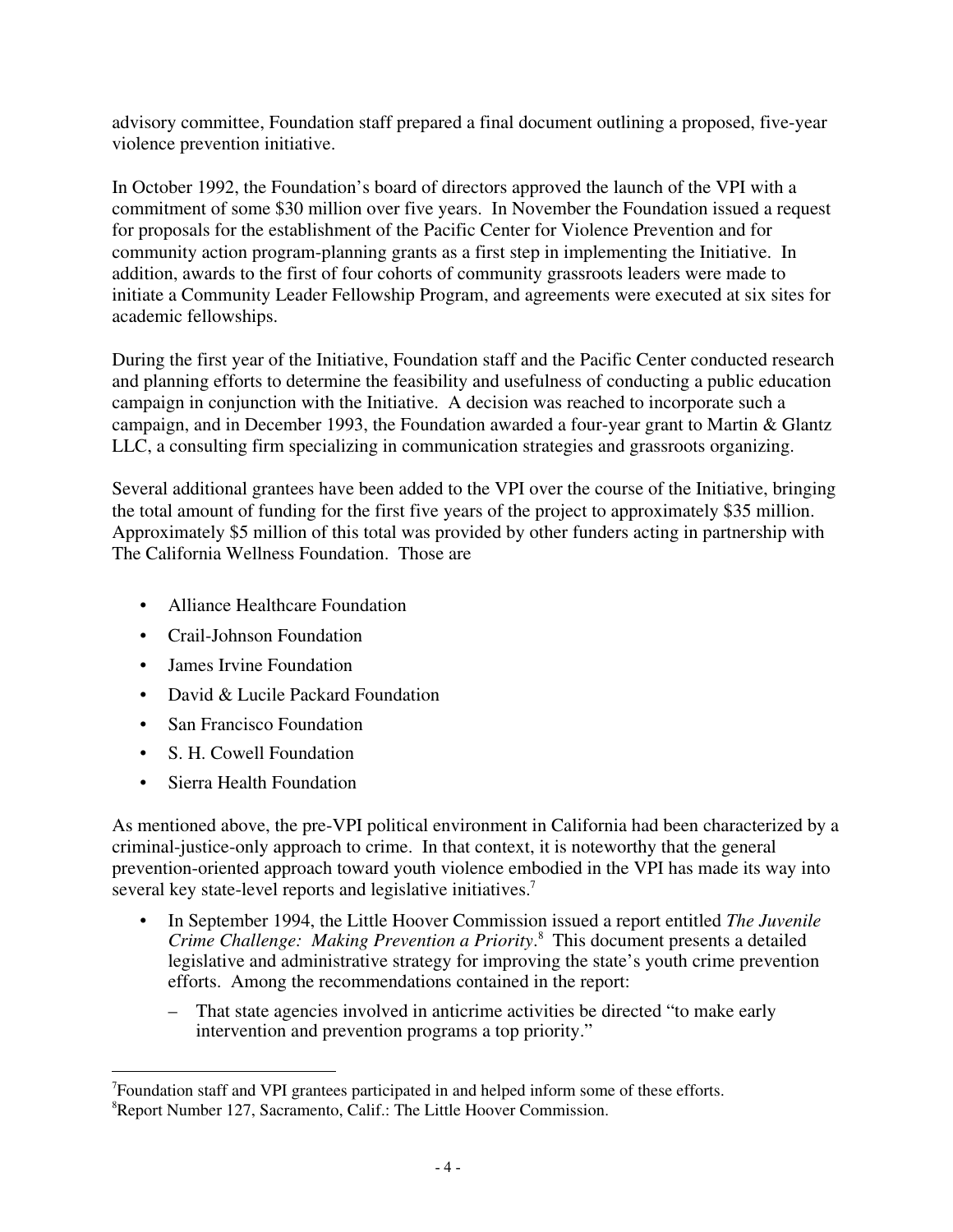advisory committee, Foundation staff prepared a final document outlining a proposed, five-year violence prevention initiative.

In October 1992, the Foundation's board of directors approved the launch of the VPI with a commitment of some \$30 million over five years. In November the Foundation issued a request for proposals for the establishment of the Pacific Center for Violence Prevention and for community action program-planning grants as a first step in implementing the Initiative. In addition, awards to the first of four cohorts of community grassroots leaders were made to initiate a Community Leader Fellowship Program, and agreements were executed at six sites for academic fellowships.

During the first year of the Initiative, Foundation staff and the Pacific Center conducted research and planning efforts to determine the feasibility and usefulness of conducting a public education campaign in conjunction with the Initiative. A decision was reached to incorporate such a campaign, and in December 1993, the Foundation awarded a four-year grant to Martin & Glantz LLC, a consulting firm specializing in communication strategies and grassroots organizing.

Several additional grantees have been added to the VPI over the course of the Initiative, bringing the total amount of funding for the first five years of the project to approximately \$35 million. Approximately \$5 million of this total was provided by other funders acting in partnership with The California Wellness Foundation. Those are

- Alliance Healthcare Foundation
- Crail-Johnson Foundation
- James Irvine Foundation
- David & Lucile Packard Foundation
- San Francisco Foundation
- S. H. Cowell Foundation
- Sierra Health Foundation

As mentioned above, the pre-VPI political environment in California had been characterized by a criminal-justice-only approach to crime. In that context, it is noteworthy that the general prevention-oriented approach toward youth violence embodied in the VPI has made its way into several key state-level reports and legislative initiatives.<sup>7</sup>

- In September 1994, the Little Hoover Commission issued a report entitled *The Juvenile Crime Challenge: Making Prevention a Priority*. 8 This document presents a detailed legislative and administrative strategy for improving the state's youth crime prevention efforts. Among the recommendations contained in the report:
	- That state agencies involved in anticrime activities be directed "to make early intervention and prevention programs a top priority."

<sup>-&</sup>lt;br>7 Foundation staff and VPI grantees participated in and helped inform some of these efforts. 8 Report Number 127, Sacramento, Calif.: The Little Hoover Commission.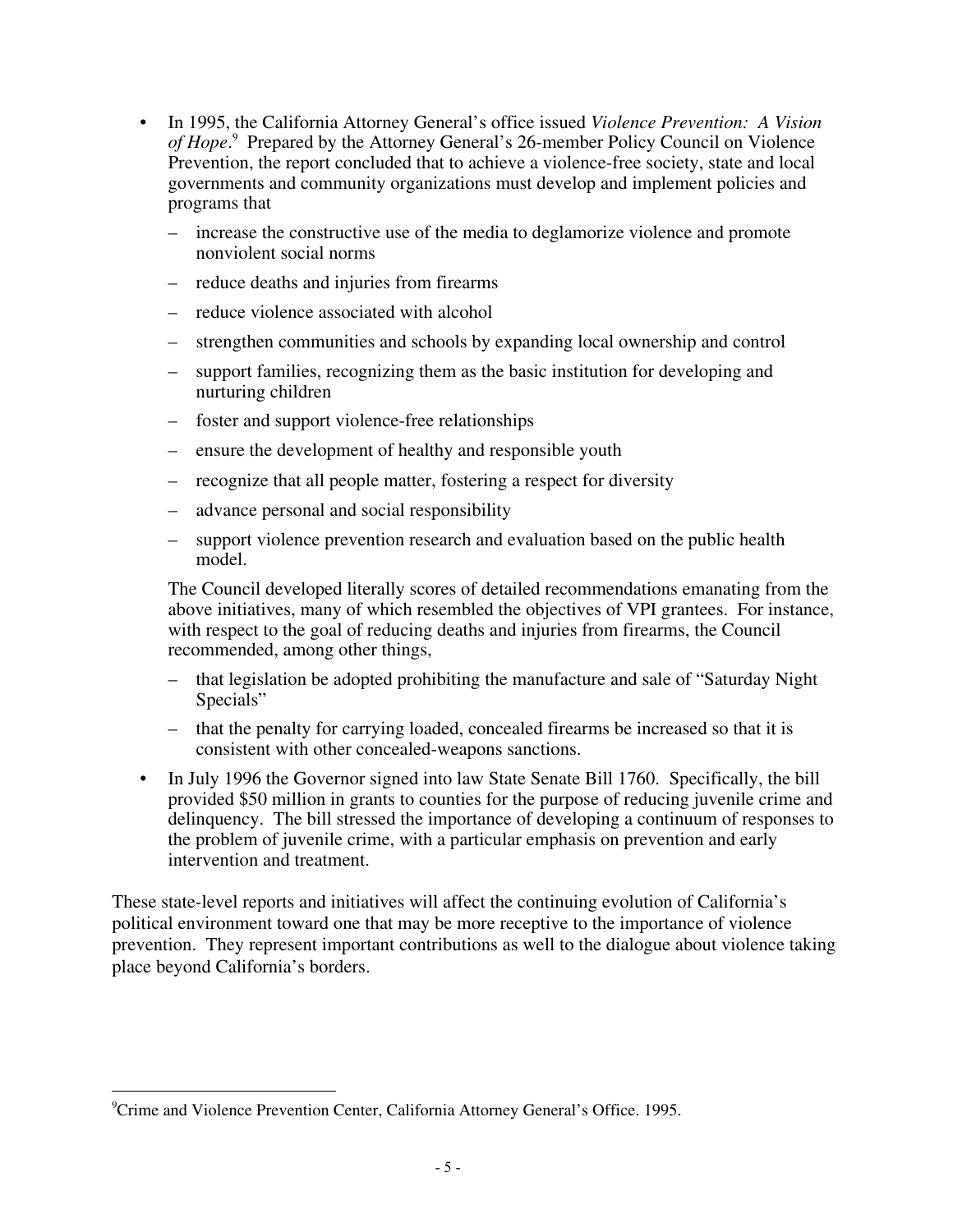- In 1995, the California Attorney General's office issued *Violence Prevention: A Vision* of Hope.<sup>9</sup> Prepared by the Attorney General's 26-member Policy Council on Violence Prevention, the report concluded that to achieve a violence-free society, state and local governments and community organizations must develop and implement policies and programs that
	- increase the constructive use of the media to deglamorize violence and promote nonviolent social norms
	- reduce deaths and injuries from firearms
	- reduce violence associated with alcohol
	- strengthen communities and schools by expanding local ownership and control
	- support families, recognizing them as the basic institution for developing and nurturing children
	- foster and support violence-free relationships
	- ensure the development of healthy and responsible youth
	- recognize that all people matter, fostering a respect for diversity
	- advance personal and social responsibility
	- support violence prevention research and evaluation based on the public health model.

The Council developed literally scores of detailed recommendations emanating from the above initiatives, many of which resembled the objectives of VPI grantees. For instance, with respect to the goal of reducing deaths and injuries from firearms, the Council recommended, among other things,

- that legislation be adopted prohibiting the manufacture and sale of "Saturday Night Specials"
- that the penalty for carrying loaded, concealed firearms be increased so that it is consistent with other concealed-weapons sanctions.
- In July 1996 the Governor signed into law State Senate Bill 1760. Specifically, the bill provided \$50 million in grants to counties for the purpose of reducing juvenile crime and delinquency. The bill stressed the importance of developing a continuum of responses to the problem of juvenile crime, with a particular emphasis on prevention and early intervention and treatment.

These state-level reports and initiatives will affect the continuing evolution of California's political environment toward one that may be more receptive to the importance of violence prevention. They represent important contributions as well to the dialogue about violence taking place beyond California's borders.

<sup>-&</sup>lt;br>9 Crime and Violence Prevention Center, California Attorney General's Office. 1995.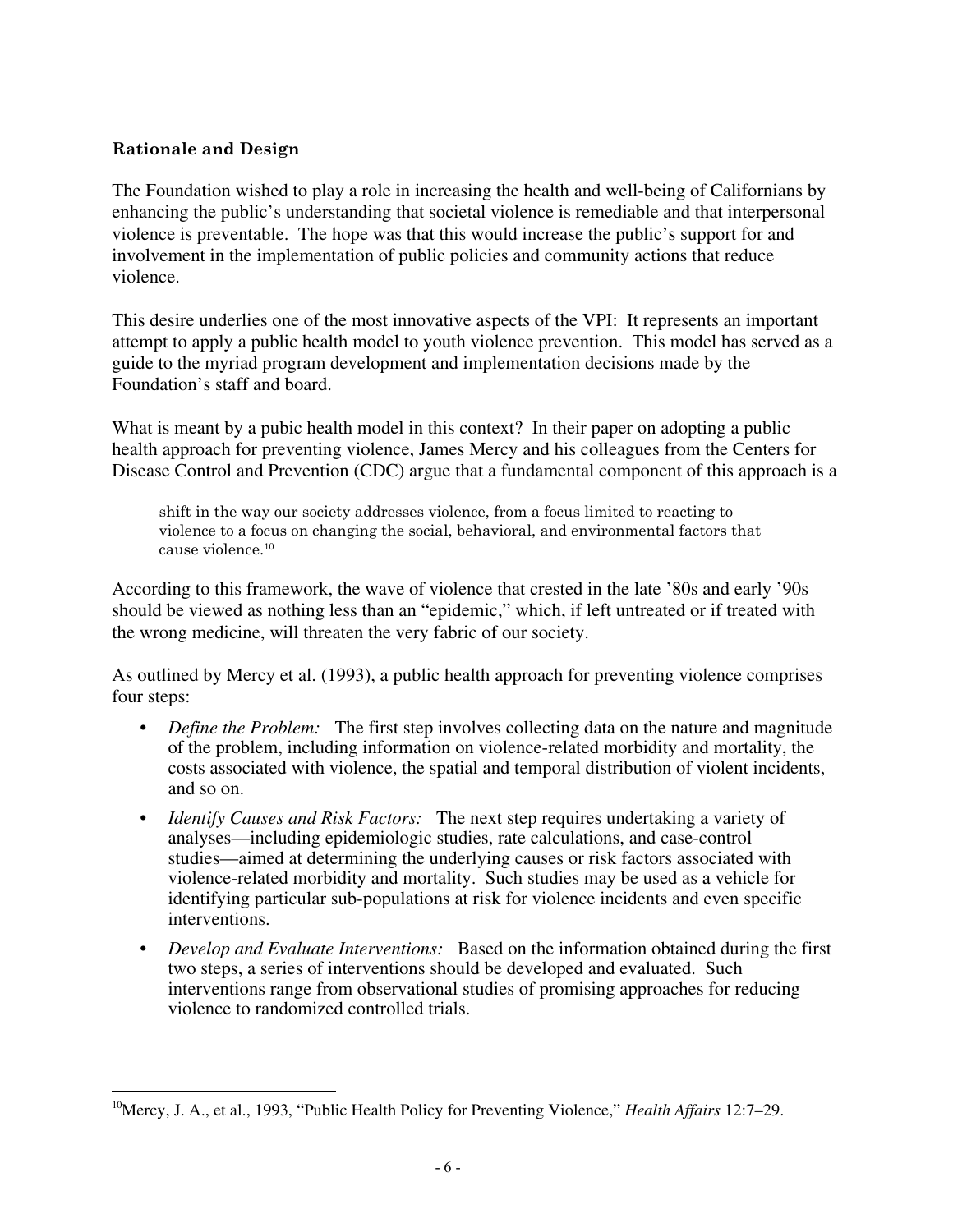#### **Rationale and Design**

The Foundation wished to play a role in increasing the health and well-being of Californians by enhancing the public's understanding that societal violence is remediable and that interpersonal violence is preventable. The hope was that this would increase the public's support for and involvement in the implementation of public policies and community actions that reduce violence.

This desire underlies one of the most innovative aspects of the VPI: It represents an important attempt to apply a public health model to youth violence prevention. This model has served as a guide to the myriad program development and implementation decisions made by the Foundation's staff and board.

What is meant by a pubic health model in this context? In their paper on adopting a public health approach for preventing violence, James Mercy and his colleagues from the Centers for Disease Control and Prevention (CDC) argue that a fundamental component of this approach is a

shift in the way our society addresses violence, from a focus limited to reacting to violence to a focus on changing the social, behavioral, and environmental factors that cause violence.10

According to this framework, the wave of violence that crested in the late '80s and early '90s should be viewed as nothing less than an "epidemic," which, if left untreated or if treated with the wrong medicine, will threaten the very fabric of our society.

As outlined by Mercy et al. (1993), a public health approach for preventing violence comprises four steps:

- *Define the Problem:* The first step involves collecting data on the nature and magnitude of the problem, including information on violence-related morbidity and mortality, the costs associated with violence, the spatial and temporal distribution of violent incidents, and so on.
- *Identify Causes and Risk Factors:* The next step requires undertaking a variety of analyses—including epidemiologic studies, rate calculations, and case-control studies—aimed at determining the underlying causes or risk factors associated with violence-related morbidity and mortality. Such studies may be used as a vehicle for identifying particular sub-populations at risk for violence incidents and even specific interventions.
- *Develop and Evaluate Interventions:* Based on the information obtained during the first two steps, a series of interventions should be developed and evaluated. Such interventions range from observational studies of promising approaches for reducing violence to randomized controlled trials.

 <sup>10</sup>Mercy, J. A., et al., 1993, "Public Health Policy for Preventing Violence," *Health Affairs* 12:7–29.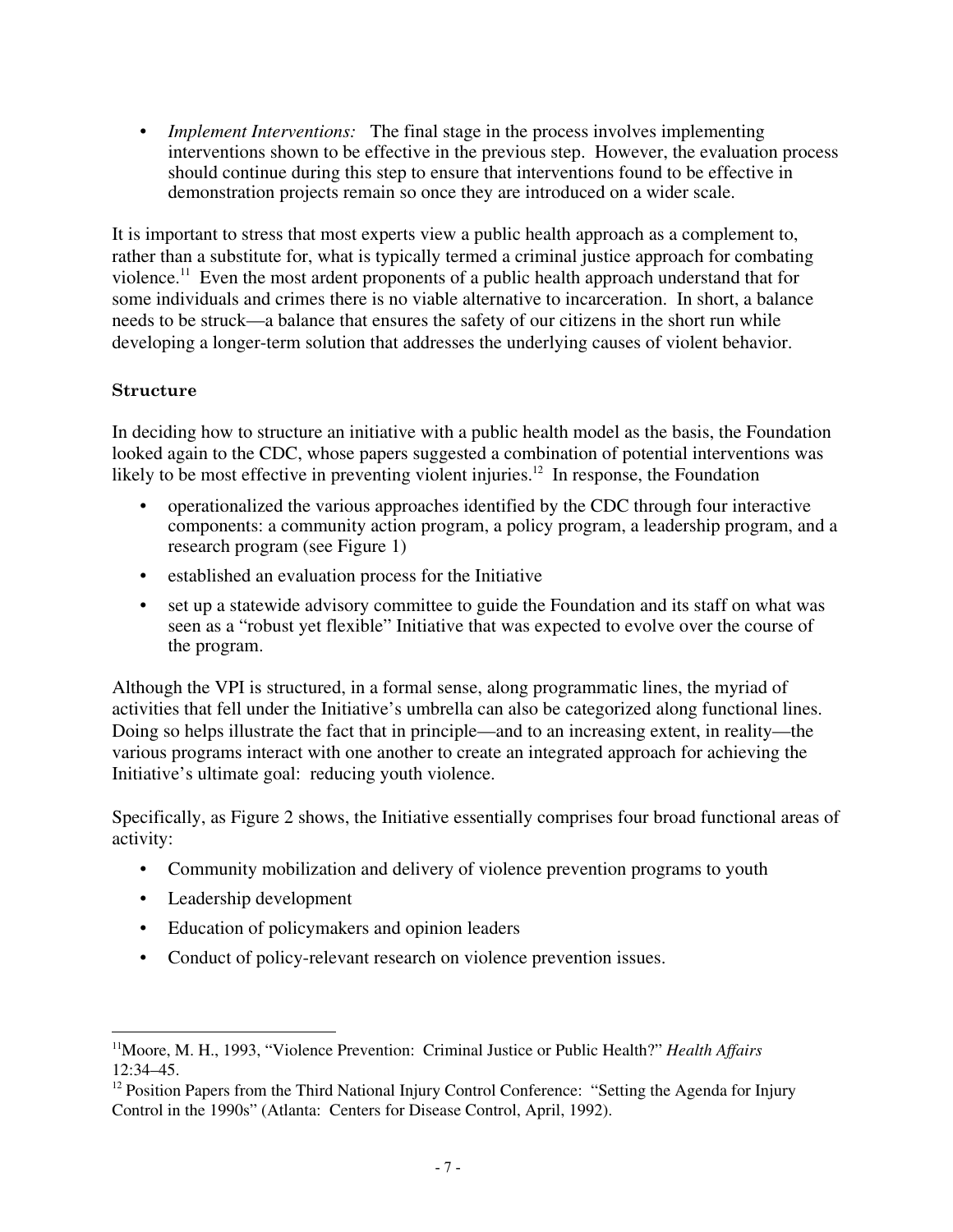• *Implement Interventions:* The final stage in the process involves implementing interventions shown to be effective in the previous step. However, the evaluation process should continue during this step to ensure that interventions found to be effective in demonstration projects remain so once they are introduced on a wider scale.

It is important to stress that most experts view a public health approach as a complement to, rather than a substitute for, what is typically termed a criminal justice approach for combating violence.11 Even the most ardent proponents of a public health approach understand that for some individuals and crimes there is no viable alternative to incarceration. In short, a balance needs to be struck—a balance that ensures the safety of our citizens in the short run while developing a longer-term solution that addresses the underlying causes of violent behavior.

#### **Structure**

In deciding how to structure an initiative with a public health model as the basis, the Foundation looked again to the CDC, whose papers suggested a combination of potential interventions was likely to be most effective in preventing violent injuries.<sup>12</sup> In response, the Foundation

- operationalized the various approaches identified by the CDC through four interactive components: a community action program, a policy program, a leadership program, and a research program (see Figure 1)
- established an evaluation process for the Initiative
- set up a statewide advisory committee to guide the Foundation and its staff on what was seen as a "robust yet flexible" Initiative that was expected to evolve over the course of the program.

Although the VPI is structured, in a formal sense, along programmatic lines, the myriad of activities that fell under the Initiative's umbrella can also be categorized along functional lines. Doing so helps illustrate the fact that in principle—and to an increasing extent, in reality—the various programs interact with one another to create an integrated approach for achieving the Initiative's ultimate goal: reducing youth violence.

Specifically, as Figure 2 shows, the Initiative essentially comprises four broad functional areas of activity:

- Community mobilization and delivery of violence prevention programs to youth
- Leadership development
- Education of policymakers and opinion leaders
- Conduct of policy-relevant research on violence prevention issues.

 <sup>11</sup>Moore, M. H., 1993, "Violence Prevention: Criminal Justice or Public Health?" *Health Affairs* 12:34–45.

<sup>&</sup>lt;sup>12</sup> Position Papers from the Third National Injury Control Conference: "Setting the Agenda for Injury Control in the 1990s" (Atlanta: Centers for Disease Control, April, 1992).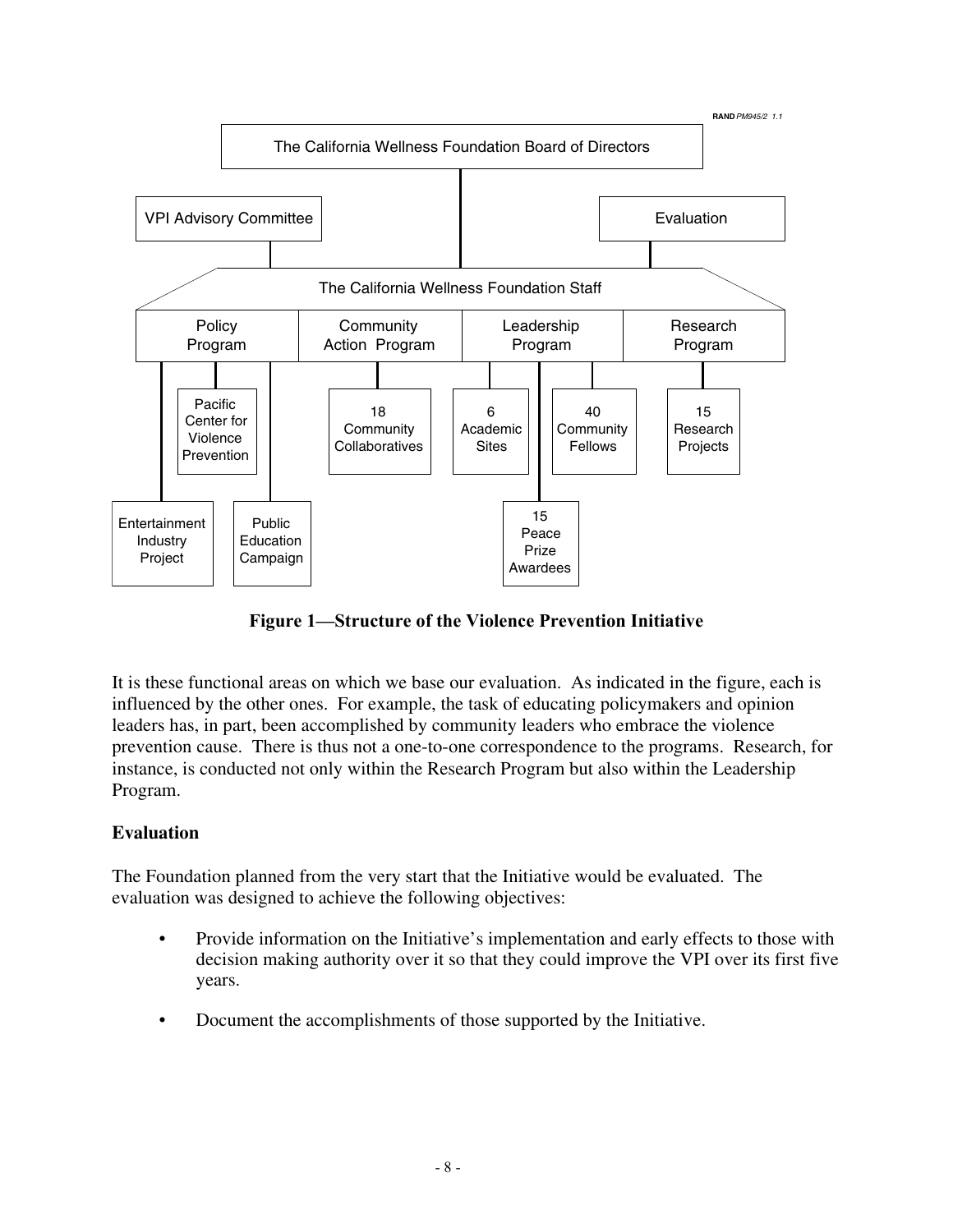

**Figure 1—Structure of the Violence Prevention Initiative**

It is these functional areas on which we base our evaluation. As indicated in the figure, each is influenced by the other ones. For example, the task of educating policymakers and opinion leaders has, in part, been accomplished by community leaders who embrace the violence prevention cause. There is thus not a one-to-one correspondence to the programs. Research, for instance, is conducted not only within the Research Program but also within the Leadership Program.

#### **Evaluation**

The Foundation planned from the very start that the Initiative would be evaluated. The evaluation was designed to achieve the following objectives:

- Provide information on the Initiative's implementation and early effects to those with decision making authority over it so that they could improve the VPI over its first five years.
- Document the accomplishments of those supported by the Initiative.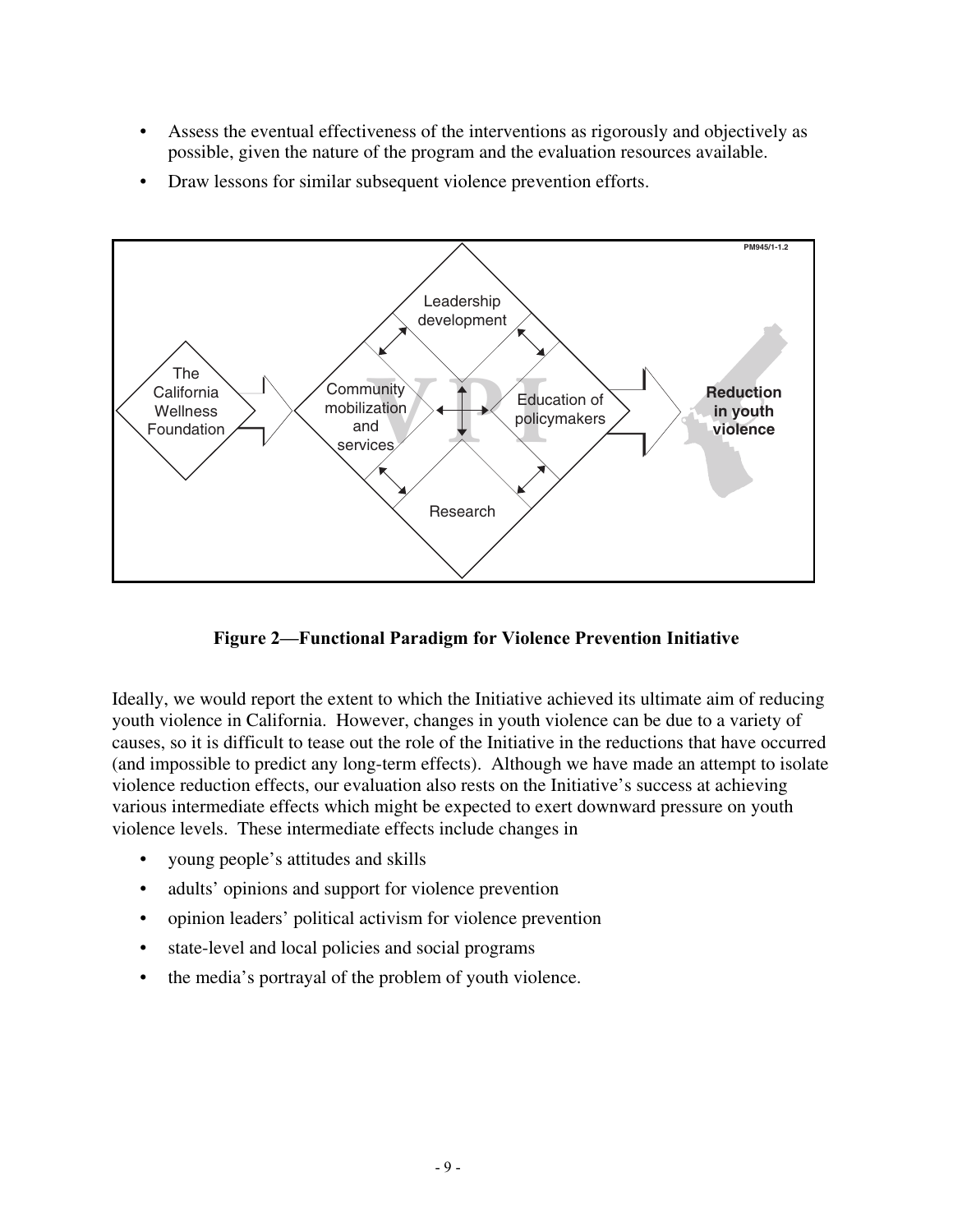- Assess the eventual effectiveness of the interventions as rigorously and objectively as possible, given the nature of the program and the evaluation resources available.
- Draw lessons for similar subsequent violence prevention efforts.



**Figure 2—Functional Paradigm for Violence Prevention Initiative**

Ideally, we would report the extent to which the Initiative achieved its ultimate aim of reducing youth violence in California. However, changes in youth violence can be due to a variety of causes, so it is difficult to tease out the role of the Initiative in the reductions that have occurred (and impossible to predict any long-term effects). Although we have made an attempt to isolate violence reduction effects, our evaluation also rests on the Initiative's success at achieving various intermediate effects which might be expected to exert downward pressure on youth violence levels. These intermediate effects include changes in

- young people's attitudes and skills
- adults' opinions and support for violence prevention
- opinion leaders' political activism for violence prevention
- state-level and local policies and social programs
- the media's portrayal of the problem of youth violence.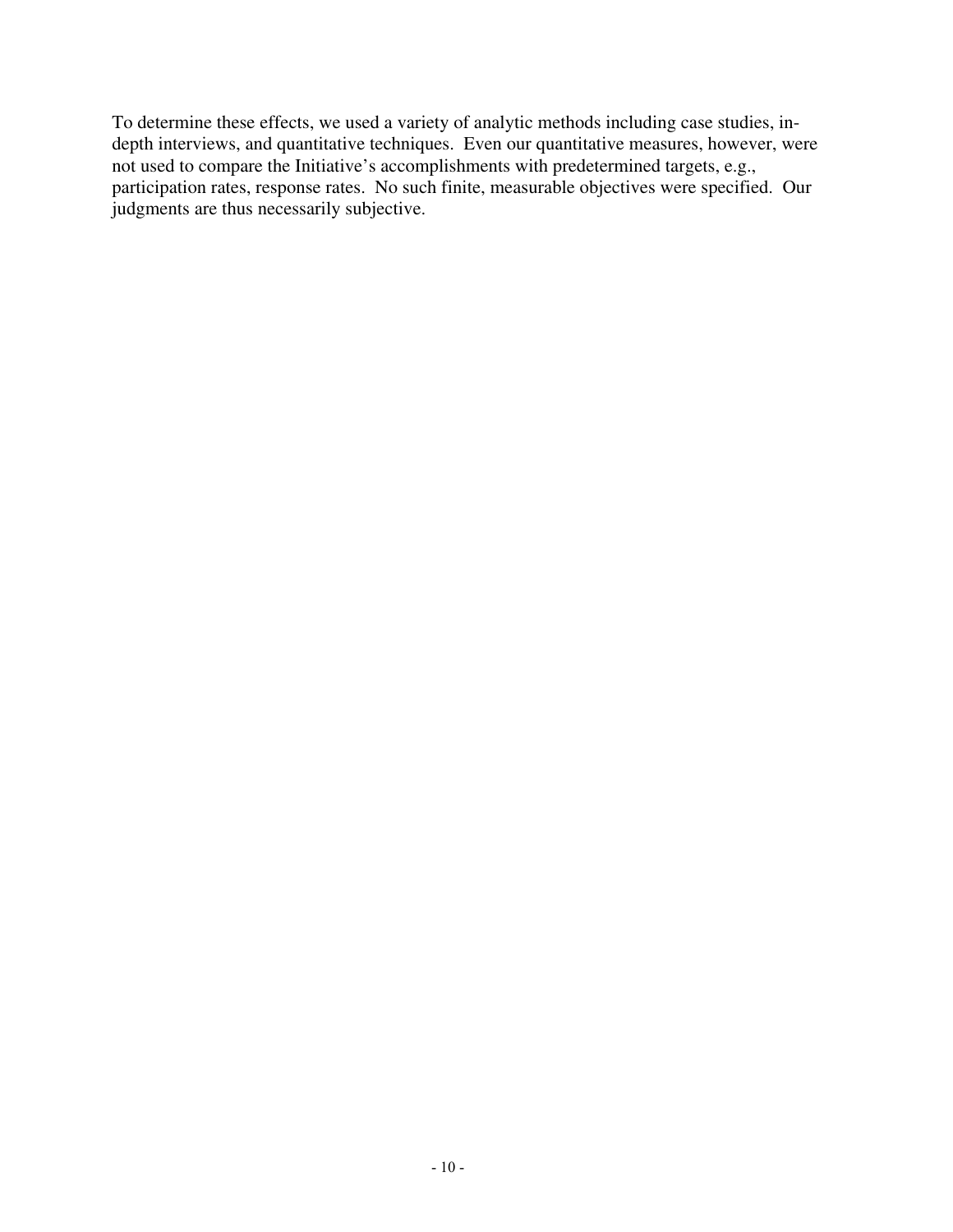To determine these effects, we used a variety of analytic methods including case studies, indepth interviews, and quantitative techniques. Even our quantitative measures, however, were not used to compare the Initiative's accomplishments with predetermined targets, e.g., participation rates, response rates. No such finite, measurable objectives were specified. Our judgments are thus necessarily subjective.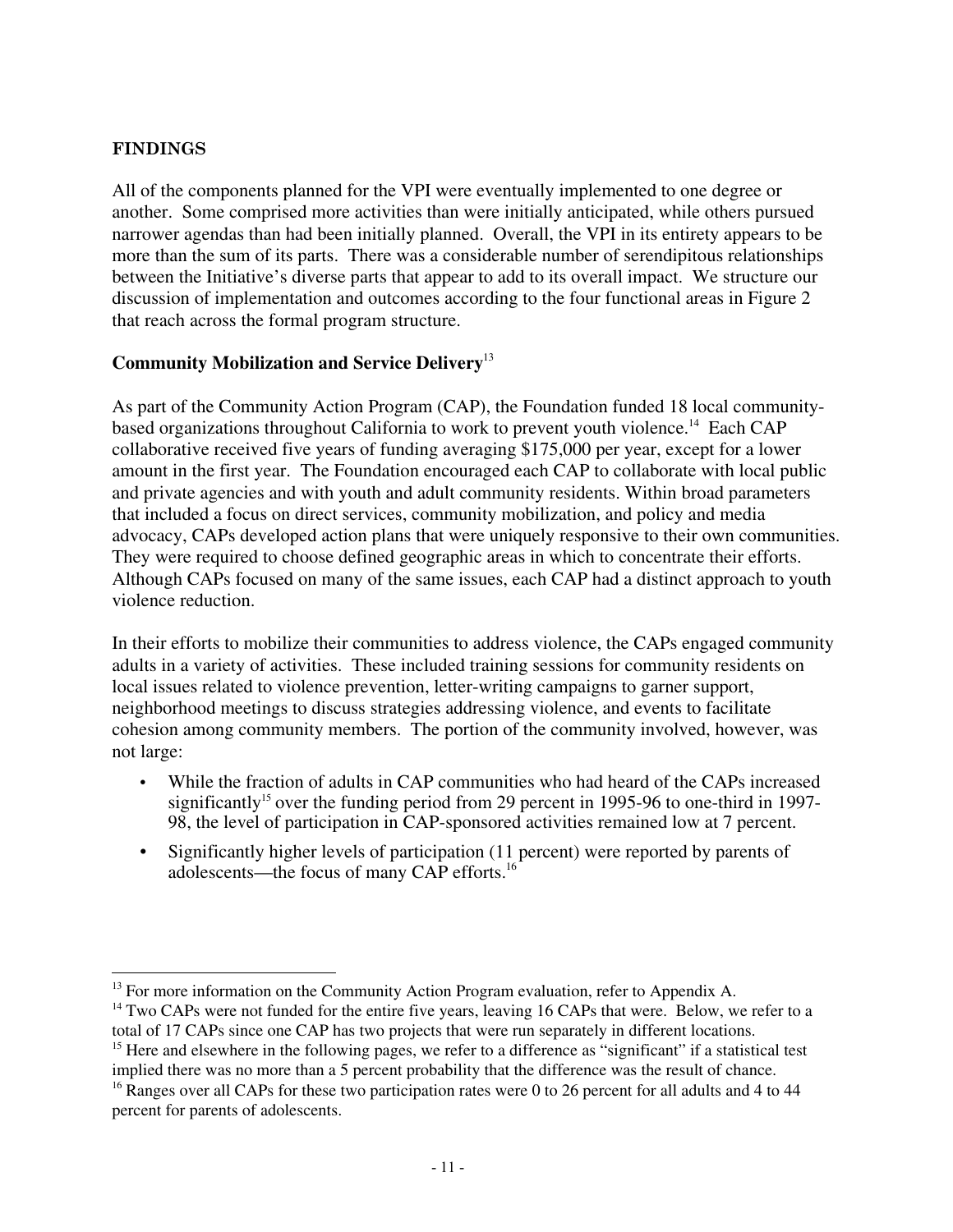#### **FINDINGS**

All of the components planned for the VPI were eventually implemented to one degree or another. Some comprised more activities than were initially anticipated, while others pursued narrower agendas than had been initially planned. Overall, the VPI in its entirety appears to be more than the sum of its parts. There was a considerable number of serendipitous relationships between the Initiative's diverse parts that appear to add to its overall impact. We structure our discussion of implementation and outcomes according to the four functional areas in Figure 2 that reach across the formal program structure.

#### **Community Mobilization and Service Delivery**<sup>13</sup>

As part of the Community Action Program (CAP), the Foundation funded 18 local communitybased organizations throughout California to work to prevent youth violence.<sup>14</sup> Each CAP collaborative received five years of funding averaging \$175,000 per year, except for a lower amount in the first year. The Foundation encouraged each CAP to collaborate with local public and private agencies and with youth and adult community residents. Within broad parameters that included a focus on direct services, community mobilization, and policy and media advocacy, CAPs developed action plans that were uniquely responsive to their own communities. They were required to choose defined geographic areas in which to concentrate their efforts. Although CAPs focused on many of the same issues, each CAP had a distinct approach to youth violence reduction.

In their efforts to mobilize their communities to address violence, the CAPs engaged community adults in a variety of activities. These included training sessions for community residents on local issues related to violence prevention, letter-writing campaigns to garner support, neighborhood meetings to discuss strategies addressing violence, and events to facilitate cohesion among community members. The portion of the community involved, however, was not large:

- While the fraction of adults in CAP communities who had heard of the CAPs increased significantly<sup>15</sup> over the funding period from 29 percent in 1995-96 to one-third in 1997-98, the level of participation in CAP-sponsored activities remained low at 7 percent.
- Significantly higher levels of participation (11 percent) were reported by parents of adolescents—the focus of many CAP efforts.16

<sup>&</sup>lt;sup>13</sup> For more information on the Community Action Program evaluation, refer to Appendix A.

<sup>&</sup>lt;sup>14</sup> Two CAPs were not funded for the entire five years, leaving 16 CAPs that were. Below, we refer to a total of 17 CAPs since one CAP has two projects that were run separately in different locations. <sup>15</sup> Here and elsewhere in the following pages, we refer to a difference as "significant" if a statistical test

implied there was no more than a 5 percent probability that the difference was the result of chance. <sup>16</sup> Ranges over all CAPs for these two participation rates were 0 to 26 percent for all adults and 4 to 44

percent for parents of adolescents.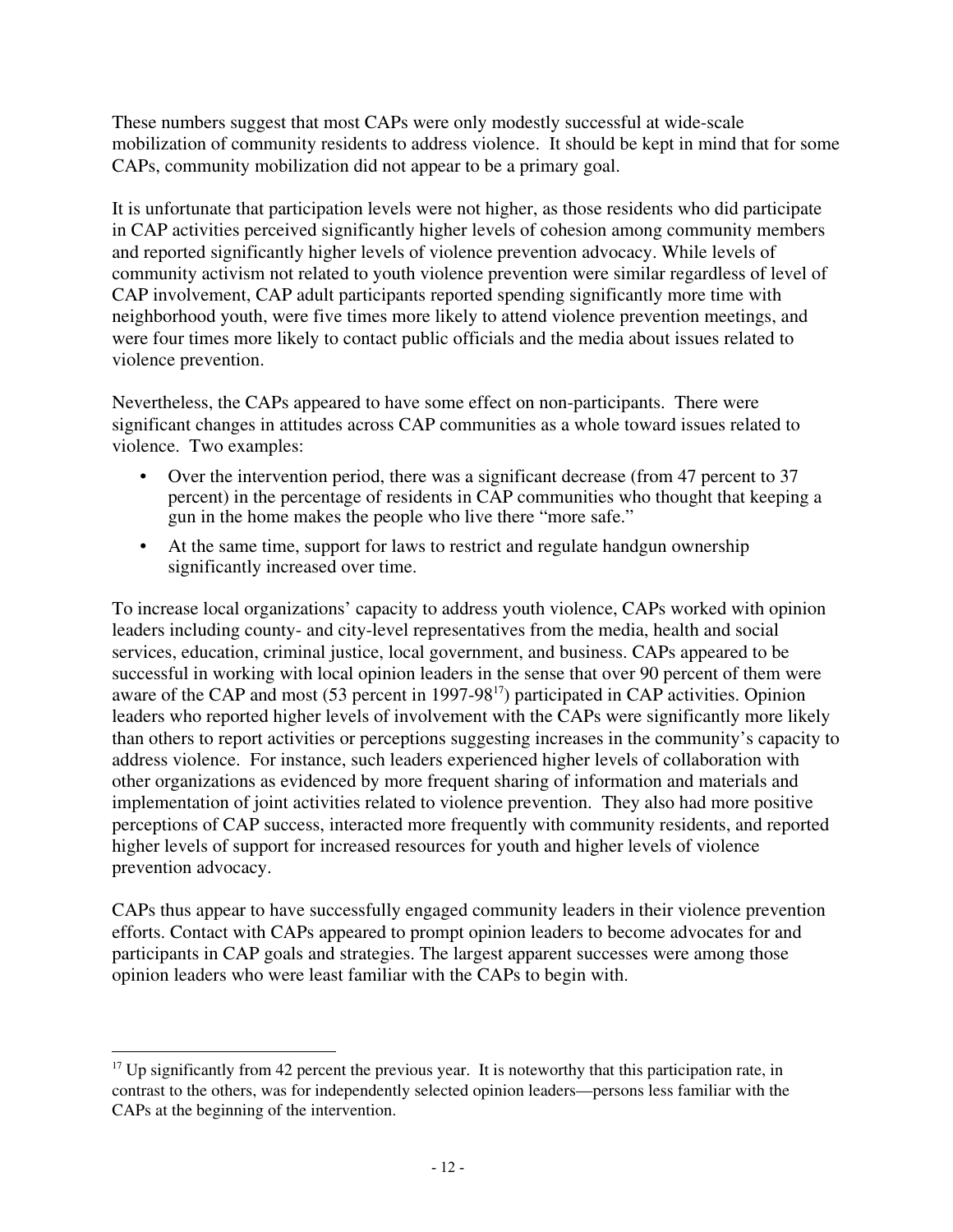These numbers suggest that most CAPs were only modestly successful at wide-scale mobilization of community residents to address violence. It should be kept in mind that for some CAPs, community mobilization did not appear to be a primary goal.

It is unfortunate that participation levels were not higher, as those residents who did participate in CAP activities perceived significantly higher levels of cohesion among community members and reported significantly higher levels of violence prevention advocacy. While levels of community activism not related to youth violence prevention were similar regardless of level of CAP involvement, CAP adult participants reported spending significantly more time with neighborhood youth, were five times more likely to attend violence prevention meetings, and were four times more likely to contact public officials and the media about issues related to violence prevention.

Nevertheless, the CAPs appeared to have some effect on non-participants. There were significant changes in attitudes across CAP communities as a whole toward issues related to violence. Two examples:

- Over the intervention period, there was a significant decrease (from 47 percent to 37 percent) in the percentage of residents in CAP communities who thought that keeping a gun in the home makes the people who live there "more safe."
- At the same time, support for laws to restrict and regulate handgun ownership significantly increased over time.

To increase local organizations' capacity to address youth violence, CAPs worked with opinion leaders including county- and city-level representatives from the media, health and social services, education, criminal justice, local government, and business. CAPs appeared to be successful in working with local opinion leaders in the sense that over 90 percent of them were aware of the CAP and most  $(53 \text{ percent in } 1997-98^{17})$  participated in CAP activities. Opinion leaders who reported higher levels of involvement with the CAPs were significantly more likely than others to report activities or perceptions suggesting increases in the community's capacity to address violence. For instance, such leaders experienced higher levels of collaboration with other organizations as evidenced by more frequent sharing of information and materials and implementation of joint activities related to violence prevention. They also had more positive perceptions of CAP success, interacted more frequently with community residents, and reported higher levels of support for increased resources for youth and higher levels of violence prevention advocacy.

CAPs thus appear to have successfully engaged community leaders in their violence prevention efforts. Contact with CAPs appeared to prompt opinion leaders to become advocates for and participants in CAP goals and strategies. The largest apparent successes were among those opinion leaders who were least familiar with the CAPs to begin with.

 $17$  Up significantly from 42 percent the previous year. It is noteworthy that this participation rate, in contrast to the others, was for independently selected opinion leaders—persons less familiar with the CAPs at the beginning of the intervention.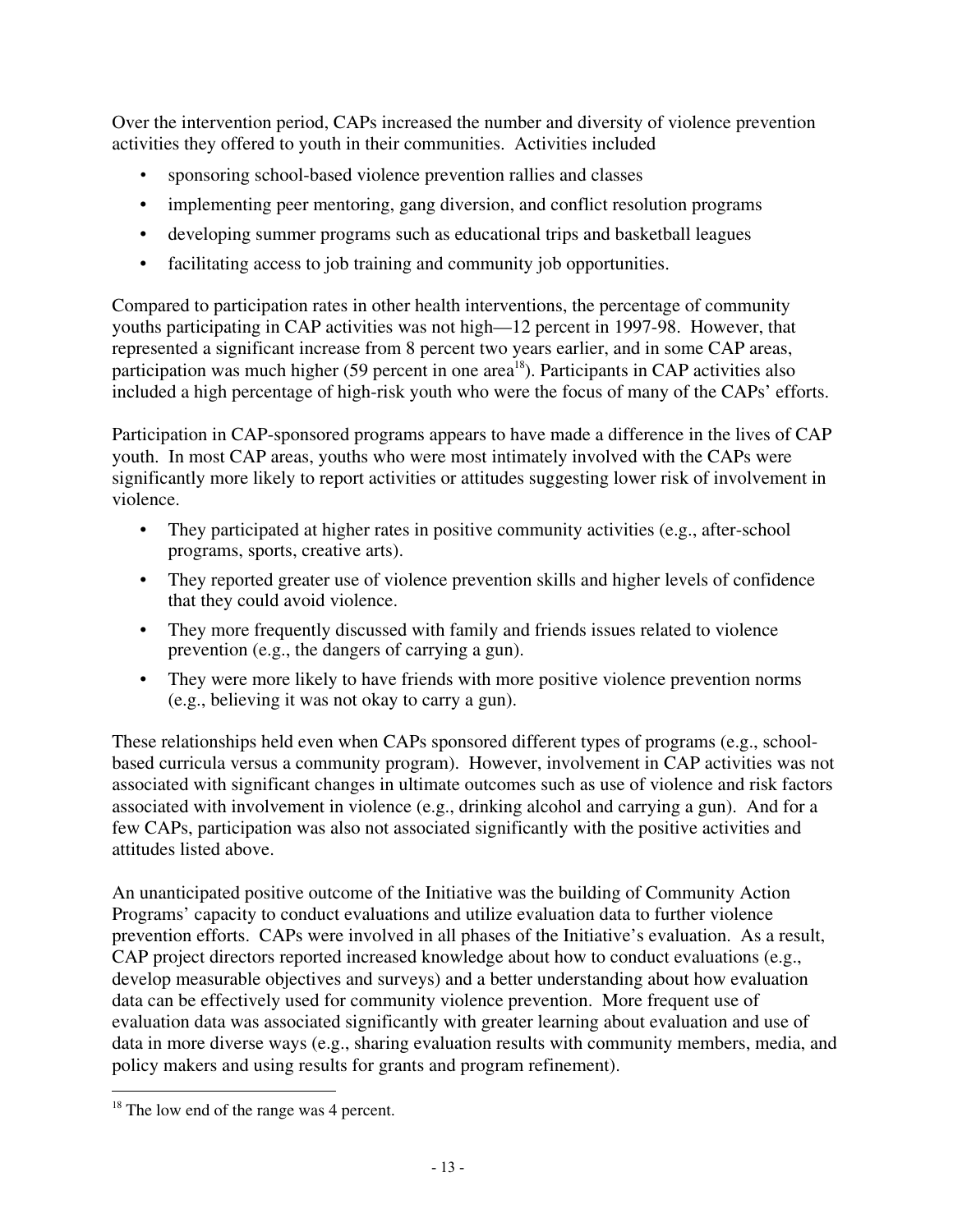Over the intervention period, CAPs increased the number and diversity of violence prevention activities they offered to youth in their communities. Activities included

- sponsoring school-based violence prevention rallies and classes
- implementing peer mentoring, gang diversion, and conflict resolution programs
- developing summer programs such as educational trips and basketball leagues
- facilitating access to job training and community job opportunities.

Compared to participation rates in other health interventions, the percentage of community youths participating in CAP activities was not high—12 percent in 1997-98. However, that represented a significant increase from 8 percent two years earlier, and in some CAP areas, participation was much higher (59 percent in one area<sup>18</sup>). Participants in CAP activities also included a high percentage of high-risk youth who were the focus of many of the CAPs' efforts.

Participation in CAP-sponsored programs appears to have made a difference in the lives of CAP youth. In most CAP areas, youths who were most intimately involved with the CAPs were significantly more likely to report activities or attitudes suggesting lower risk of involvement in violence.

- They participated at higher rates in positive community activities (e.g., after-school programs, sports, creative arts).
- They reported greater use of violence prevention skills and higher levels of confidence that they could avoid violence.
- They more frequently discussed with family and friends issues related to violence prevention (e.g., the dangers of carrying a gun).
- They were more likely to have friends with more positive violence prevention norms (e.g., believing it was not okay to carry a gun).

These relationships held even when CAPs sponsored different types of programs (e.g., schoolbased curricula versus a community program). However, involvement in CAP activities was not associated with significant changes in ultimate outcomes such as use of violence and risk factors associated with involvement in violence (e.g., drinking alcohol and carrying a gun). And for a few CAPs, participation was also not associated significantly with the positive activities and attitudes listed above.

An unanticipated positive outcome of the Initiative was the building of Community Action Programs' capacity to conduct evaluations and utilize evaluation data to further violence prevention efforts. CAPs were involved in all phases of the Initiative's evaluation. As a result, CAP project directors reported increased knowledge about how to conduct evaluations (e.g., develop measurable objectives and surveys) and a better understanding about how evaluation data can be effectively used for community violence prevention. More frequent use of evaluation data was associated significantly with greater learning about evaluation and use of data in more diverse ways (e.g., sharing evaluation results with community members, media, and policy makers and using results for grants and program refinement).

<sup>&</sup>lt;sup>18</sup> The low end of the range was 4 percent.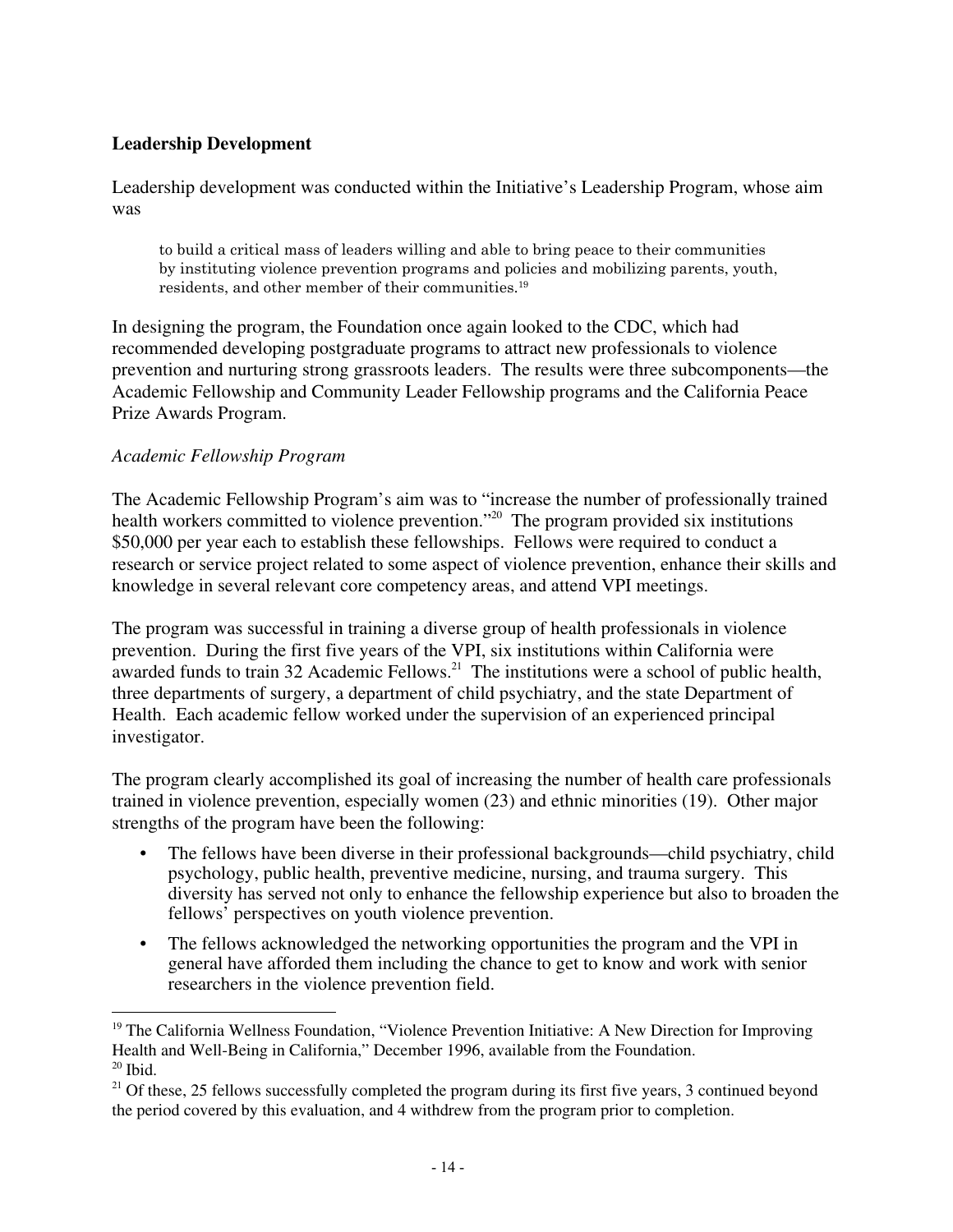#### **Leadership Development**

Leadership development was conducted within the Initiative's Leadership Program, whose aim was

to build a critical mass of leaders willing and able to bring peace to their communities by instituting violence prevention programs and policies and mobilizing parents, youth, residents, and other member of their communities.19

In designing the program, the Foundation once again looked to the CDC, which had recommended developing postgraduate programs to attract new professionals to violence prevention and nurturing strong grassroots leaders. The results were three subcomponents—the Academic Fellowship and Community Leader Fellowship programs and the California Peace Prize Awards Program.

#### *Academic Fellowship Program*

The Academic Fellowship Program's aim was to "increase the number of professionally trained health workers committed to violence prevention.<sup>"20</sup> The program provided six institutions \$50,000 per year each to establish these fellowships. Fellows were required to conduct a research or service project related to some aspect of violence prevention, enhance their skills and knowledge in several relevant core competency areas, and attend VPI meetings.

The program was successful in training a diverse group of health professionals in violence prevention. During the first five years of the VPI, six institutions within California were awarded funds to train 32 Academic Fellows.<sup>21</sup> The institutions were a school of public health, three departments of surgery, a department of child psychiatry, and the state Department of Health. Each academic fellow worked under the supervision of an experienced principal investigator.

The program clearly accomplished its goal of increasing the number of health care professionals trained in violence prevention, especially women (23) and ethnic minorities (19). Other major strengths of the program have been the following:

- The fellows have been diverse in their professional backgrounds—child psychiatry, child psychology, public health, preventive medicine, nursing, and trauma surgery. This diversity has served not only to enhance the fellowship experience but also to broaden the fellows' perspectives on youth violence prevention.
- The fellows acknowledged the networking opportunities the program and the VPI in general have afforded them including the chance to get to know and work with senior researchers in the violence prevention field.

 $19$  The California Wellness Foundation, "Violence Prevention Initiative: A New Direction for Improving Health and Well-Being in California," December 1996, available from the Foundation.  $20$  Ibid.

<sup>&</sup>lt;sup>21</sup> Of these, 25 fellows successfully completed the program during its first five years, 3 continued beyond the period covered by this evaluation, and 4 withdrew from the program prior to completion.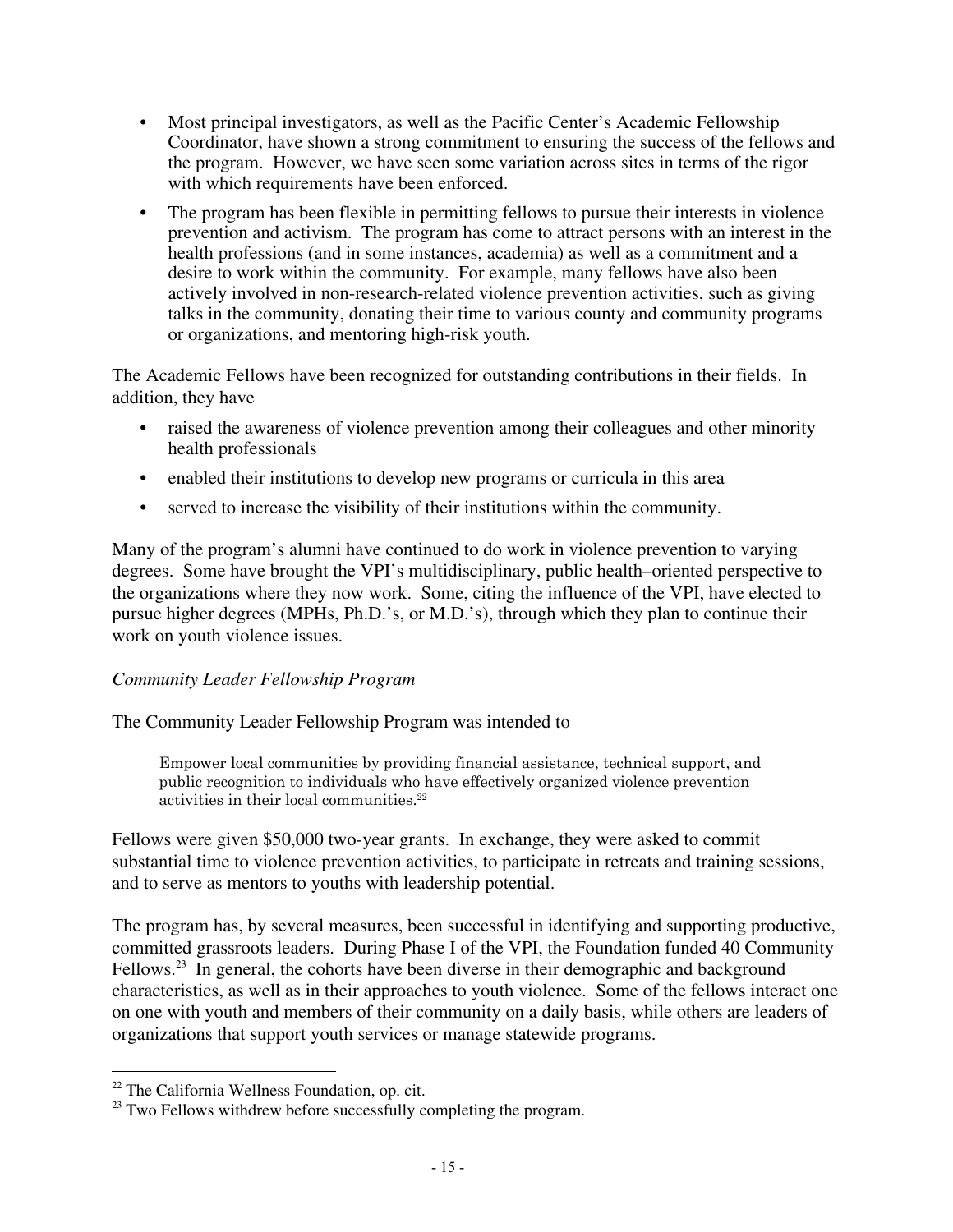- Most principal investigators, as well as the Pacific Center's Academic Fellowship Coordinator, have shown a strong commitment to ensuring the success of the fellows and the program. However, we have seen some variation across sites in terms of the rigor with which requirements have been enforced.
- The program has been flexible in permitting fellows to pursue their interests in violence prevention and activism. The program has come to attract persons with an interest in the health professions (and in some instances, academia) as well as a commitment and a desire to work within the community. For example, many fellows have also been actively involved in non-research-related violence prevention activities, such as giving talks in the community, donating their time to various county and community programs or organizations, and mentoring high-risk youth.

The Academic Fellows have been recognized for outstanding contributions in their fields. In addition, they have

- raised the awareness of violence prevention among their colleagues and other minority health professionals
- enabled their institutions to develop new programs or curricula in this area
- served to increase the visibility of their institutions within the community.

Many of the program's alumni have continued to do work in violence prevention to varying degrees. Some have brought the VPI's multidisciplinary, public health–oriented perspective to the organizations where they now work. Some, citing the influence of the VPI, have elected to pursue higher degrees (MPHs, Ph.D.'s, or M.D.'s), through which they plan to continue their work on youth violence issues.

#### *Community Leader Fellowship Program*

The Community Leader Fellowship Program was intended to

Empower local communities by providing financial assistance, technical support, and public recognition to individuals who have effectively organized violence prevention activities in their local communities.<sup>22</sup>

Fellows were given \$50,000 two-year grants. In exchange, they were asked to commit substantial time to violence prevention activities, to participate in retreats and training sessions, and to serve as mentors to youths with leadership potential.

The program has, by several measures, been successful in identifying and supporting productive, committed grassroots leaders. During Phase I of the VPI, the Foundation funded 40 Community Fellows.<sup>23</sup> In general, the cohorts have been diverse in their demographic and background characteristics, as well as in their approaches to youth violence. Some of the fellows interact one on one with youth and members of their community on a daily basis, while others are leaders of organizations that support youth services or manage statewide programs.

 $22$  The California Wellness Foundation, op. cit.

<sup>&</sup>lt;sup>23</sup> Two Fellows withdrew before successfully completing the program.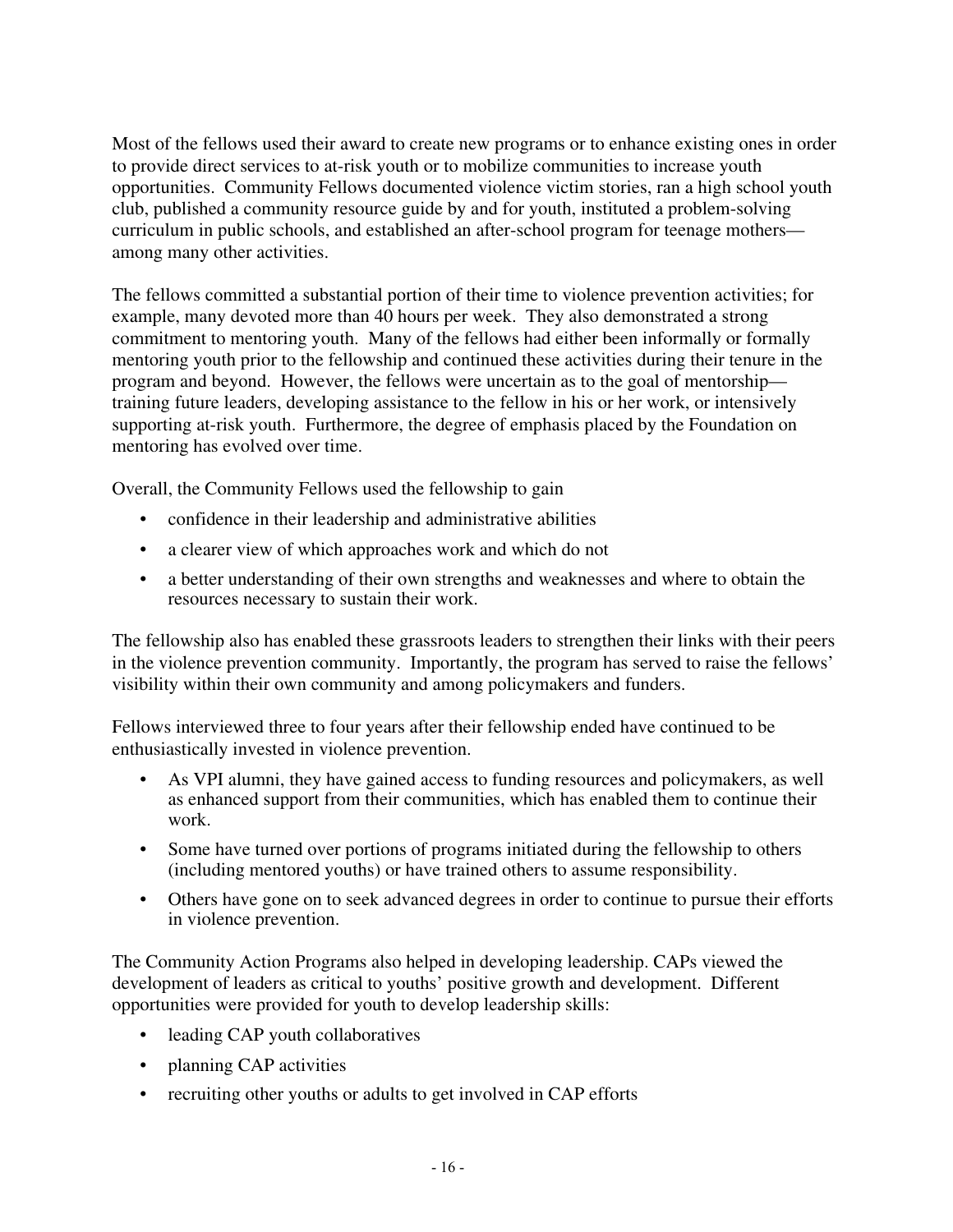Most of the fellows used their award to create new programs or to enhance existing ones in order to provide direct services to at-risk youth or to mobilize communities to increase youth opportunities. Community Fellows documented violence victim stories, ran a high school youth club, published a community resource guide by and for youth, instituted a problem-solving curriculum in public schools, and established an after-school program for teenage mothers among many other activities.

The fellows committed a substantial portion of their time to violence prevention activities; for example, many devoted more than 40 hours per week. They also demonstrated a strong commitment to mentoring youth. Many of the fellows had either been informally or formally mentoring youth prior to the fellowship and continued these activities during their tenure in the program and beyond. However, the fellows were uncertain as to the goal of mentorship training future leaders, developing assistance to the fellow in his or her work, or intensively supporting at-risk youth. Furthermore, the degree of emphasis placed by the Foundation on mentoring has evolved over time.

Overall, the Community Fellows used the fellowship to gain

- confidence in their leadership and administrative abilities
- a clearer view of which approaches work and which do not
- a better understanding of their own strengths and weaknesses and where to obtain the resources necessary to sustain their work.

The fellowship also has enabled these grassroots leaders to strengthen their links with their peers in the violence prevention community. Importantly, the program has served to raise the fellows' visibility within their own community and among policymakers and funders.

Fellows interviewed three to four years after their fellowship ended have continued to be enthusiastically invested in violence prevention.

- As VPI alumni, they have gained access to funding resources and policymakers, as well as enhanced support from their communities, which has enabled them to continue their work.
- Some have turned over portions of programs initiated during the fellowship to others (including mentored youths) or have trained others to assume responsibility.
- Others have gone on to seek advanced degrees in order to continue to pursue their efforts in violence prevention.

The Community Action Programs also helped in developing leadership. CAPs viewed the development of leaders as critical to youths' positive growth and development. Different opportunities were provided for youth to develop leadership skills:

- leading CAP youth collaboratives
- planning CAP activities
- recruiting other youths or adults to get involved in CAP efforts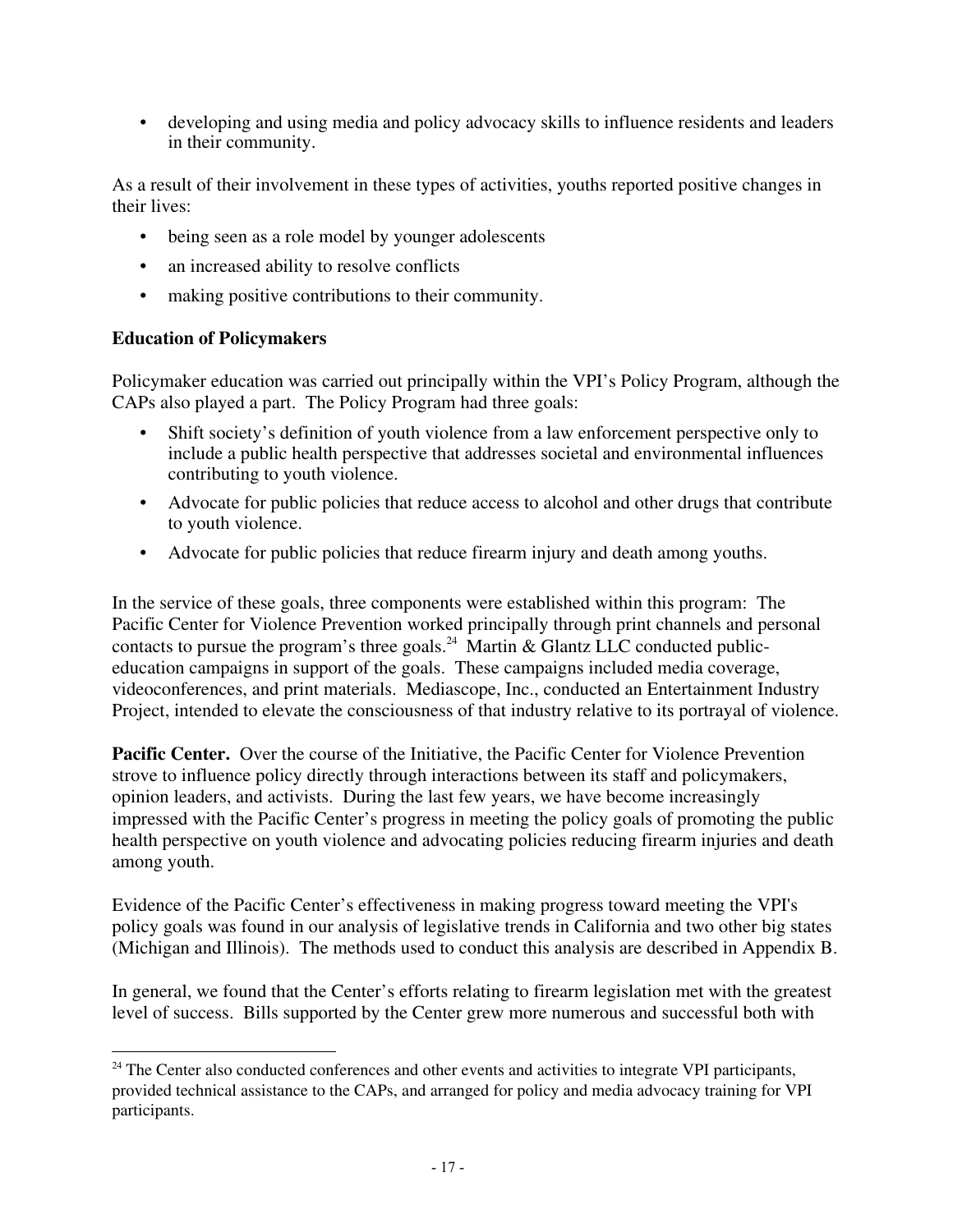• developing and using media and policy advocacy skills to influence residents and leaders in their community.

As a result of their involvement in these types of activities, youths reported positive changes in their lives:

- being seen as a role model by younger adolescents
- an increased ability to resolve conflicts
- making positive contributions to their community.

#### **Education of Policymakers**

Policymaker education was carried out principally within the VPI's Policy Program, although the CAPs also played a part. The Policy Program had three goals:

- Shift society's definition of youth violence from a law enforcement perspective only to include a public health perspective that addresses societal and environmental influences contributing to youth violence.
- Advocate for public policies that reduce access to alcohol and other drugs that contribute to youth violence.
- Advocate for public policies that reduce firearm injury and death among youths.

In the service of these goals, three components were established within this program: The Pacific Center for Violence Prevention worked principally through print channels and personal contacts to pursue the program's three goals.<sup>24</sup> Martin & Glantz LLC conducted publiceducation campaigns in support of the goals. These campaigns included media coverage, videoconferences, and print materials. Mediascope, Inc., conducted an Entertainment Industry Project, intended to elevate the consciousness of that industry relative to its portrayal of violence.

Pacific Center. Over the course of the Initiative, the Pacific Center for Violence Prevention strove to influence policy directly through interactions between its staff and policymakers, opinion leaders, and activists. During the last few years, we have become increasingly impressed with the Pacific Center's progress in meeting the policy goals of promoting the public health perspective on youth violence and advocating policies reducing firearm injuries and death among youth.

Evidence of the Pacific Center's effectiveness in making progress toward meeting the VPI's policy goals was found in our analysis of legislative trends in California and two other big states (Michigan and Illinois). The methods used to conduct this analysis are described in Appendix B.

In general, we found that the Center's efforts relating to firearm legislation met with the greatest level of success. Bills supported by the Center grew more numerous and successful both with

 $24$  The Center also conducted conferences and other events and activities to integrate VPI participants, provided technical assistance to the CAPs, and arranged for policy and media advocacy training for VPI participants.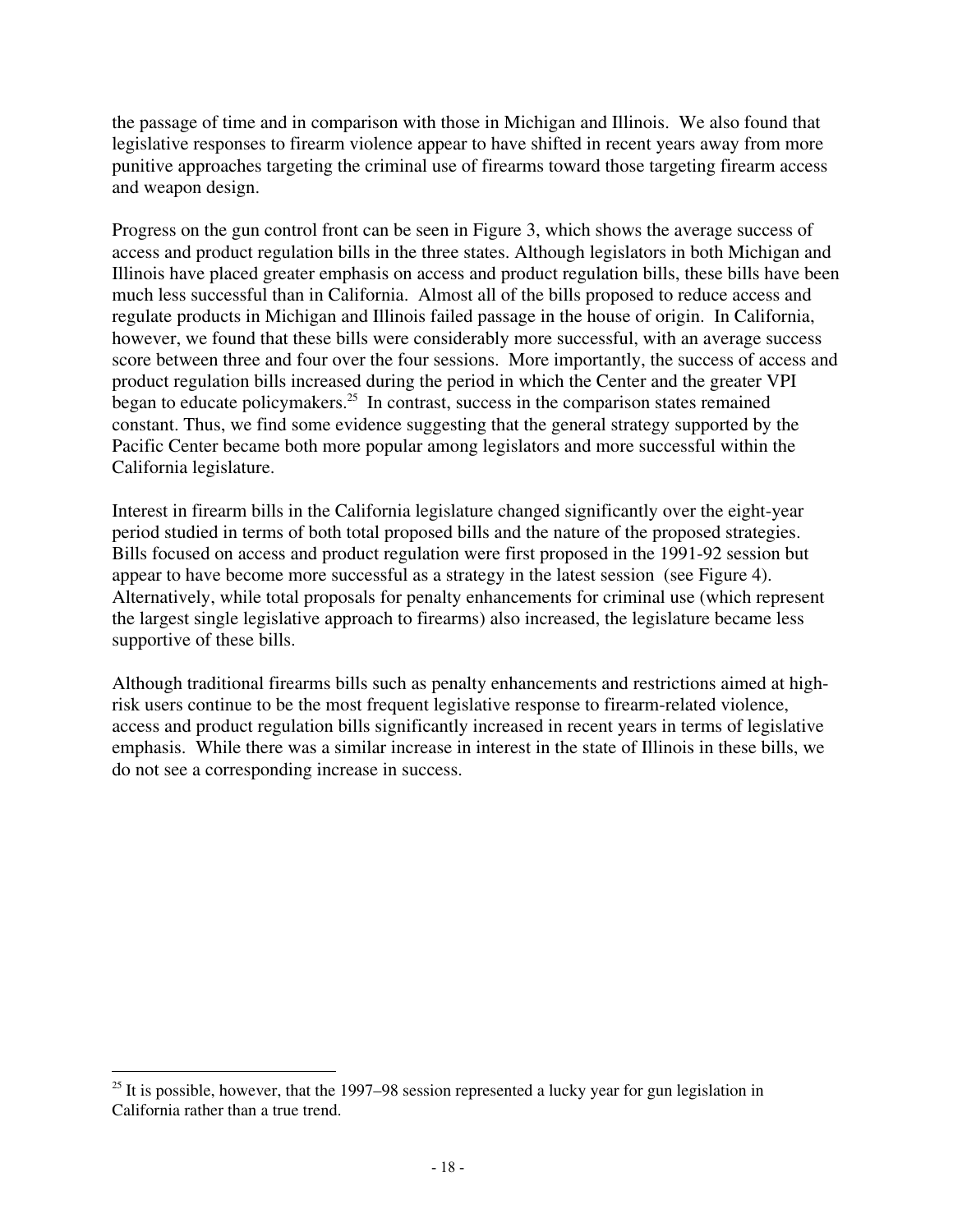the passage of time and in comparison with those in Michigan and Illinois. We also found that legislative responses to firearm violence appear to have shifted in recent years away from more punitive approaches targeting the criminal use of firearms toward those targeting firearm access and weapon design.

Progress on the gun control front can be seen in Figure 3, which shows the average success of access and product regulation bills in the three states. Although legislators in both Michigan and Illinois have placed greater emphasis on access and product regulation bills, these bills have been much less successful than in California. Almost all of the bills proposed to reduce access and regulate products in Michigan and Illinois failed passage in the house of origin. In California, however, we found that these bills were considerably more successful, with an average success score between three and four over the four sessions. More importantly, the success of access and product regulation bills increased during the period in which the Center and the greater VPI began to educate policymakers. $25$  In contrast, success in the comparison states remained constant. Thus, we find some evidence suggesting that the general strategy supported by the Pacific Center became both more popular among legislators and more successful within the California legislature.

Interest in firearm bills in the California legislature changed significantly over the eight-year period studied in terms of both total proposed bills and the nature of the proposed strategies. Bills focused on access and product regulation were first proposed in the 1991-92 session but appear to have become more successful as a strategy in the latest session (see Figure 4). Alternatively, while total proposals for penalty enhancements for criminal use (which represent the largest single legislative approach to firearms) also increased, the legislature became less supportive of these bills.

Although traditional firearms bills such as penalty enhancements and restrictions aimed at highrisk users continue to be the most frequent legislative response to firearm-related violence, access and product regulation bills significantly increased in recent years in terms of legislative emphasis. While there was a similar increase in interest in the state of Illinois in these bills, we do not see a corresponding increase in success.

 $25$  It is possible, however, that the 1997–98 session represented a lucky year for gun legislation in California rather than a true trend.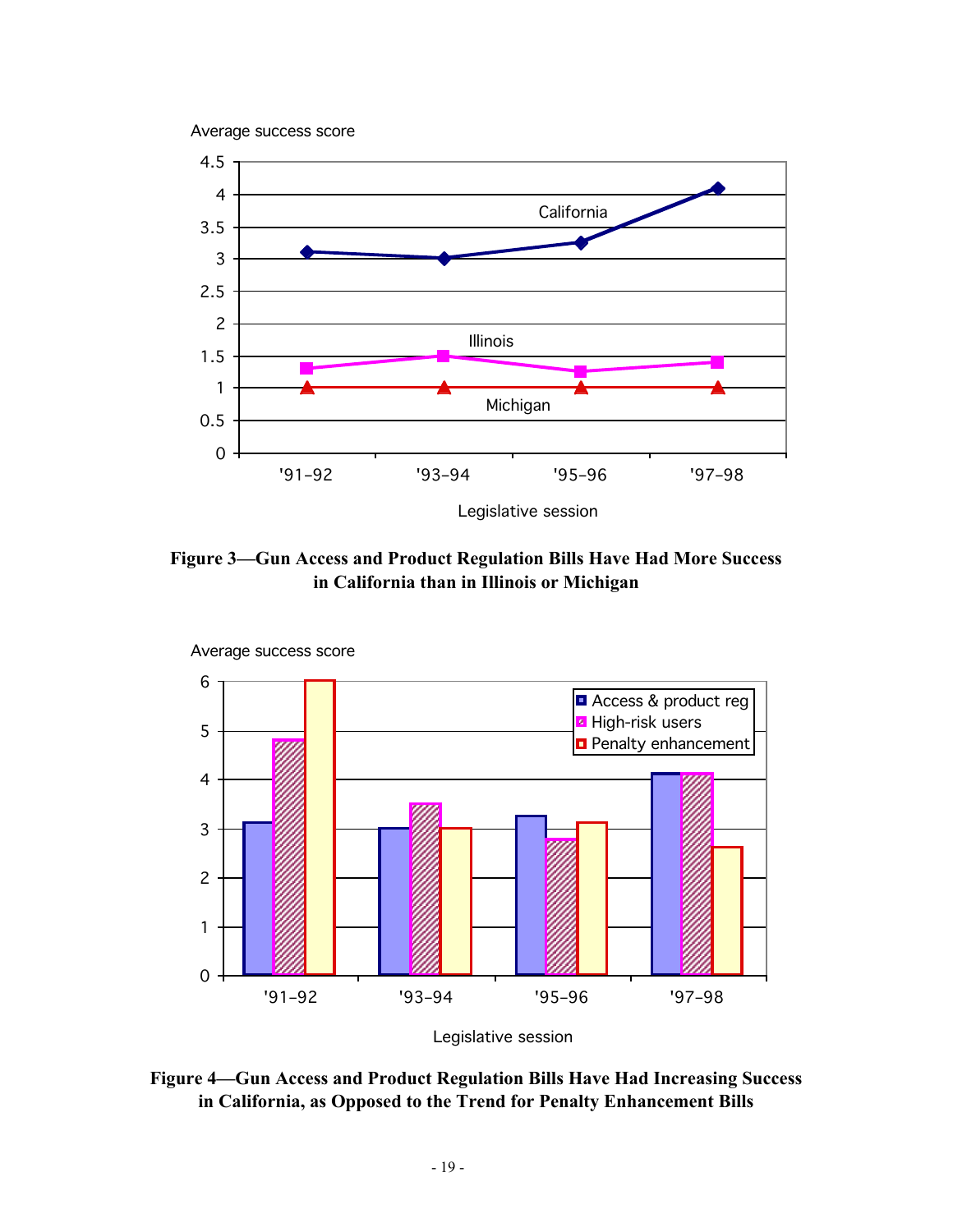Average success score



**Figure 3—Gun Access and Product Regulation Bills Have Had More Success in California than in Illinois or Michigan**



Legislative session

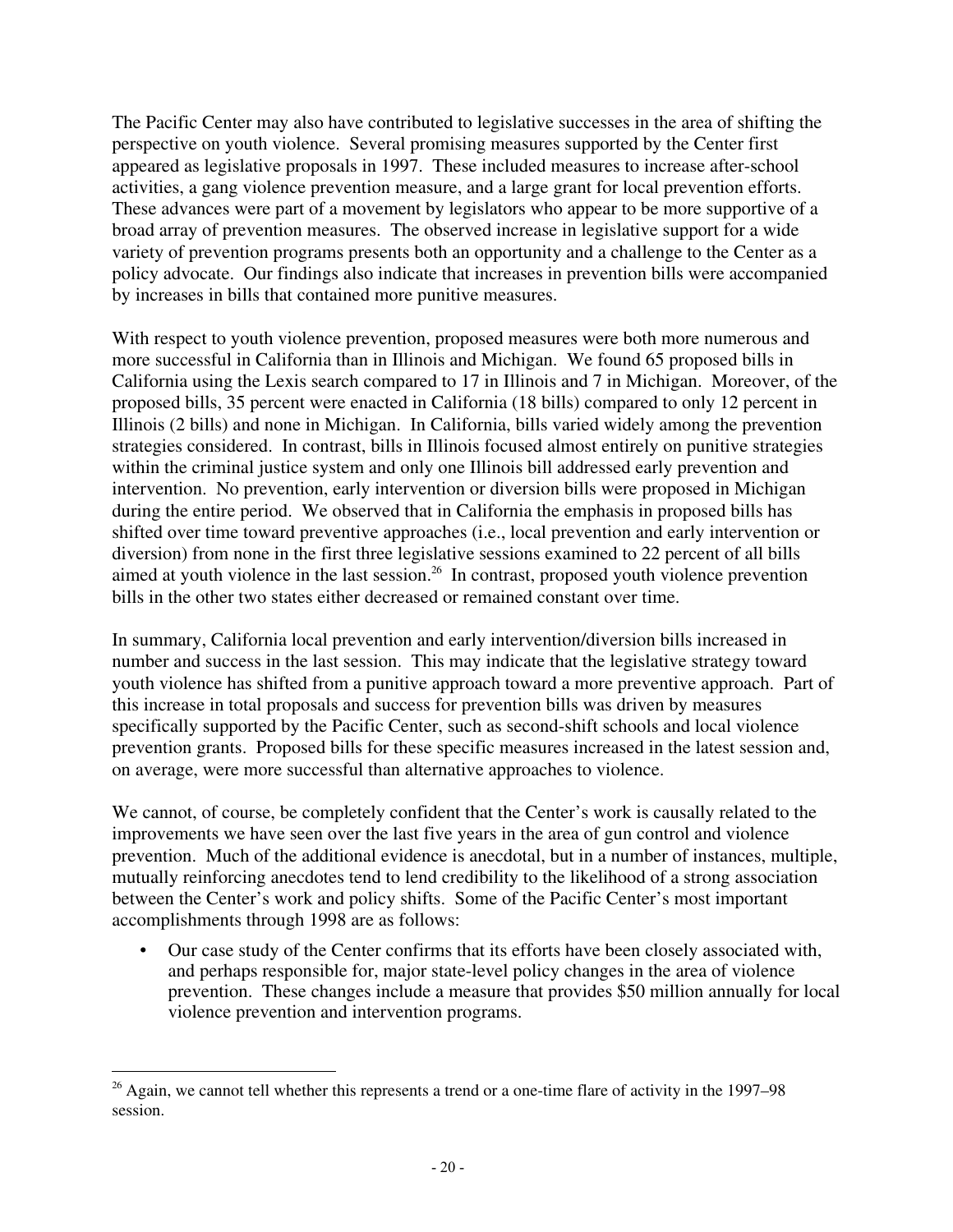The Pacific Center may also have contributed to legislative successes in the area of shifting the perspective on youth violence. Several promising measures supported by the Center first appeared as legislative proposals in 1997. These included measures to increase after-school activities, a gang violence prevention measure, and a large grant for local prevention efforts. These advances were part of a movement by legislators who appear to be more supportive of a broad array of prevention measures. The observed increase in legislative support for a wide variety of prevention programs presents both an opportunity and a challenge to the Center as a policy advocate. Our findings also indicate that increases in prevention bills were accompanied by increases in bills that contained more punitive measures.

With respect to youth violence prevention, proposed measures were both more numerous and more successful in California than in Illinois and Michigan. We found 65 proposed bills in California using the Lexis search compared to 17 in Illinois and 7 in Michigan. Moreover, of the proposed bills, 35 percent were enacted in California (18 bills) compared to only 12 percent in Illinois (2 bills) and none in Michigan. In California, bills varied widely among the prevention strategies considered. In contrast, bills in Illinois focused almost entirely on punitive strategies within the criminal justice system and only one Illinois bill addressed early prevention and intervention. No prevention, early intervention or diversion bills were proposed in Michigan during the entire period. We observed that in California the emphasis in proposed bills has shifted over time toward preventive approaches (i.e., local prevention and early intervention or diversion) from none in the first three legislative sessions examined to 22 percent of all bills aimed at youth violence in the last session.<sup>26</sup> In contrast, proposed youth violence prevention bills in the other two states either decreased or remained constant over time.

In summary, California local prevention and early intervention/diversion bills increased in number and success in the last session. This may indicate that the legislative strategy toward youth violence has shifted from a punitive approach toward a more preventive approach. Part of this increase in total proposals and success for prevention bills was driven by measures specifically supported by the Pacific Center, such as second-shift schools and local violence prevention grants. Proposed bills for these specific measures increased in the latest session and, on average, were more successful than alternative approaches to violence.

We cannot, of course, be completely confident that the Center's work is causally related to the improvements we have seen over the last five years in the area of gun control and violence prevention. Much of the additional evidence is anecdotal, but in a number of instances, multiple, mutually reinforcing anecdotes tend to lend credibility to the likelihood of a strong association between the Center's work and policy shifts. Some of the Pacific Center's most important accomplishments through 1998 are as follows:

• Our case study of the Center confirms that its efforts have been closely associated with, and perhaps responsible for, major state-level policy changes in the area of violence prevention. These changes include a measure that provides \$50 million annually for local violence prevention and intervention programs.

 $26$  Again, we cannot tell whether this represents a trend or a one-time flare of activity in the 1997–98 session.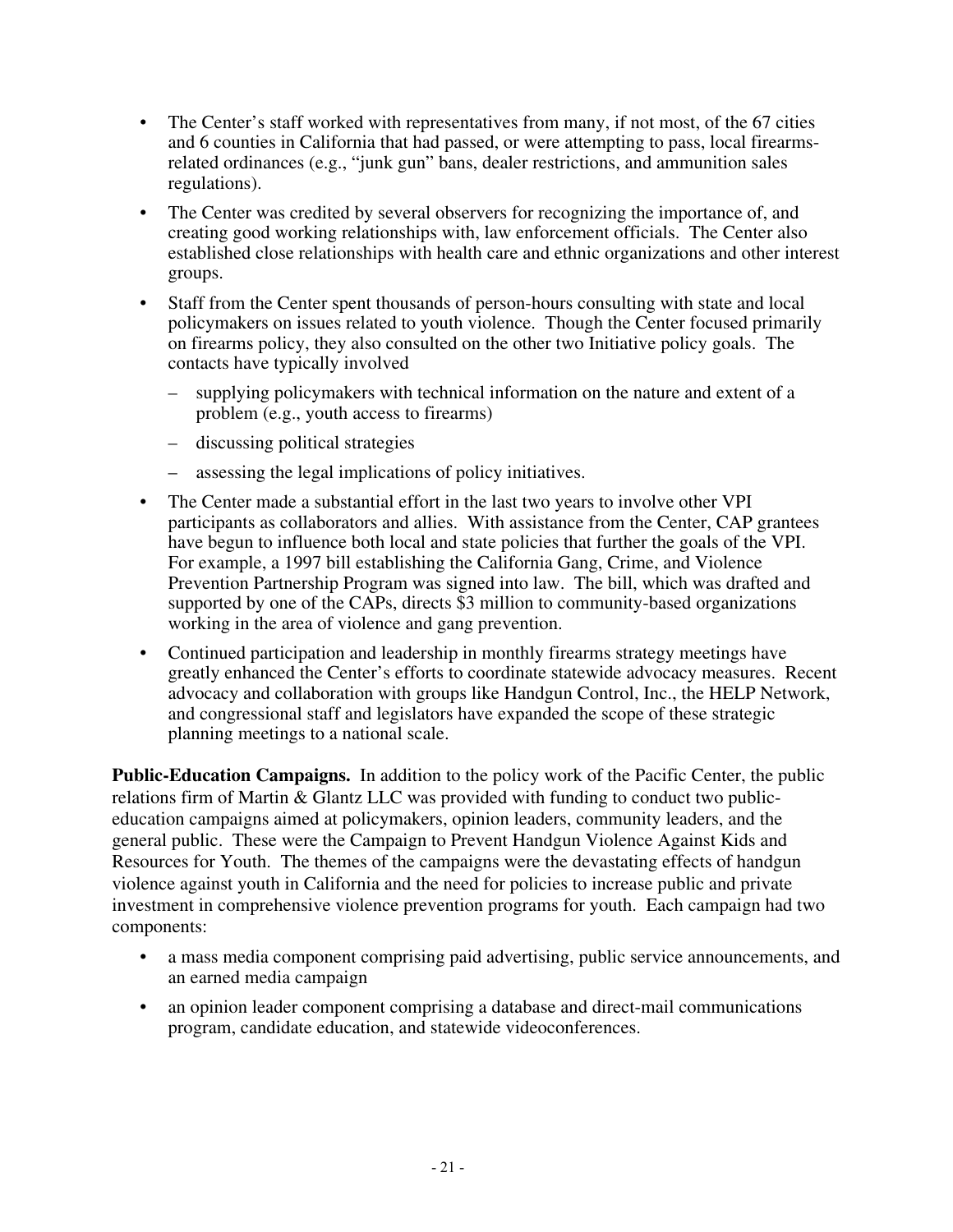- The Center's staff worked with representatives from many, if not most, of the 67 cities and 6 counties in California that had passed, or were attempting to pass, local firearmsrelated ordinances (e.g., "junk gun" bans, dealer restrictions, and ammunition sales regulations).
- The Center was credited by several observers for recognizing the importance of, and creating good working relationships with, law enforcement officials. The Center also established close relationships with health care and ethnic organizations and other interest groups.
- Staff from the Center spent thousands of person-hours consulting with state and local policymakers on issues related to youth violence. Though the Center focused primarily on firearms policy, they also consulted on the other two Initiative policy goals. The contacts have typically involved
	- supplying policymakers with technical information on the nature and extent of a problem (e.g., youth access to firearms)
	- discussing political strategies
	- assessing the legal implications of policy initiatives.
- The Center made a substantial effort in the last two years to involve other VPI participants as collaborators and allies. With assistance from the Center, CAP grantees have begun to influence both local and state policies that further the goals of the VPI. For example, a 1997 bill establishing the California Gang, Crime, and Violence Prevention Partnership Program was signed into law. The bill, which was drafted and supported by one of the CAPs, directs \$3 million to community-based organizations working in the area of violence and gang prevention.
- Continued participation and leadership in monthly firearms strategy meetings have greatly enhanced the Center's efforts to coordinate statewide advocacy measures. Recent advocacy and collaboration with groups like Handgun Control, Inc., the HELP Network, and congressional staff and legislators have expanded the scope of these strategic planning meetings to a national scale.

**Public-Education Campaigns.** In addition to the policy work of the Pacific Center, the public relations firm of Martin & Glantz LLC was provided with funding to conduct two publiceducation campaigns aimed at policymakers, opinion leaders, community leaders, and the general public. These were the Campaign to Prevent Handgun Violence Against Kids and Resources for Youth. The themes of the campaigns were the devastating effects of handgun violence against youth in California and the need for policies to increase public and private investment in comprehensive violence prevention programs for youth. Each campaign had two components:

- a mass media component comprising paid advertising, public service announcements, and an earned media campaign
- an opinion leader component comprising a database and direct-mail communications program, candidate education, and statewide videoconferences.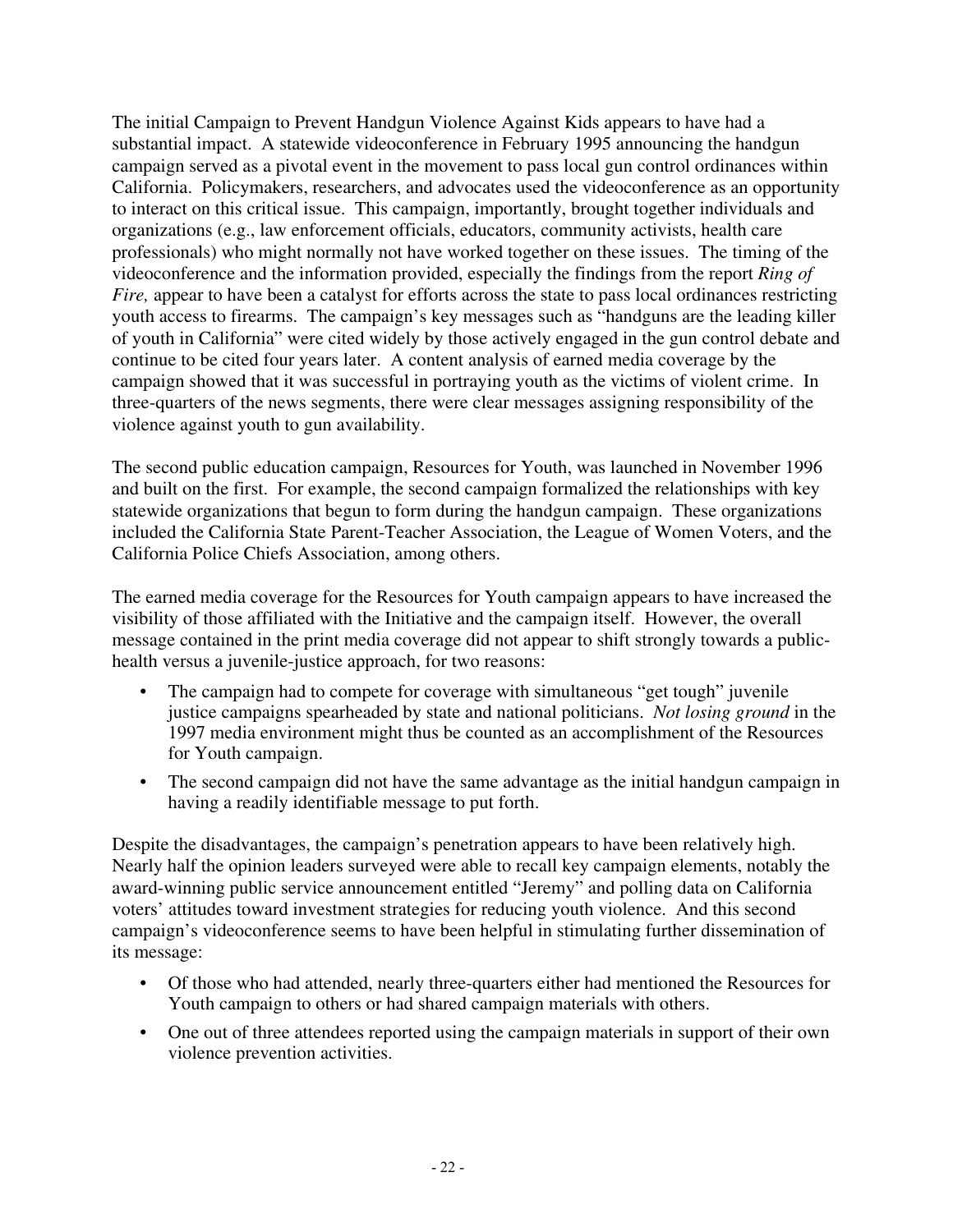The initial Campaign to Prevent Handgun Violence Against Kids appears to have had a substantial impact. A statewide videoconference in February 1995 announcing the handgun campaign served as a pivotal event in the movement to pass local gun control ordinances within California. Policymakers, researchers, and advocates used the videoconference as an opportunity to interact on this critical issue. This campaign, importantly, brought together individuals and organizations (e.g., law enforcement officials, educators, community activists, health care professionals) who might normally not have worked together on these issues. The timing of the videoconference and the information provided, especially the findings from the report *Ring of Fire*, appear to have been a catalyst for efforts across the state to pass local ordinances restricting youth access to firearms. The campaign's key messages such as "handguns are the leading killer of youth in California" were cited widely by those actively engaged in the gun control debate and continue to be cited four years later. A content analysis of earned media coverage by the campaign showed that it was successful in portraying youth as the victims of violent crime. In three-quarters of the news segments, there were clear messages assigning responsibility of the violence against youth to gun availability.

The second public education campaign, Resources for Youth, was launched in November 1996 and built on the first. For example, the second campaign formalized the relationships with key statewide organizations that begun to form during the handgun campaign. These organizations included the California State Parent-Teacher Association, the League of Women Voters, and the California Police Chiefs Association, among others.

The earned media coverage for the Resources for Youth campaign appears to have increased the visibility of those affiliated with the Initiative and the campaign itself. However, the overall message contained in the print media coverage did not appear to shift strongly towards a publichealth versus a juvenile-justice approach, for two reasons:

- The campaign had to compete for coverage with simultaneous "get tough" juvenile justice campaigns spearheaded by state and national politicians. *Not losing ground* in the 1997 media environment might thus be counted as an accomplishment of the Resources for Youth campaign.
- The second campaign did not have the same advantage as the initial handgun campaign in having a readily identifiable message to put forth.

Despite the disadvantages, the campaign's penetration appears to have been relatively high. Nearly half the opinion leaders surveyed were able to recall key campaign elements, notably the award-winning public service announcement entitled "Jeremy" and polling data on California voters' attitudes toward investment strategies for reducing youth violence. And this second campaign's videoconference seems to have been helpful in stimulating further dissemination of its message:

- Of those who had attended, nearly three-quarters either had mentioned the Resources for Youth campaign to others or had shared campaign materials with others.
- One out of three attendees reported using the campaign materials in support of their own violence prevention activities.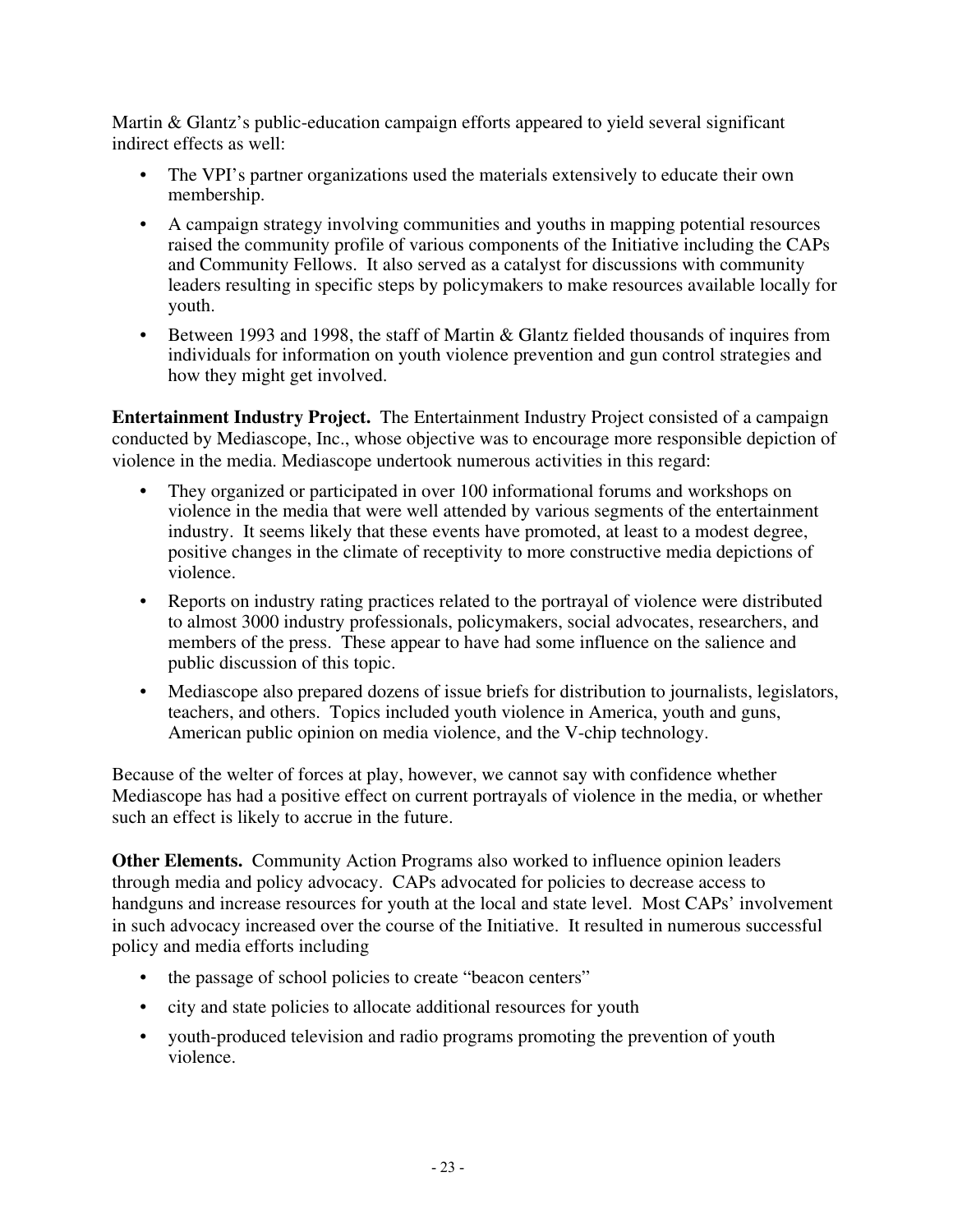Martin & Glantz's public-education campaign efforts appeared to yield several significant indirect effects as well:

- The VPI's partner organizations used the materials extensively to educate their own membership.
- A campaign strategy involving communities and youths in mapping potential resources raised the community profile of various components of the Initiative including the CAPs and Community Fellows. It also served as a catalyst for discussions with community leaders resulting in specific steps by policymakers to make resources available locally for youth.
- Between 1993 and 1998, the staff of Martin & Glantz fielded thousands of inquires from individuals for information on youth violence prevention and gun control strategies and how they might get involved.

**Entertainment Industry Project.** The Entertainment Industry Project consisted of a campaign conducted by Mediascope, Inc., whose objective was to encourage more responsible depiction of violence in the media. Mediascope undertook numerous activities in this regard:

- **•** They organized or participated in over 100 informational forums and workshops on violence in the media that were well attended by various segments of the entertainment industry. It seems likely that these events have promoted, at least to a modest degree, positive changes in the climate of receptivity to more constructive media depictions of violence.
- Reports on industry rating practices related to the portrayal of violence were distributed to almost 3000 industry professionals, policymakers, social advocates, researchers, and members of the press. These appear to have had some influence on the salience and public discussion of this topic.
- Mediascope also prepared dozens of issue briefs for distribution to journalists, legislators, teachers, and others. Topics included youth violence in America, youth and guns, American public opinion on media violence, and the V-chip technology.

Because of the welter of forces at play, however, we cannot say with confidence whether Mediascope has had a positive effect on current portrayals of violence in the media, or whether such an effect is likely to accrue in the future.

**Other Elements.** Community Action Programs also worked to influence opinion leaders through media and policy advocacy. CAPs advocated for policies to decrease access to handguns and increase resources for youth at the local and state level. Most CAPs' involvement in such advocacy increased over the course of the Initiative. It resulted in numerous successful policy and media efforts including

- the passage of school policies to create "beacon centers"
- city and state policies to allocate additional resources for youth
- youth-produced television and radio programs promoting the prevention of youth violence.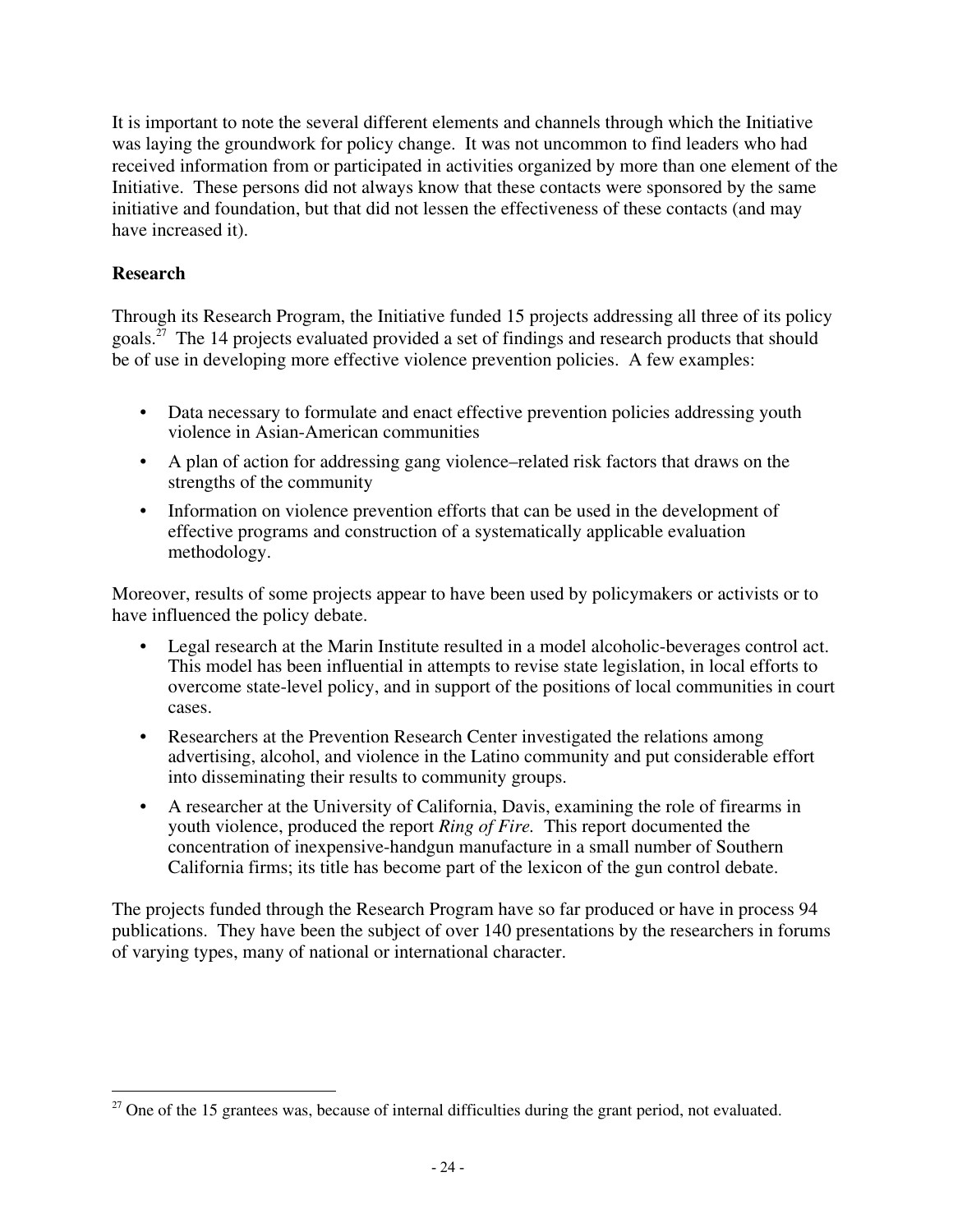It is important to note the several different elements and channels through which the Initiative was laying the groundwork for policy change. It was not uncommon to find leaders who had received information from or participated in activities organized by more than one element of the Initiative. These persons did not always know that these contacts were sponsored by the same initiative and foundation, but that did not lessen the effectiveness of these contacts (and may have increased it).

#### **Research**

Through its Research Program, the Initiative funded 15 projects addressing all three of its policy goals.<sup>27</sup> The 14 projects evaluated provided a set of findings and research products that should be of use in developing more effective violence prevention policies. A few examples:

- Data necessary to formulate and enact effective prevention policies addressing youth violence in Asian-American communities
- A plan of action for addressing gang violence–related risk factors that draws on the strengths of the community
- Information on violence prevention efforts that can be used in the development of effective programs and construction of a systematically applicable evaluation methodology.

Moreover, results of some projects appear to have been used by policymakers or activists or to have influenced the policy debate.

- Legal research at the Marin Institute resulted in a model alcoholic-beverages control act. This model has been influential in attempts to revise state legislation, in local efforts to overcome state-level policy, and in support of the positions of local communities in court cases.
- Researchers at the Prevention Research Center investigated the relations among advertising, alcohol, and violence in the Latino community and put considerable effort into disseminating their results to community groups.
- A researcher at the University of California, Davis, examining the role of firearms in youth violence, produced the report *Ring of Fire.* This report documented the concentration of inexpensive-handgun manufacture in a small number of Southern California firms; its title has become part of the lexicon of the gun control debate.

The projects funded through the Research Program have so far produced or have in process 94 publications. They have been the subject of over 140 presentations by the researchers in forums of varying types, many of national or international character.

 $27$  One of the 15 grantees was, because of internal difficulties during the grant period, not evaluated.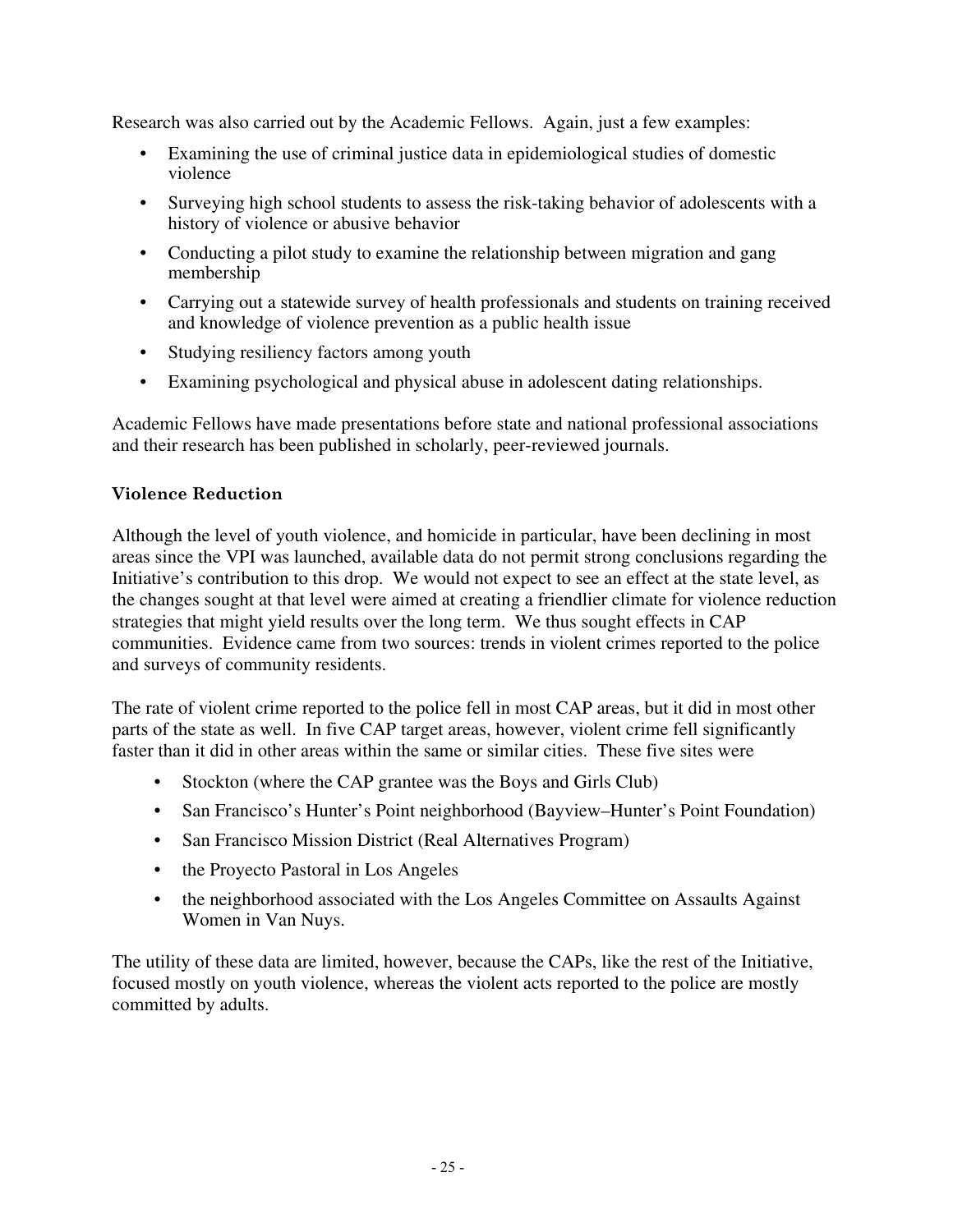Research was also carried out by the Academic Fellows. Again, just a few examples:

- Examining the use of criminal justice data in epidemiological studies of domestic violence
- Surveying high school students to assess the risk-taking behavior of adolescents with a history of violence or abusive behavior
- Conducting a pilot study to examine the relationship between migration and gang membership
- Carrying out a statewide survey of health professionals and students on training received and knowledge of violence prevention as a public health issue
- Studying resiliency factors among youth
- Examining psychological and physical abuse in adolescent dating relationships.

Academic Fellows have made presentations before state and national professional associations and their research has been published in scholarly, peer-reviewed journals.

#### **Violence Reduction**

Although the level of youth violence, and homicide in particular, have been declining in most areas since the VPI was launched, available data do not permit strong conclusions regarding the Initiative's contribution to this drop. We would not expect to see an effect at the state level, as the changes sought at that level were aimed at creating a friendlier climate for violence reduction strategies that might yield results over the long term. We thus sought effects in CAP communities. Evidence came from two sources: trends in violent crimes reported to the police and surveys of community residents.

The rate of violent crime reported to the police fell in most CAP areas, but it did in most other parts of the state as well. In five CAP target areas, however, violent crime fell significantly faster than it did in other areas within the same or similar cities. These five sites were

- Stockton (where the CAP grantee was the Boys and Girls Club)
- San Francisco's Hunter's Point neighborhood (Bayview–Hunter's Point Foundation)
- San Francisco Mission District (Real Alternatives Program)
- the Proyecto Pastoral in Los Angeles
- the neighborhood associated with the Los Angeles Committee on Assaults Against Women in Van Nuys.

The utility of these data are limited, however, because the CAPs, like the rest of the Initiative, focused mostly on youth violence, whereas the violent acts reported to the police are mostly committed by adults.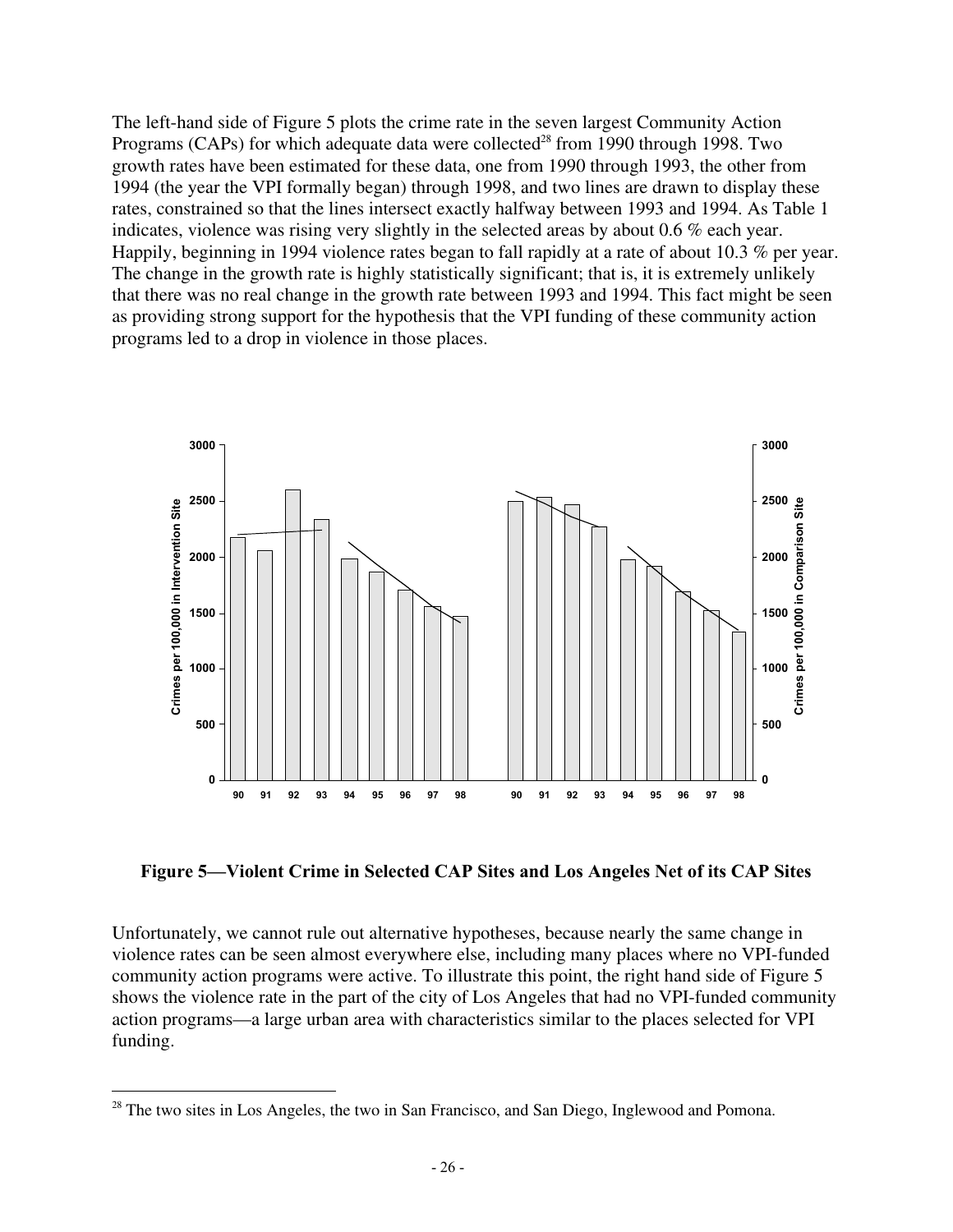The left-hand side of Figure 5 plots the crime rate in the seven largest Community Action Programs (CAPs) for which adequate data were collected<sup>28</sup> from 1990 through 1998. Two growth rates have been estimated for these data, one from 1990 through 1993, the other from 1994 (the year the VPI formally began) through 1998, and two lines are drawn to display these rates, constrained so that the lines intersect exactly halfway between 1993 and 1994. As Table 1 indicates, violence was rising very slightly in the selected areas by about 0.6 % each year. Happily, beginning in 1994 violence rates began to fall rapidly at a rate of about 10.3 % per year. The change in the growth rate is highly statistically significant; that is, it is extremely unlikely that there was no real change in the growth rate between 1993 and 1994. This fact might be seen as providing strong support for the hypothesis that the VPI funding of these community action programs led to a drop in violence in those places.



**Figure 5—Violent Crime in Selected CAP Sites and Los Angeles Net of its CAP Sites**

Unfortunately, we cannot rule out alternative hypotheses, because nearly the same change in violence rates can be seen almost everywhere else, including many places where no VPI-funded community action programs were active. To illustrate this point, the right hand side of Figure 5 shows the violence rate in the part of the city of Los Angeles that had no VPI-funded community action programs—a large urban area with characteristics similar to the places selected for VPI funding.

<sup>&</sup>lt;sup>28</sup> The two sites in Los Angeles, the two in San Francisco, and San Diego, Inglewood and Pomona.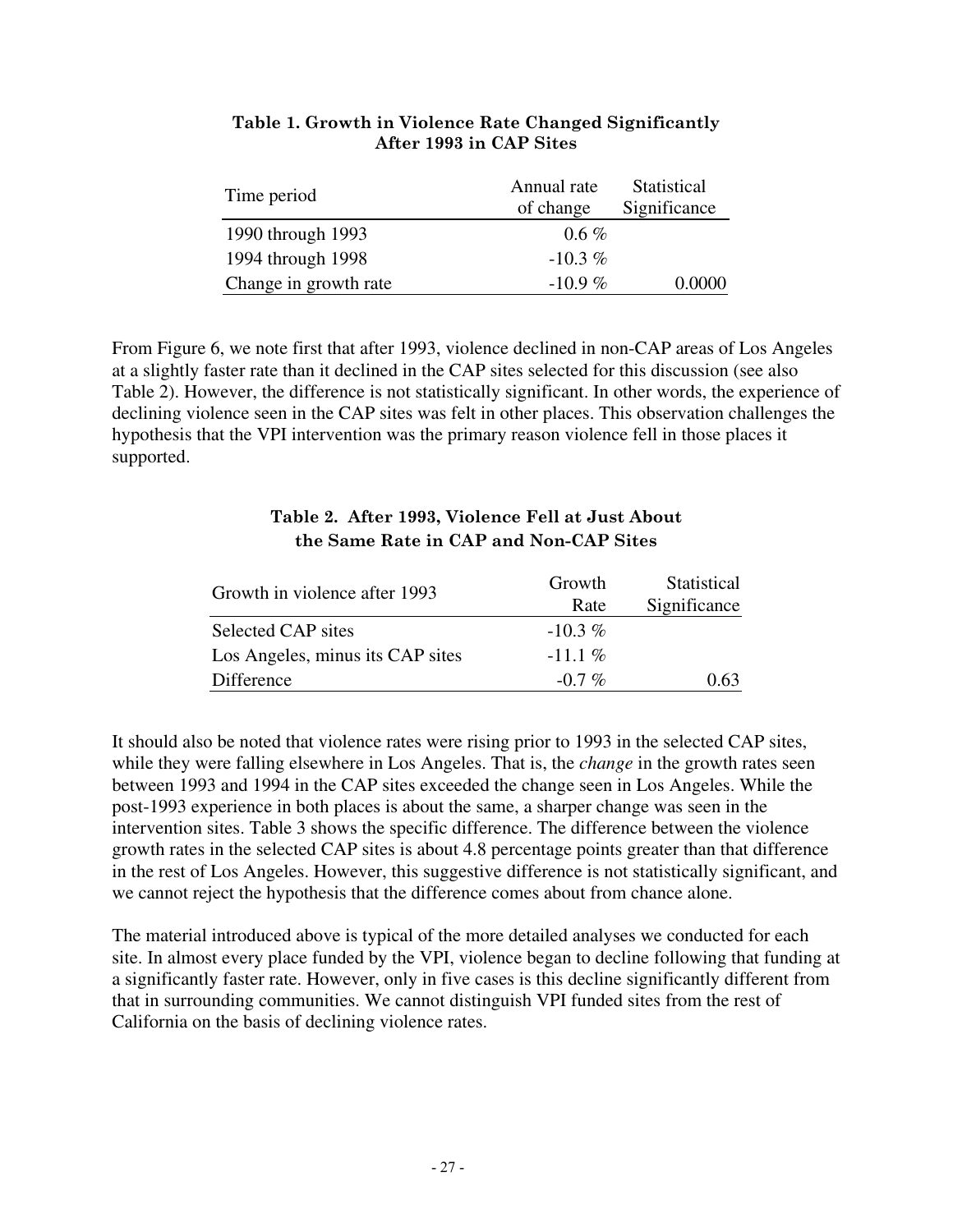| Time period           | Annual rate | Statistical  |
|-----------------------|-------------|--------------|
|                       | of change   | Significance |
| 1990 through 1993     | $0.6\%$     |              |
| 1994 through 1998     | $-10.3\%$   |              |
| Change in growth rate | $-10.9\%$   | 0.0000       |

#### **Table 1. Growth in Violence Rate Changed Significantly After 1993 in CAP Sites**

From Figure 6, we note first that after 1993, violence declined in non-CAP areas of Los Angeles at a slightly faster rate than it declined in the CAP sites selected for this discussion (see also Table 2). However, the difference is not statistically significant. In other words, the experience of declining violence seen in the CAP sites was felt in other places. This observation challenges the hypothesis that the VPI intervention was the primary reason violence fell in those places it supported.

| Growth in violence after 1993    | Growth<br>Rate | Statistical<br>Significance |
|----------------------------------|----------------|-----------------------------|
| Selected CAP sites               | $-10.3\%$      |                             |
| Los Angeles, minus its CAP sites | $-11.1\%$      |                             |
| Difference                       | $-0.7\%$       | 0.63                        |

#### **Table 2. After 1993, Violence Fell at Just About the Same Rate in CAP and Non-CAP Sites**

It should also be noted that violence rates were rising prior to 1993 in the selected CAP sites, while they were falling elsewhere in Los Angeles. That is, the *change* in the growth rates seen between 1993 and 1994 in the CAP sites exceeded the change seen in Los Angeles. While the post-1993 experience in both places is about the same, a sharper change was seen in the intervention sites. Table 3 shows the specific difference. The difference between the violence growth rates in the selected CAP sites is about 4.8 percentage points greater than that difference in the rest of Los Angeles. However, this suggestive difference is not statistically significant, and we cannot reject the hypothesis that the difference comes about from chance alone.

The material introduced above is typical of the more detailed analyses we conducted for each site. In almost every place funded by the VPI, violence began to decline following that funding at a significantly faster rate. However, only in five cases is this decline significantly different from that in surrounding communities. We cannot distinguish VPI funded sites from the rest of California on the basis of declining violence rates.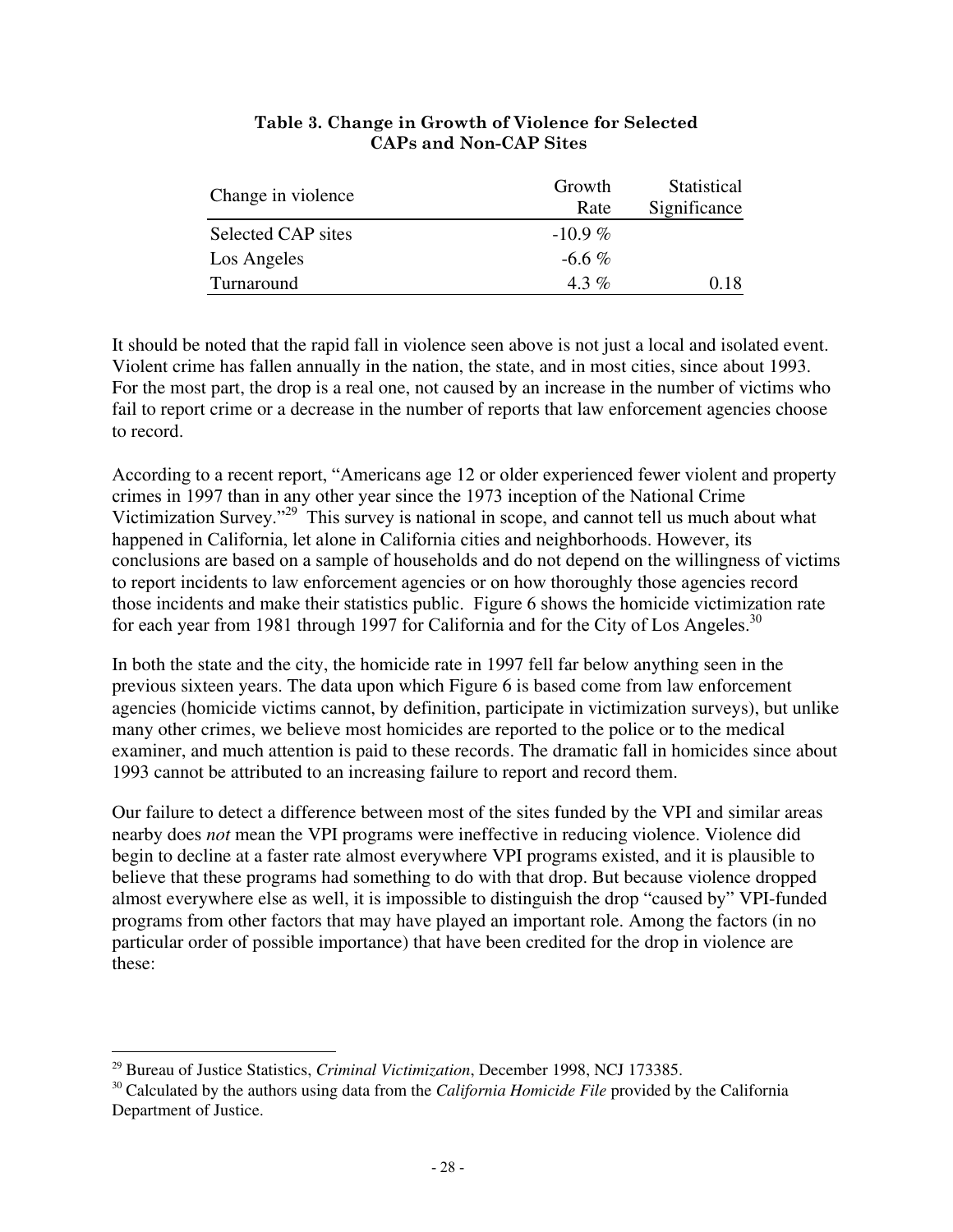| Change in violence | Growth    | Statistical  |
|--------------------|-----------|--------------|
|                    | Rate      | Significance |
| Selected CAP sites | $-10.9\%$ |              |
| Los Angeles        | $-6.6\%$  |              |
| Turnaround         | $4.3\%$   | 0.18         |

#### **Table 3. Change in Growth of Violence for Selected CAPs and Non-CAP Sites**

It should be noted that the rapid fall in violence seen above is not just a local and isolated event. Violent crime has fallen annually in the nation, the state, and in most cities, since about 1993. For the most part, the drop is a real one, not caused by an increase in the number of victims who fail to report crime or a decrease in the number of reports that law enforcement agencies choose to record.

According to a recent report, "Americans age 12 or older experienced fewer violent and property crimes in 1997 than in any other year since the 1973 inception of the National Crime Victimization Survey."<sup>29</sup> This survey is national in scope, and cannot tell us much about what happened in California, let alone in California cities and neighborhoods. However, its conclusions are based on a sample of households and do not depend on the willingness of victims to report incidents to law enforcement agencies or on how thoroughly those agencies record those incidents and make their statistics public. Figure 6 shows the homicide victimization rate for each year from 1981 through 1997 for California and for the City of Los Angeles.<sup>30</sup>

In both the state and the city, the homicide rate in 1997 fell far below anything seen in the previous sixteen years. The data upon which Figure 6 is based come from law enforcement agencies (homicide victims cannot, by definition, participate in victimization surveys), but unlike many other crimes, we believe most homicides are reported to the police or to the medical examiner, and much attention is paid to these records. The dramatic fall in homicides since about 1993 cannot be attributed to an increasing failure to report and record them.

Our failure to detect a difference between most of the sites funded by the VPI and similar areas nearby does *not* mean the VPI programs were ineffective in reducing violence. Violence did begin to decline at a faster rate almost everywhere VPI programs existed, and it is plausible to believe that these programs had something to do with that drop. But because violence dropped almost everywhere else as well, it is impossible to distinguish the drop "caused by" VPI-funded programs from other factors that may have played an important role. Among the factors (in no particular order of possible importance) that have been credited for the drop in violence are these:

 <sup>29</sup> Bureau of Justice Statistics, *Criminal Victimization*, December 1998, NCJ 173385.

<sup>30</sup> Calculated by the authors using data from the *California Homicide File* provided by the California Department of Justice.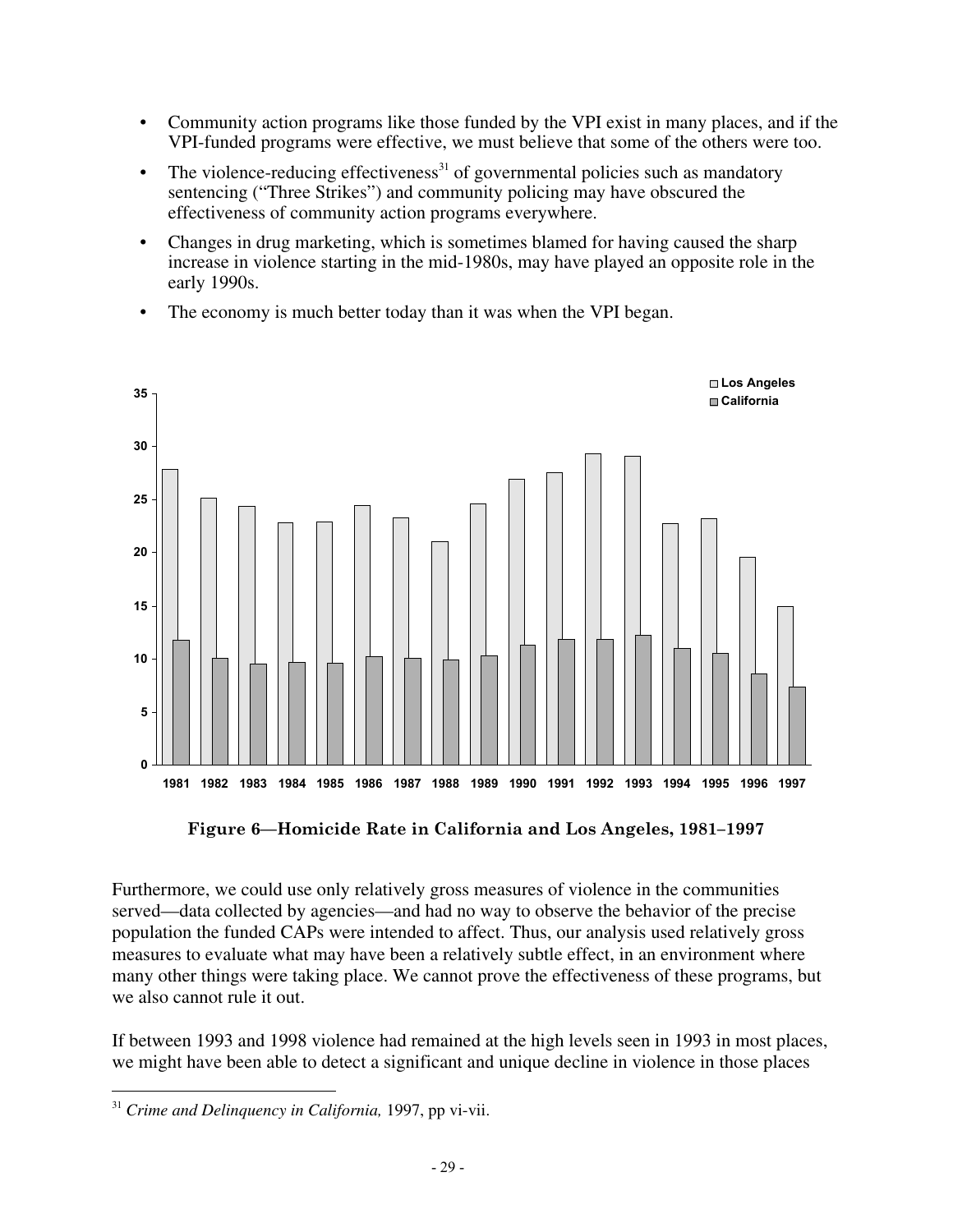- Community action programs like those funded by the VPI exist in many places, and if the VPI-funded programs were effective, we must believe that some of the others were too.
- The violence-reducing effectiveness<sup>31</sup> of governmental policies such as mandatory sentencing ("Three Strikes") and community policing may have obscured the effectiveness of community action programs everywhere.
- Changes in drug marketing, which is sometimes blamed for having caused the sharp increase in violence starting in the mid-1980s, may have played an opposite role in the early 1990s.
- The economy is much better today than it was when the VPI began.



**Figure 6—Homicide Rate in California and Los Angeles, 1981–1997**

Furthermore, we could use only relatively gross measures of violence in the communities served—data collected by agencies—and had no way to observe the behavior of the precise population the funded CAPs were intended to affect. Thus, our analysis used relatively gross measures to evaluate what may have been a relatively subtle effect, in an environment where many other things were taking place. We cannot prove the effectiveness of these programs, but we also cannot rule it out.

If between 1993 and 1998 violence had remained at the high levels seen in 1993 in most places, we might have been able to detect a significant and unique decline in violence in those places

 <sup>31</sup> *Crime and Delinquency in California,* 1997, pp vi-vii.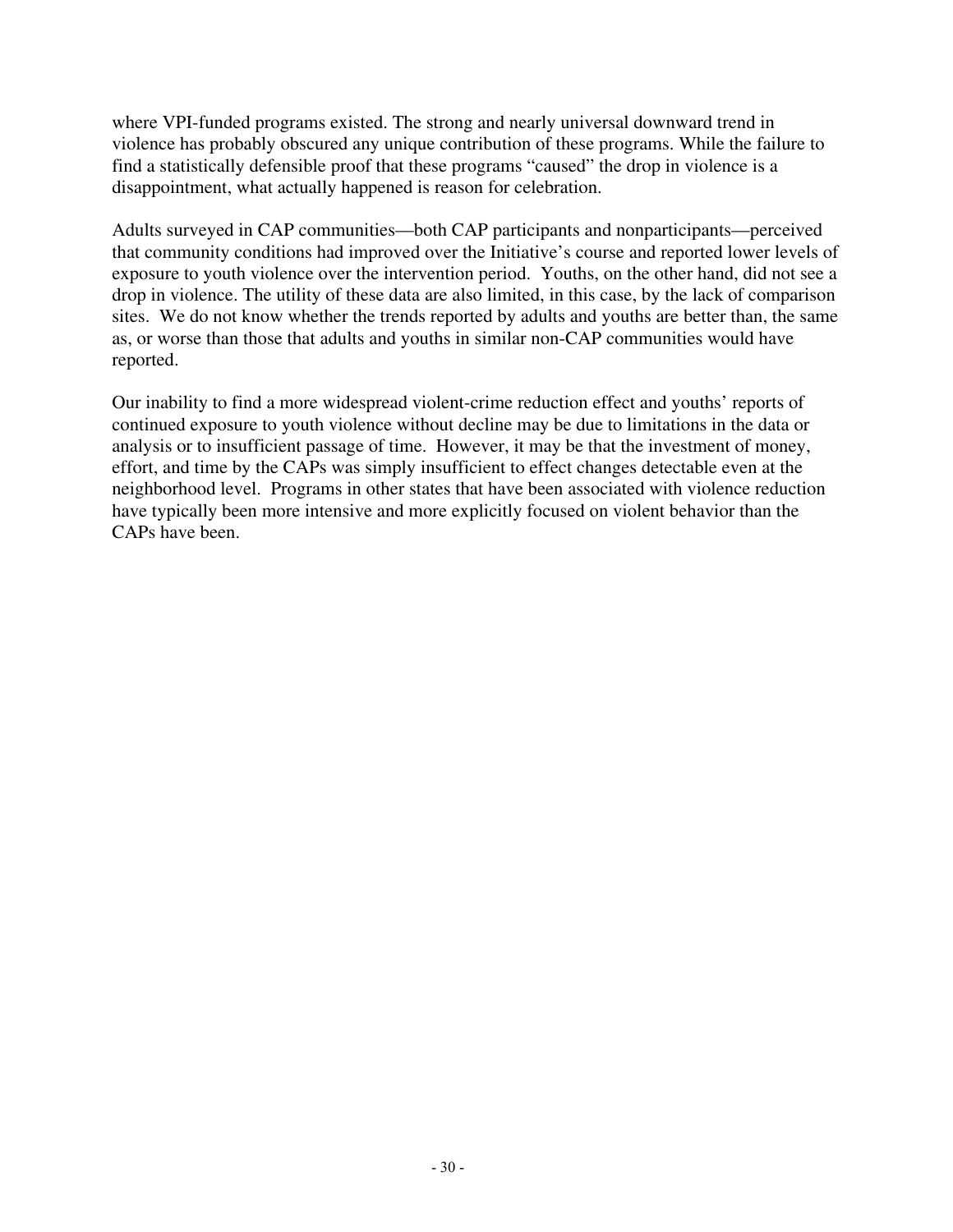where VPI-funded programs existed. The strong and nearly universal downward trend in violence has probably obscured any unique contribution of these programs. While the failure to find a statistically defensible proof that these programs "caused" the drop in violence is a disappointment, what actually happened is reason for celebration.

Adults surveyed in CAP communities—both CAP participants and nonparticipants—perceived that community conditions had improved over the Initiative's course and reported lower levels of exposure to youth violence over the intervention period. Youths, on the other hand, did not see a drop in violence. The utility of these data are also limited, in this case, by the lack of comparison sites. We do not know whether the trends reported by adults and youths are better than, the same as, or worse than those that adults and youths in similar non-CAP communities would have reported.

Our inability to find a more widespread violent-crime reduction effect and youths' reports of continued exposure to youth violence without decline may be due to limitations in the data or analysis or to insufficient passage of time. However, it may be that the investment of money, effort, and time by the CAPs was simply insufficient to effect changes detectable even at the neighborhood level. Programs in other states that have been associated with violence reduction have typically been more intensive and more explicitly focused on violent behavior than the CAPs have been.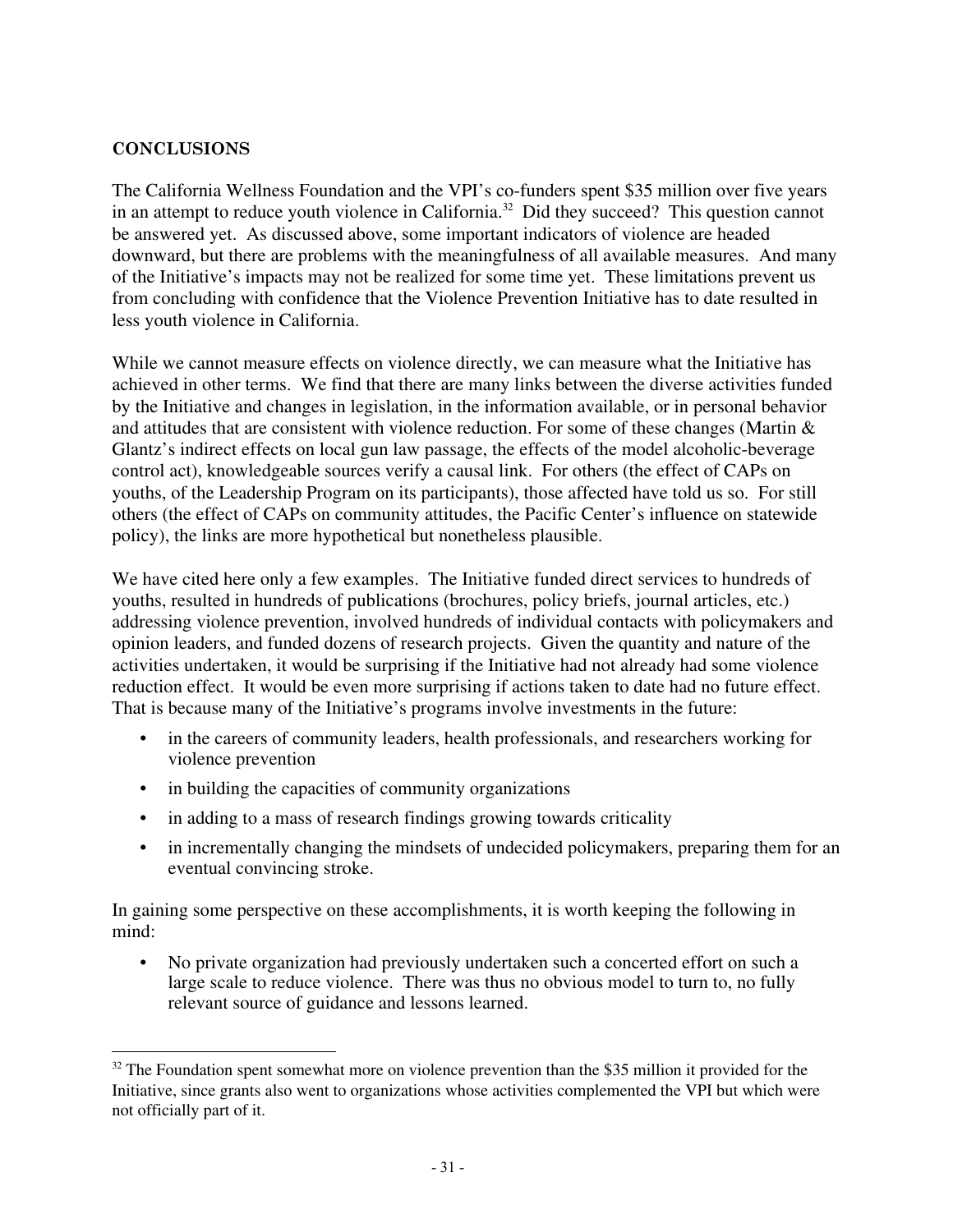#### **CONCLUSIONS**

The California Wellness Foundation and the VPI's co-funders spent \$35 million over five years in an attempt to reduce youth violence in California.<sup>32</sup> Did they succeed? This question cannot be answered yet. As discussed above, some important indicators of violence are headed downward, but there are problems with the meaningfulness of all available measures. And many of the Initiative's impacts may not be realized for some time yet. These limitations prevent us from concluding with confidence that the Violence Prevention Initiative has to date resulted in less youth violence in California.

While we cannot measure effects on violence directly, we can measure what the Initiative has achieved in other terms. We find that there are many links between the diverse activities funded by the Initiative and changes in legislation, in the information available, or in personal behavior and attitudes that are consistent with violence reduction. For some of these changes (Martin & Glantz's indirect effects on local gun law passage, the effects of the model alcoholic-beverage control act), knowledgeable sources verify a causal link. For others (the effect of CAPs on youths, of the Leadership Program on its participants), those affected have told us so. For still others (the effect of CAPs on community attitudes, the Pacific Center's influence on statewide policy), the links are more hypothetical but nonetheless plausible.

We have cited here only a few examples. The Initiative funded direct services to hundreds of youths, resulted in hundreds of publications (brochures, policy briefs, journal articles, etc.) addressing violence prevention, involved hundreds of individual contacts with policymakers and opinion leaders, and funded dozens of research projects. Given the quantity and nature of the activities undertaken, it would be surprising if the Initiative had not already had some violence reduction effect. It would be even more surprising if actions taken to date had no future effect. That is because many of the Initiative's programs involve investments in the future:

- in the careers of community leaders, health professionals, and researchers working for violence prevention
- in building the capacities of community organizations
- in adding to a mass of research findings growing towards criticality
- in incrementally changing the mindsets of undecided policymakers, preparing them for an eventual convincing stroke.

In gaining some perspective on these accomplishments, it is worth keeping the following in mind:

• No private organization had previously undertaken such a concerted effort on such a large scale to reduce violence. There was thus no obvious model to turn to, no fully relevant source of guidance and lessons learned.

 $32$  The Foundation spent somewhat more on violence prevention than the \$35 million it provided for the Initiative, since grants also went to organizations whose activities complemented the VPI but which were not officially part of it.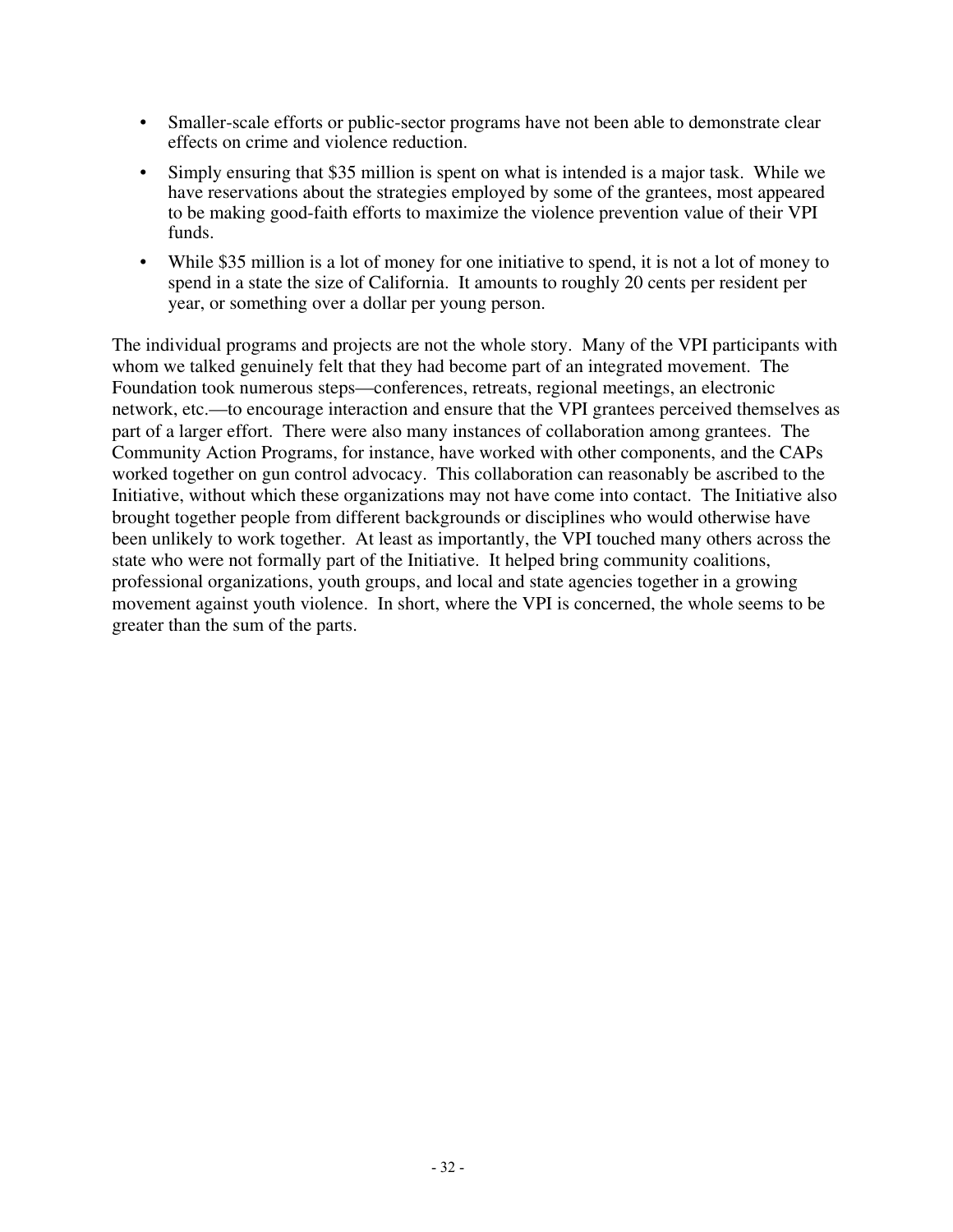- Smaller-scale efforts or public-sector programs have not been able to demonstrate clear effects on crime and violence reduction.
- Simply ensuring that \$35 million is spent on what is intended is a major task. While we have reservations about the strategies employed by some of the grantees, most appeared to be making good-faith efforts to maximize the violence prevention value of their VPI funds.
- While \$35 million is a lot of money for one initiative to spend, it is not a lot of money to spend in a state the size of California. It amounts to roughly 20 cents per resident per year, or something over a dollar per young person.

The individual programs and projects are not the whole story. Many of the VPI participants with whom we talked genuinely felt that they had become part of an integrated movement. The Foundation took numerous steps—conferences, retreats, regional meetings, an electronic network, etc.—to encourage interaction and ensure that the VPI grantees perceived themselves as part of a larger effort. There were also many instances of collaboration among grantees. The Community Action Programs, for instance, have worked with other components, and the CAPs worked together on gun control advocacy. This collaboration can reasonably be ascribed to the Initiative, without which these organizations may not have come into contact. The Initiative also brought together people from different backgrounds or disciplines who would otherwise have been unlikely to work together. At least as importantly, the VPI touched many others across the state who were not formally part of the Initiative. It helped bring community coalitions, professional organizations, youth groups, and local and state agencies together in a growing movement against youth violence. In short, where the VPI is concerned, the whole seems to be greater than the sum of the parts.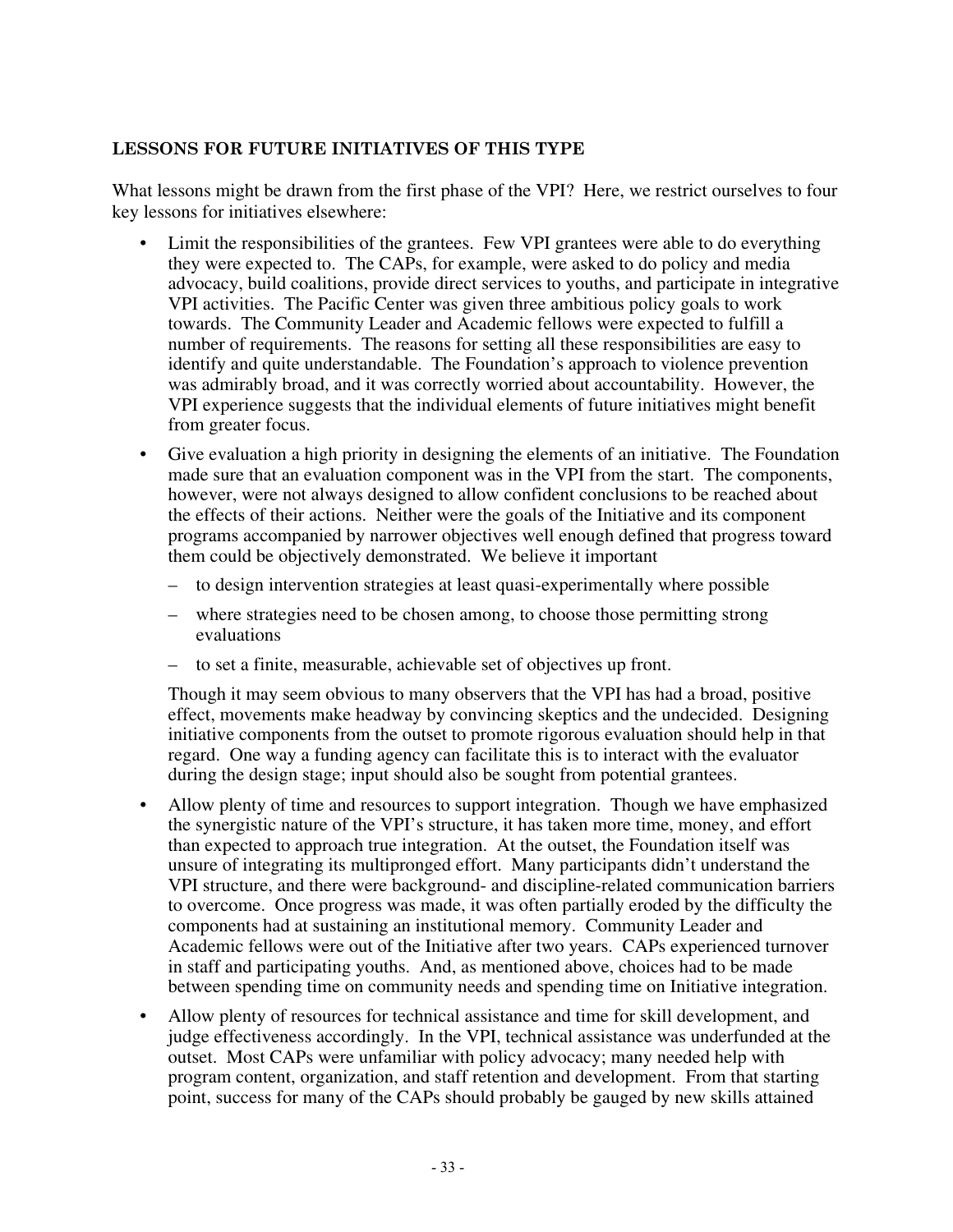#### **LESSONS FOR FUTURE INITIATIVES OF THIS TYPE**

What lessons might be drawn from the first phase of the VPI? Here, we restrict ourselves to four key lessons for initiatives elsewhere:

- Limit the responsibilities of the grantees. Few VPI grantees were able to do everything they were expected to. The CAPs, for example, were asked to do policy and media advocacy, build coalitions, provide direct services to youths, and participate in integrative VPI activities. The Pacific Center was given three ambitious policy goals to work towards. The Community Leader and Academic fellows were expected to fulfill a number of requirements. The reasons for setting all these responsibilities are easy to identify and quite understandable. The Foundation's approach to violence prevention was admirably broad, and it was correctly worried about accountability. However, the VPI experience suggests that the individual elements of future initiatives might benefit from greater focus.
- Give evaluation a high priority in designing the elements of an initiative. The Foundation made sure that an evaluation component was in the VPI from the start. The components, however, were not always designed to allow confident conclusions to be reached about the effects of their actions. Neither were the goals of the Initiative and its component programs accompanied by narrower objectives well enough defined that progress toward them could be objectively demonstrated. We believe it important
	- to design intervention strategies at least quasi-experimentally where possible
	- where strategies need to be chosen among, to choose those permitting strong evaluations
	- to set a finite, measurable, achievable set of objectives up front.

Though it may seem obvious to many observers that the VPI has had a broad, positive effect, movements make headway by convincing skeptics and the undecided. Designing initiative components from the outset to promote rigorous evaluation should help in that regard. One way a funding agency can facilitate this is to interact with the evaluator during the design stage; input should also be sought from potential grantees.

- Allow plenty of time and resources to support integration. Though we have emphasized the synergistic nature of the VPI's structure, it has taken more time, money, and effort than expected to approach true integration. At the outset, the Foundation itself was unsure of integrating its multipronged effort. Many participants didn't understand the VPI structure, and there were background- and discipline-related communication barriers to overcome. Once progress was made, it was often partially eroded by the difficulty the components had at sustaining an institutional memory. Community Leader and Academic fellows were out of the Initiative after two years. CAPs experienced turnover in staff and participating youths. And, as mentioned above, choices had to be made between spending time on community needs and spending time on Initiative integration.
- Allow plenty of resources for technical assistance and time for skill development, and judge effectiveness accordingly. In the VPI, technical assistance was underfunded at the outset. Most CAPs were unfamiliar with policy advocacy; many needed help with program content, organization, and staff retention and development. From that starting point, success for many of the CAPs should probably be gauged by new skills attained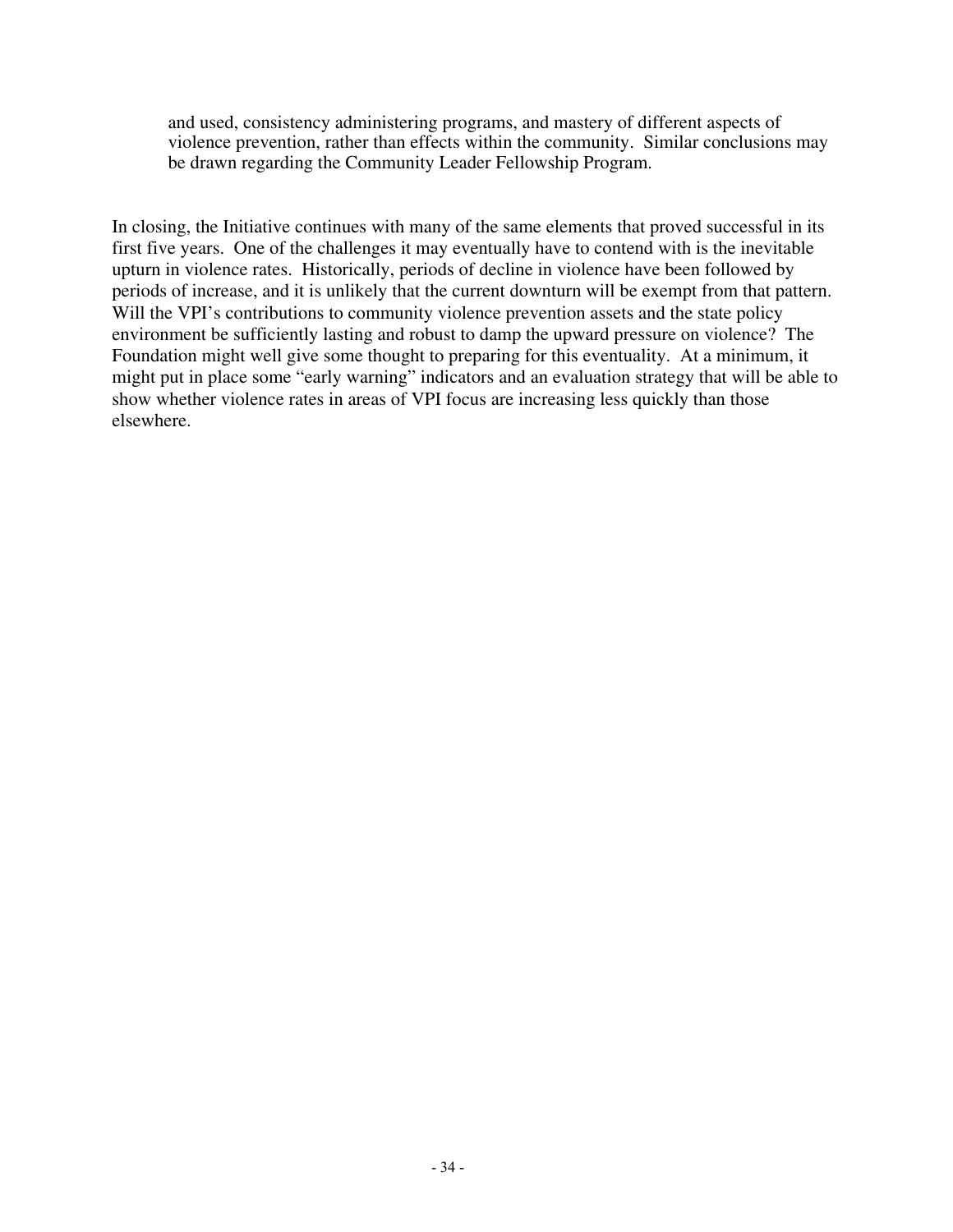and used, consistency administering programs, and mastery of different aspects of violence prevention, rather than effects within the community. Similar conclusions may be drawn regarding the Community Leader Fellowship Program.

In closing, the Initiative continues with many of the same elements that proved successful in its first five years. One of the challenges it may eventually have to contend with is the inevitable upturn in violence rates. Historically, periods of decline in violence have been followed by periods of increase, and it is unlikely that the current downturn will be exempt from that pattern. Will the VPI's contributions to community violence prevention assets and the state policy environment be sufficiently lasting and robust to damp the upward pressure on violence? The Foundation might well give some thought to preparing for this eventuality. At a minimum, it might put in place some "early warning" indicators and an evaluation strategy that will be able to show whether violence rates in areas of VPI focus are increasing less quickly than those elsewhere.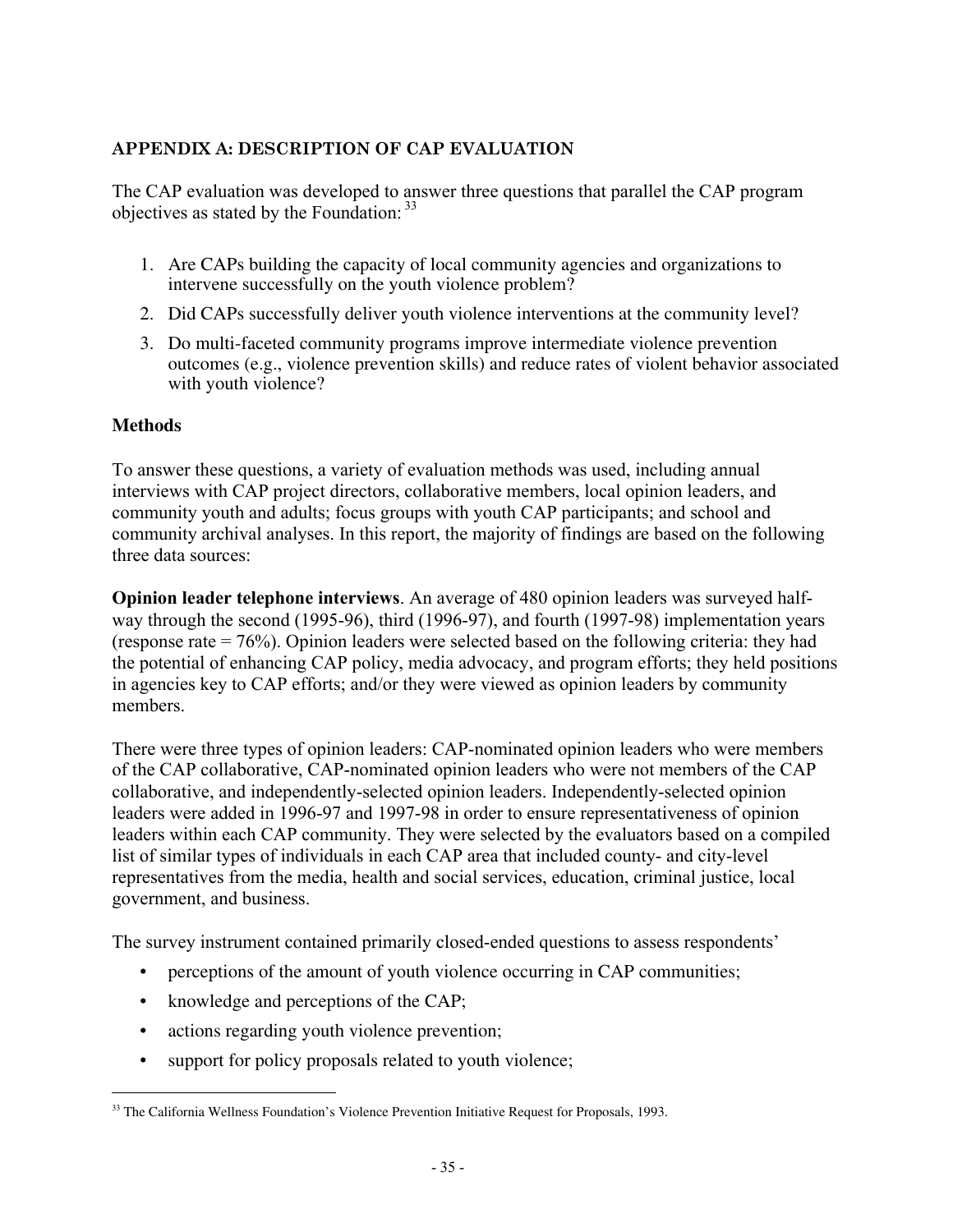#### **APPENDIX A: DESCRIPTION OF CAP EVALUATION**

The CAP evaluation was developed to answer three questions that parallel the CAP program objectives as stated by the Foundation:  $33$ 

- 1. Are CAPs building the capacity of local community agencies and organizations to intervene successfully on the youth violence problem?
- 2. Did CAPs successfully deliver youth violence interventions at the community level?
- 3. Do multi-faceted community programs improve intermediate violence prevention outcomes (e.g., violence prevention skills) and reduce rates of violent behavior associated with youth violence?

#### **Methods**

To answer these questions, a variety of evaluation methods was used, including annual interviews with CAP project directors, collaborative members, local opinion leaders, and community youth and adults; focus groups with youth CAP participants; and school and community archival analyses. In this report, the majority of findings are based on the following three data sources:

**Opinion leader telephone interviews**. An average of 480 opinion leaders was surveyed halfway through the second (1995-96), third (1996-97), and fourth (1997-98) implementation years (response rate = 76%). Opinion leaders were selected based on the following criteria: they had the potential of enhancing CAP policy, media advocacy, and program efforts; they held positions in agencies key to CAP efforts; and/or they were viewed as opinion leaders by community members.

There were three types of opinion leaders: CAP-nominated opinion leaders who were members of the CAP collaborative, CAP-nominated opinion leaders who were not members of the CAP collaborative, and independently-selected opinion leaders. Independently-selected opinion leaders were added in 1996-97 and 1997-98 in order to ensure representativeness of opinion leaders within each CAP community. They were selected by the evaluators based on a compiled list of similar types of individuals in each CAP area that included county- and city-level representatives from the media, health and social services, education, criminal justice, local government, and business.

The survey instrument contained primarily closed-ended questions to assess respondents'

- perceptions of the amount of youth violence occurring in CAP communities;
- knowledge and perceptions of the CAP;
- actions regarding youth violence prevention;
- support for policy proposals related to youth violence;

<sup>&</sup>lt;sup>33</sup> The California Wellness Foundation's Violence Prevention Initiative Request for Proposals, 1993.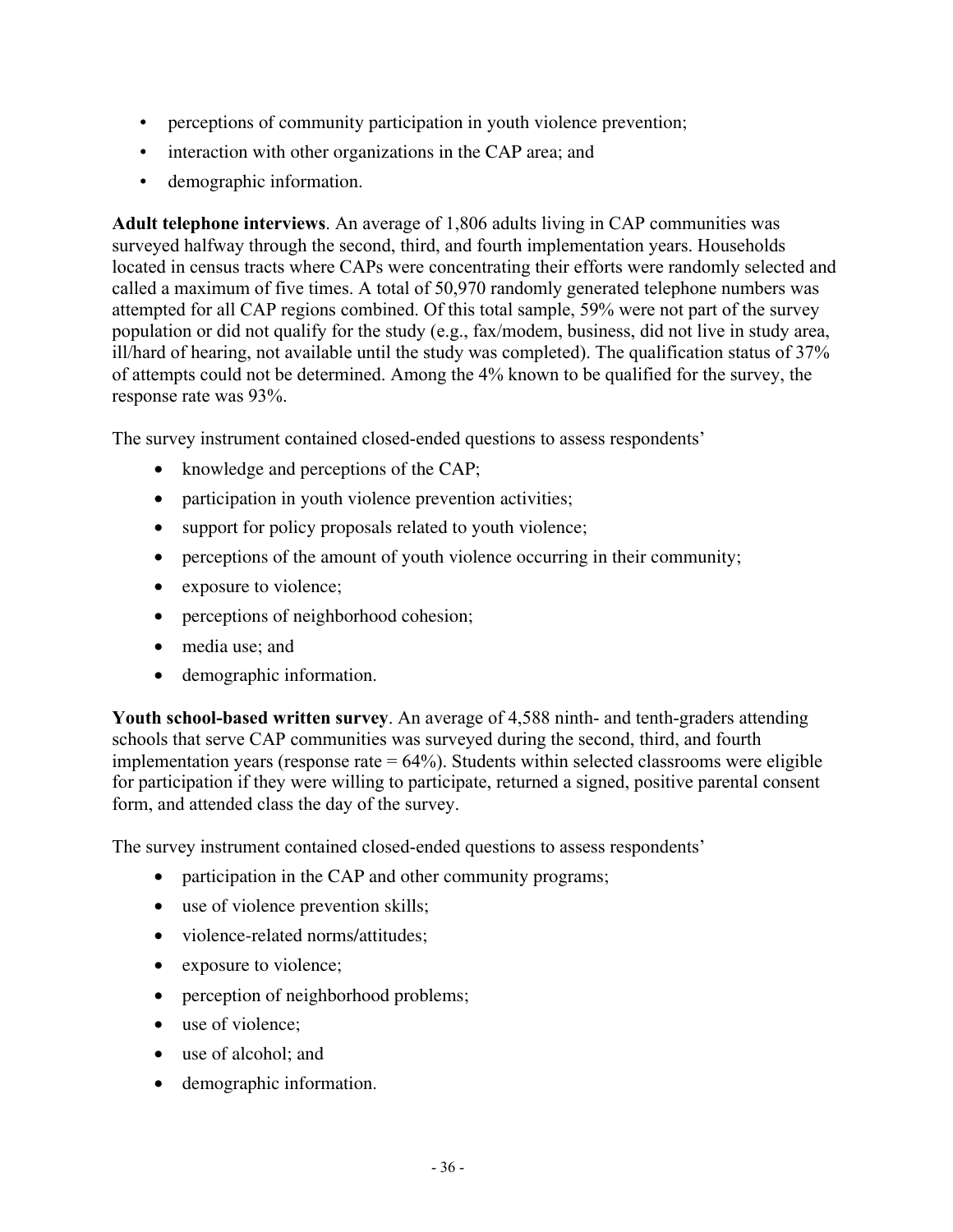- perceptions of community participation in youth violence prevention;
- interaction with other organizations in the CAP area; and
- demographic information.

**Adult telephone interviews**. An average of 1,806 adults living in CAP communities was surveyed halfway through the second, third, and fourth implementation years. Households located in census tracts where CAPs were concentrating their efforts were randomly selected and called a maximum of five times. A total of 50,970 randomly generated telephone numbers was attempted for all CAP regions combined. Of this total sample, 59% were not part of the survey population or did not qualify for the study (e.g., fax/modem, business, did not live in study area, ill/hard of hearing, not available until the study was completed). The qualification status of 37% of attempts could not be determined. Among the 4% known to be qualified for the survey, the response rate was 93%.

The survey instrument contained closed-ended questions to assess respondents'

- knowledge and perceptions of the CAP;
- participation in youth violence prevention activities;
- support for policy proposals related to youth violence;
- perceptions of the amount of youth violence occurring in their community;
- exposure to violence;
- perceptions of neighborhood cohesion;
- media use: and
- demographic information.

**Youth school-based written survey**. An average of 4,588 ninth- and tenth-graders attending schools that serve CAP communities was surveyed during the second, third, and fourth implementation years (response rate  $= 64\%$ ). Students within selected classrooms were eligible for participation if they were willing to participate, returned a signed, positive parental consent form, and attended class the day of the survey.

The survey instrument contained closed-ended questions to assess respondents'

- participation in the CAP and other community programs;
- use of violence prevention skills;
- violence-related norms/attitudes;
- exposure to violence;
- perception of neighborhood problems;
- use of violence;
- use of alcohol: and
- demographic information.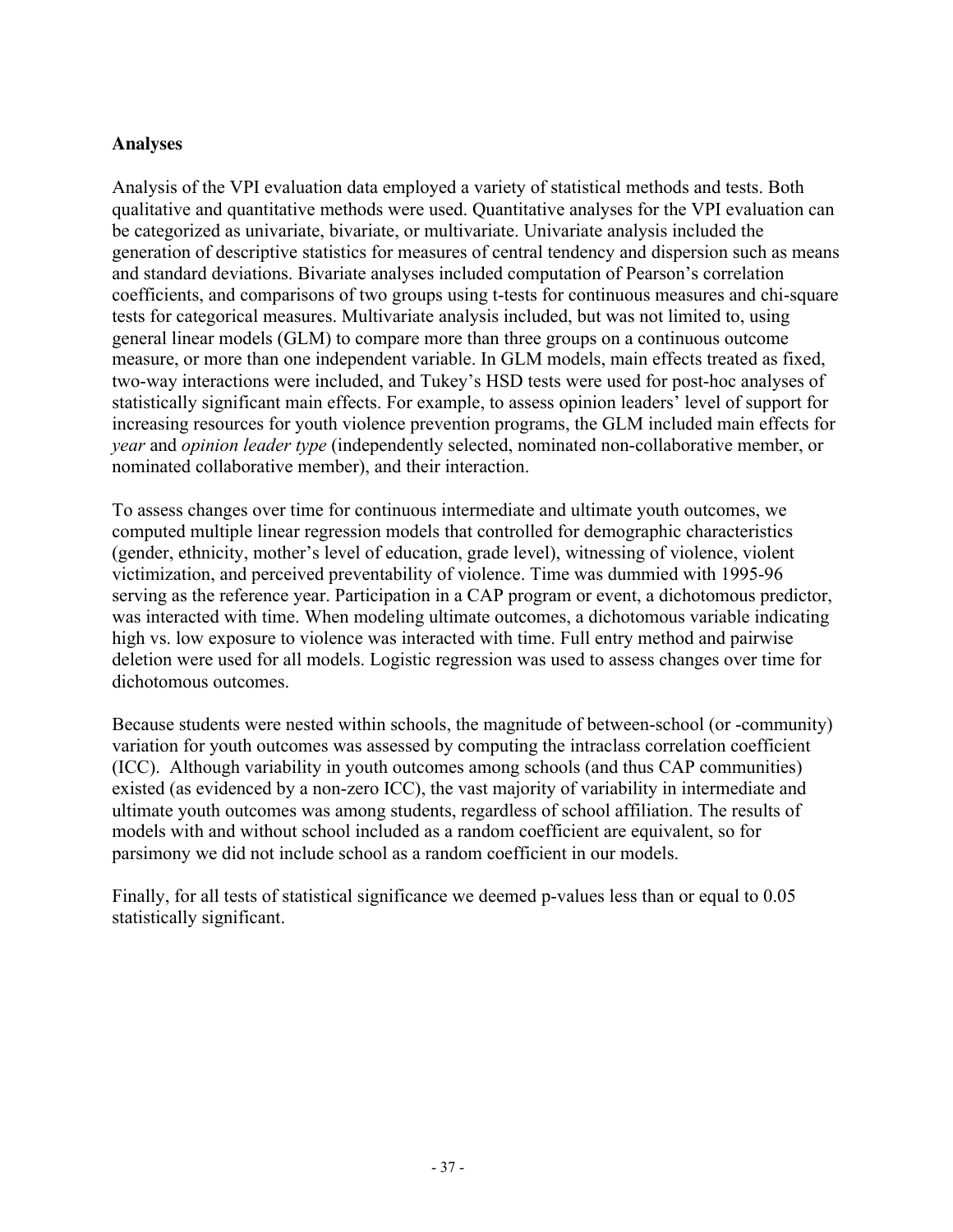#### **Analyses**

Analysis of the VPI evaluation data employed a variety of statistical methods and tests. Both qualitative and quantitative methods were used. Quantitative analyses for the VPI evaluation can be categorized as univariate, bivariate, or multivariate. Univariate analysis included the generation of descriptive statistics for measures of central tendency and dispersion such as means and standard deviations. Bivariate analyses included computation of Pearson's correlation coefficients, and comparisons of two groups using t-tests for continuous measures and chi-square tests for categorical measures. Multivariate analysis included, but was not limited to, using general linear models (GLM) to compare more than three groups on a continuous outcome measure, or more than one independent variable. In GLM models, main effects treated as fixed, two-way interactions were included, and Tukey's HSD tests were used for post-hoc analyses of statistically significant main effects. For example, to assess opinion leaders' level of support for increasing resources for youth violence prevention programs, the GLM included main effects for *year* and *opinion leader type* (independently selected, nominated non-collaborative member, or nominated collaborative member), and their interaction.

To assess changes over time for continuous intermediate and ultimate youth outcomes, we computed multiple linear regression models that controlled for demographic characteristics (gender, ethnicity, mother's level of education, grade level), witnessing of violence, violent victimization, and perceived preventability of violence. Time was dummied with 1995-96 serving as the reference year. Participation in a CAP program or event, a dichotomous predictor, was interacted with time. When modeling ultimate outcomes, a dichotomous variable indicating high vs. low exposure to violence was interacted with time. Full entry method and pairwise deletion were used for all models. Logistic regression was used to assess changes over time for dichotomous outcomes.

Because students were nested within schools, the magnitude of between-school (or -community) variation for youth outcomes was assessed by computing the intraclass correlation coefficient (ICC). Although variability in youth outcomes among schools (and thus CAP communities) existed (as evidenced by a non-zero ICC), the vast majority of variability in intermediate and ultimate youth outcomes was among students, regardless of school affiliation. The results of models with and without school included as a random coefficient are equivalent, so for parsimony we did not include school as a random coefficient in our models.

Finally, for all tests of statistical significance we deemed p-values less than or equal to 0.05 statistically significant.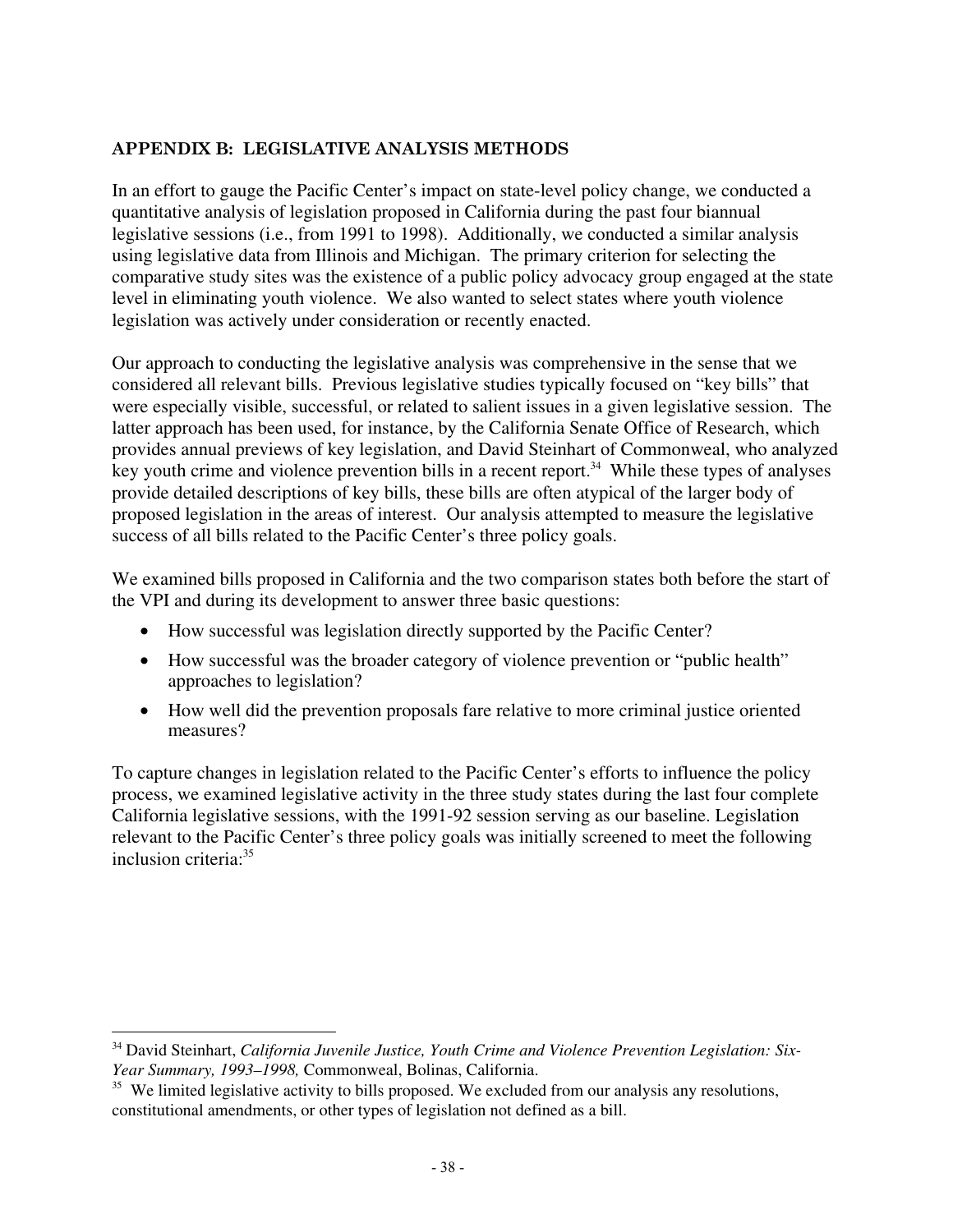#### **APPENDIX B: LEGISLATIVE ANALYSIS METHODS**

In an effort to gauge the Pacific Center's impact on state-level policy change, we conducted a quantitative analysis of legislation proposed in California during the past four biannual legislative sessions (i.e., from 1991 to 1998). Additionally, we conducted a similar analysis using legislative data from Illinois and Michigan. The primary criterion for selecting the comparative study sites was the existence of a public policy advocacy group engaged at the state level in eliminating youth violence. We also wanted to select states where youth violence legislation was actively under consideration or recently enacted.

Our approach to conducting the legislative analysis was comprehensive in the sense that we considered all relevant bills. Previous legislative studies typically focused on "key bills" that were especially visible, successful, or related to salient issues in a given legislative session. The latter approach has been used, for instance, by the California Senate Office of Research, which provides annual previews of key legislation, and David Steinhart of Commonweal, who analyzed key youth crime and violence prevention bills in a recent report.<sup>34</sup> While these types of analyses provide detailed descriptions of key bills, these bills are often atypical of the larger body of proposed legislation in the areas of interest. Our analysis attempted to measure the legislative success of all bills related to the Pacific Center's three policy goals.

We examined bills proposed in California and the two comparison states both before the start of the VPI and during its development to answer three basic questions:

- How successful was legislation directly supported by the Pacific Center?
- How successful was the broader category of violence prevention or "public health" approaches to legislation?
- How well did the prevention proposals fare relative to more criminal justice oriented measures?

To capture changes in legislation related to the Pacific Center's efforts to influence the policy process, we examined legislative activity in the three study states during the last four complete California legislative sessions, with the 1991-92 session serving as our baseline. Legislation relevant to the Pacific Center's three policy goals was initially screened to meet the following inclusion criteria:35

 <sup>34</sup> David Steinhart, *California Juvenile Justice, Youth Crime and Violence Prevention Legislation: Six-Year Summary, 1993–1998,* Commonweal, Bolinas, California.

<sup>&</sup>lt;sup>35</sup> We limited legislative activity to bills proposed. We excluded from our analysis any resolutions, constitutional amendments, or other types of legislation not defined as a bill.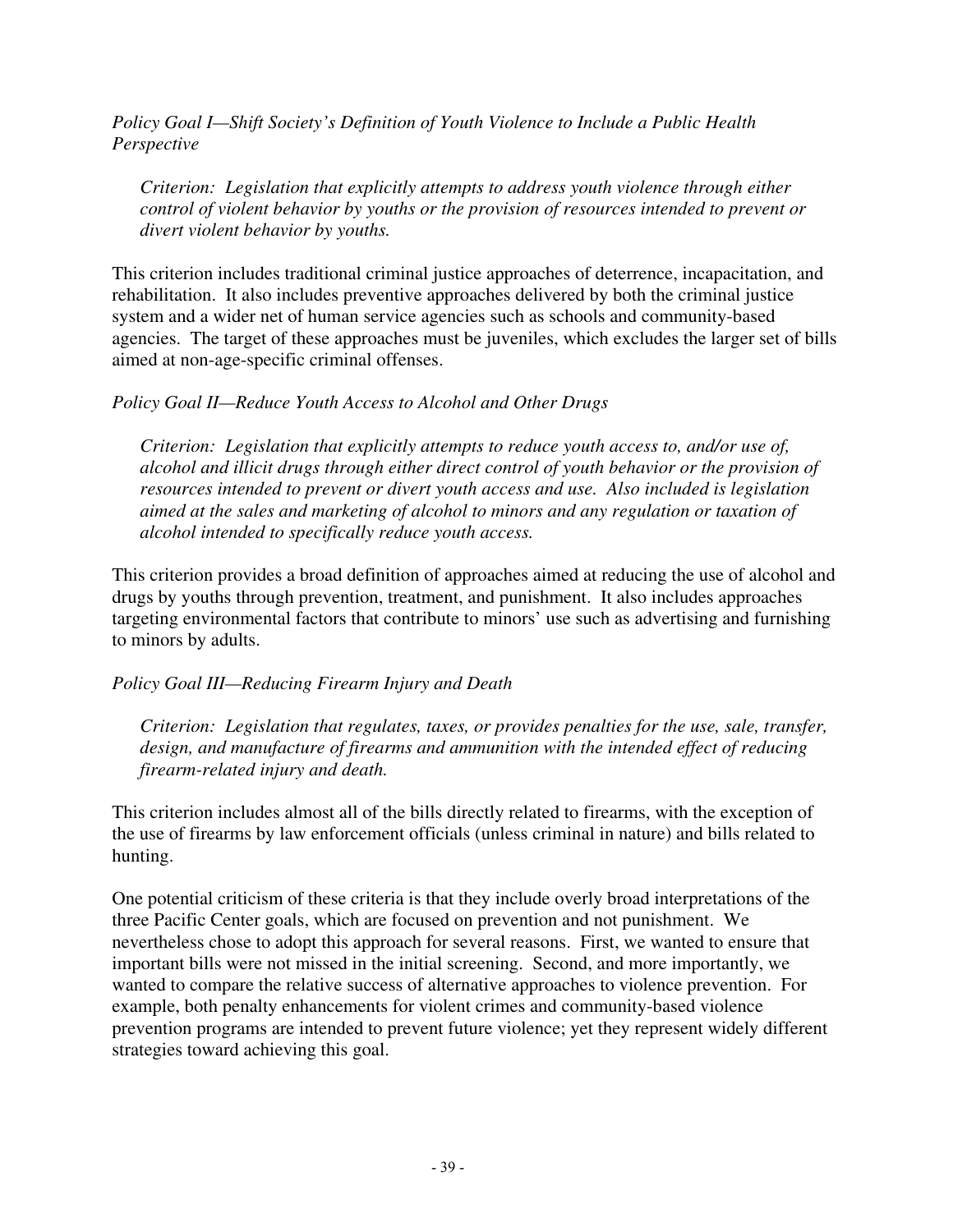*Policy Goal I—Shift Society's Definition of Youth Violence to Include a Public Health Perspective*

*Criterion: Legislation that explicitly attempts to address youth violence through either control of violent behavior by youths or the provision of resources intended to prevent or divert violent behavior by youths.*

This criterion includes traditional criminal justice approaches of deterrence, incapacitation, and rehabilitation. It also includes preventive approaches delivered by both the criminal justice system and a wider net of human service agencies such as schools and community-based agencies. The target of these approaches must be juveniles, which excludes the larger set of bills aimed at non-age-specific criminal offenses.

#### *Policy Goal II—Reduce Youth Access to Alcohol and Other Drugs*

*Criterion: Legislation that explicitly attempts to reduce youth access to, and/or use of, alcohol and illicit drugs through either direct control of youth behavior or the provision of resources intended to prevent or divert youth access and use. Also included is legislation aimed at the sales and marketing of alcohol to minors and any regulation or taxation of alcohol intended to specifically reduce youth access.*

This criterion provides a broad definition of approaches aimed at reducing the use of alcohol and drugs by youths through prevention, treatment, and punishment. It also includes approaches targeting environmental factors that contribute to minors' use such as advertising and furnishing to minors by adults.

#### *Policy Goal III—Reducing Firearm Injury and Death*

*Criterion: Legislation that regulates, taxes, or provides penalties for the use, sale, transfer, design, and manufacture of firearms and ammunition with the intended effect of reducing firearm-related injury and death.*

This criterion includes almost all of the bills directly related to firearms, with the exception of the use of firearms by law enforcement officials (unless criminal in nature) and bills related to hunting.

One potential criticism of these criteria is that they include overly broad interpretations of the three Pacific Center goals, which are focused on prevention and not punishment. We nevertheless chose to adopt this approach for several reasons. First, we wanted to ensure that important bills were not missed in the initial screening. Second, and more importantly, we wanted to compare the relative success of alternative approaches to violence prevention. For example, both penalty enhancements for violent crimes and community-based violence prevention programs are intended to prevent future violence; yet they represent widely different strategies toward achieving this goal.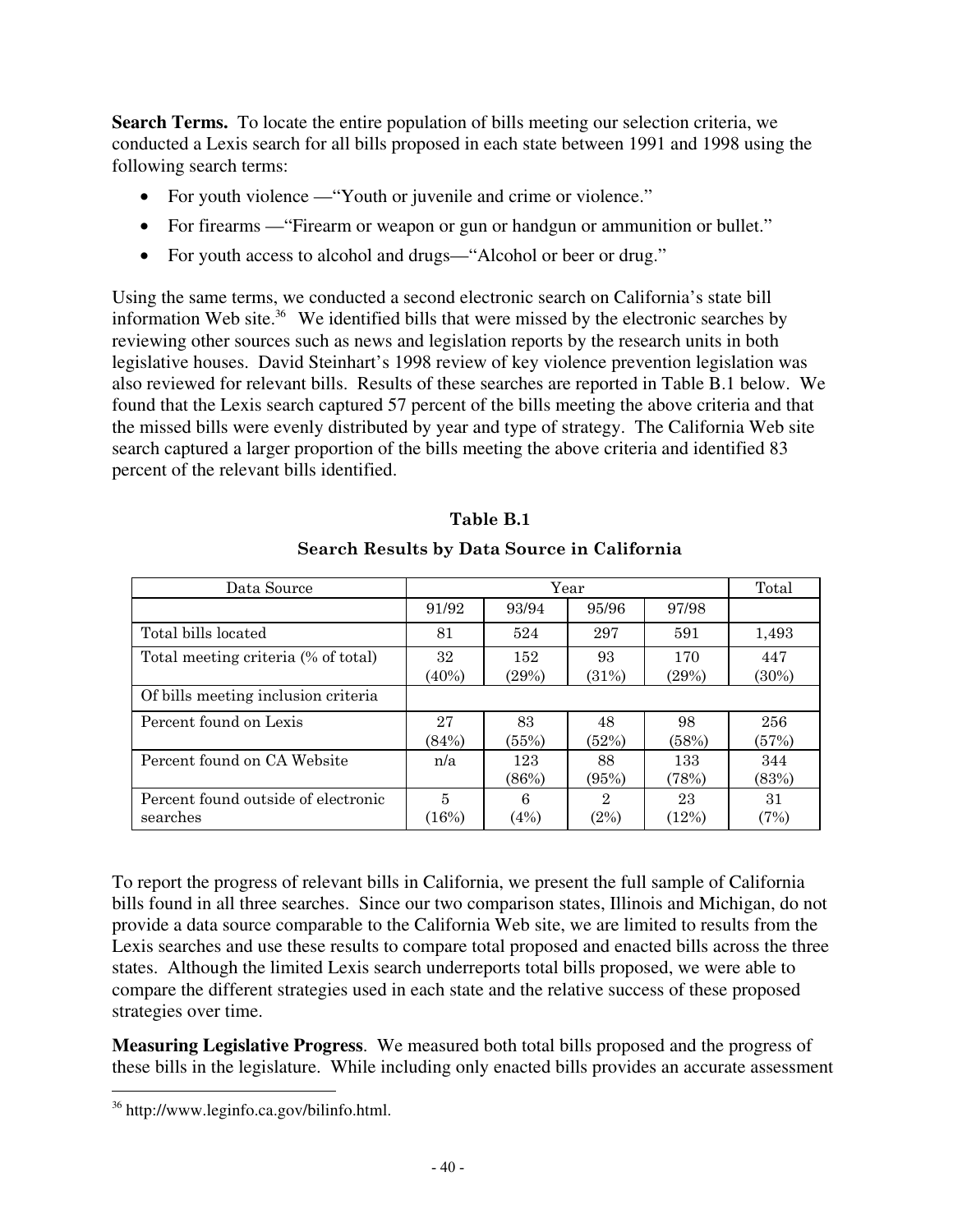**Search Terms.** To locate the entire population of bills meeting our selection criteria, we conducted a Lexis search for all bills proposed in each state between 1991 and 1998 using the following search terms:

- For youth violence "Youth or juvenile and crime or violence."
- For firearms "Firearm or weapon or gun or handgun or ammunition or bullet."
- For youth access to alcohol and drugs—"Alcohol or beer or drug."

Using the same terms, we conducted a second electronic search on California's state bill information Web site.<sup>36</sup> We identified bills that were missed by the electronic searches by reviewing other sources such as news and legislation reports by the research units in both legislative houses. David Steinhart's 1998 review of key violence prevention legislation was also reviewed for relevant bills. Results of these searches are reported in Table B.1 below.We found that the Lexis search captured 57 percent of the bills meeting the above criteria and that the missed bills were evenly distributed by year and type of strategy. The California Web site search captured a larger proportion of the bills meeting the above criteria and identified 83 percent of the relevant bills identified.

| Data Source                                     | Year           |              |             | Total        |              |
|-------------------------------------------------|----------------|--------------|-------------|--------------|--------------|
|                                                 | 91/92          | 93/94        | 95/96       | 97/98        |              |
| Total bills located                             | 81             | 524          | 297         | 591          | 1,493        |
| Total meeting criteria (% of total)             | 32<br>$(40\%)$ | 152<br>(29%) | 93<br>(31%) | 170<br>(29%) | 447<br>(30%) |
| Of bills meeting inclusion criteria             |                |              |             |              |              |
| Percent found on Lexis                          | 27<br>(84%)    | 83<br>(55%)  | 48<br>(52%) | 98<br>(58%)  | 256<br>(57%) |
| Percent found on CA Website                     | n/a            | 123<br>(86%) | 88<br>(95%) | 133<br>(78%) | 344<br>(83%) |
| Percent found outside of electronic<br>searches | 5<br>(16%)     | 6<br>(4%)    | 2<br>(2%)   | 23<br>(12%)  | 31<br>(7%)   |

# **Table B.1**

#### **Search Results by Data Source in California**

To report the progress of relevant bills in California, we present the full sample of California bills found in all three searches. Since our two comparison states, Illinois and Michigan, do not provide a data source comparable to the California Web site, we are limited to results from the Lexis searches and use these results to compare total proposed and enacted bills across the three states. Although the limited Lexis search underreports total bills proposed, we were able to compare the different strategies used in each state and the relative success of these proposed strategies over time.

**Measuring Legislative Progress**. We measured both total bills proposed and the progress of these bills in the legislature. While including only enacted bills provides an accurate assessment

 <sup>36</sup> http://www.leginfo.ca.gov/bilinfo.html.